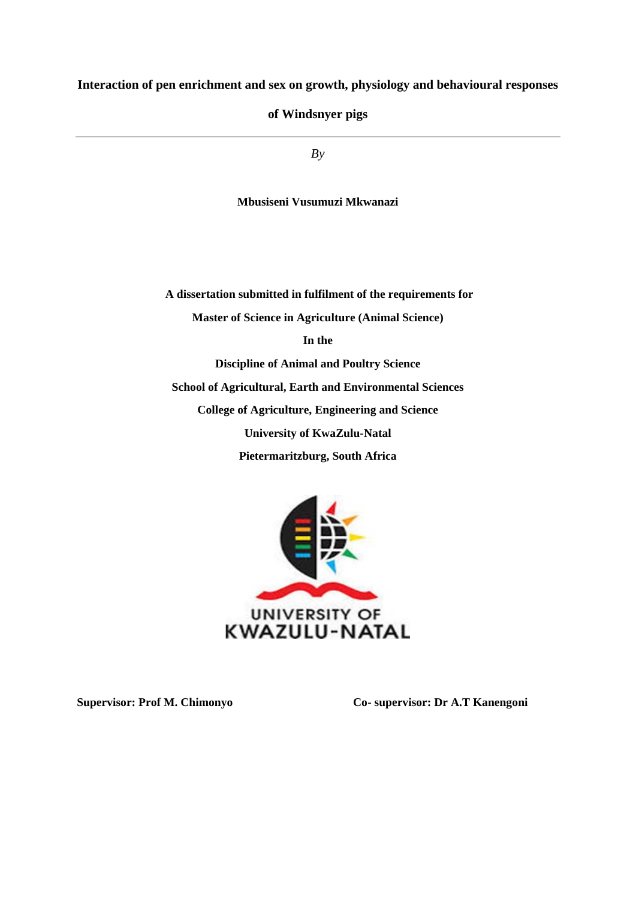## **Interaction of pen enrichment and sex on growth, physiology and behavioural responses**

**of Windsnyer pigs**

*By*

**Mbusiseni Vusumuzi Mkwanazi**

**A dissertation submitted in fulfilment of the requirements for Master of Science in Agriculture (Animal Science) In the Discipline of Animal and Poultry Science School of Agricultural, Earth and Environmental Sciences College of Agriculture, Engineering and Science University of KwaZulu-Natal Pietermaritzburg, South Africa**



**Supervisor: Prof M. Chimonyo Co- supervisor: Dr A.T Kanengoni**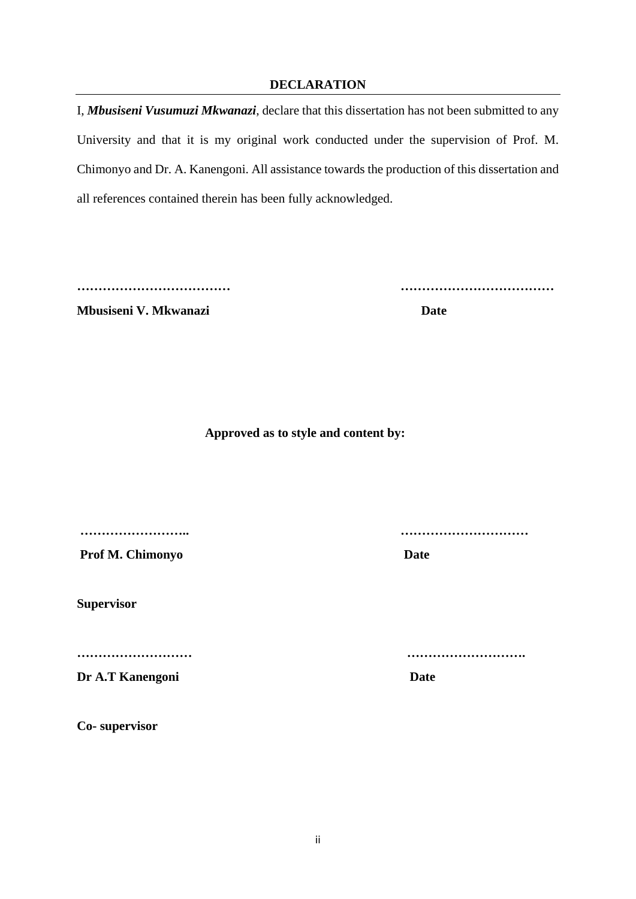## **DECLARATION**

<span id="page-1-0"></span>I, *Mbusiseni Vusumuzi Mkwanazi*, declare that this dissertation has not been submitted to any University and that it is my original work conducted under the supervision of Prof. M. Chimonyo and Dr. A. Kanengoni. All assistance towards the production of this dissertation and all references contained therein has been fully acknowledged.

**Mbusiseni V. Mkwanazi Date** 

**……………………………… ………………………………**

 **Approved as to style and content by:** 

Prof M. Chimonyo Date

**Supervisor** 

**Dr A.T Kanengoni Date** 

**Co- supervisor** 

**…………………….. …………………………** 

**……………………… ……………………….**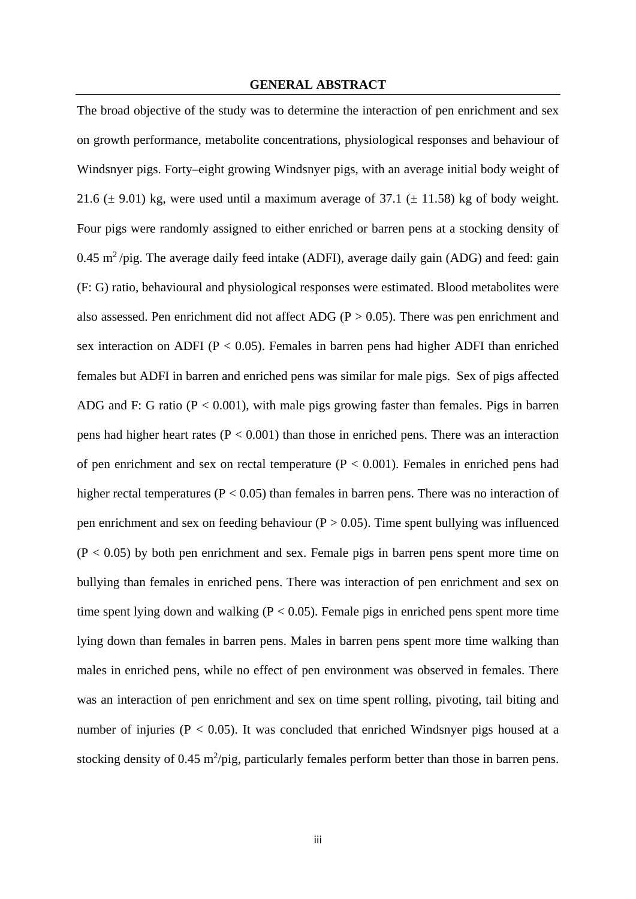#### **GENERAL ABSTRACT**

<span id="page-2-0"></span>The broad objective of the study was to determine the interaction of pen enrichment and sex on growth performance, metabolite concentrations, physiological responses and behaviour of Windsnyer pigs. Forty–eight growing Windsnyer pigs, with an average initial body weight of 21.6 ( $\pm$  9.01) kg, were used until a maximum average of 37.1 ( $\pm$  11.58) kg of body weight. Four pigs were randomly assigned to either enriched or barren pens at a stocking density of 0.45 m<sup>2</sup>/pig. The average daily feed intake (ADFI), average daily gain (ADG) and feed: gain (F: G) ratio, behavioural and physiological responses were estimated. Blood metabolites were also assessed. Pen enrichment did not affect ADG ( $P > 0.05$ ). There was pen enrichment and sex interaction on ADFI ( $P < 0.05$ ). Females in barren pens had higher ADFI than enriched females but ADFI in barren and enriched pens was similar for male pigs. Sex of pigs affected ADG and F: G ratio ( $P < 0.001$ ), with male pigs growing faster than females. Pigs in barren pens had higher heart rates ( $P < 0.001$ ) than those in enriched pens. There was an interaction of pen enrichment and sex on rectal temperature  $(P < 0.001)$ . Females in enriched pens had higher rectal temperatures ( $P < 0.05$ ) than females in barren pens. There was no interaction of pen enrichment and sex on feeding behaviour ( $P > 0.05$ ). Time spent bullying was influenced  $(P < 0.05)$  by both pen enrichment and sex. Female pigs in barren pens spent more time on bullying than females in enriched pens. There was interaction of pen enrichment and sex on time spent lying down and walking ( $P < 0.05$ ). Female pigs in enriched pens spent more time lying down than females in barren pens. Males in barren pens spent more time walking than males in enriched pens, while no effect of pen environment was observed in females. There was an interaction of pen enrichment and sex on time spent rolling, pivoting, tail biting and number of injuries ( $P < 0.05$ ). It was concluded that enriched Windsnyer pigs housed at a stocking density of 0.45 m<sup>2</sup>/pig, particularly females perform better than those in barren pens.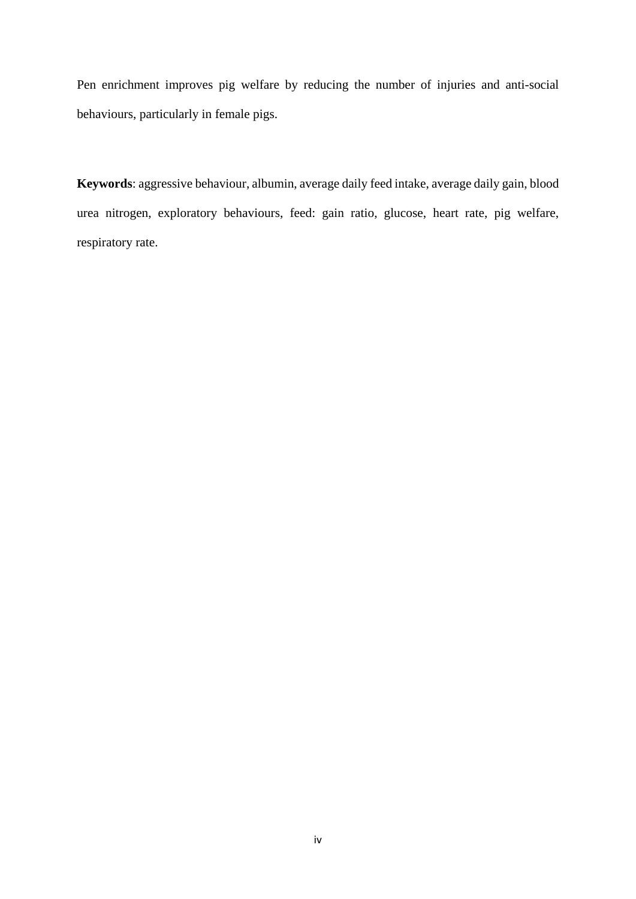Pen enrichment improves pig welfare by reducing the number of injuries and anti-social behaviours, particularly in female pigs.

**Keywords**: aggressive behaviour, albumin, average daily feed intake, average daily gain, blood urea nitrogen, exploratory behaviours, feed: gain ratio, glucose, heart rate, pig welfare, respiratory rate.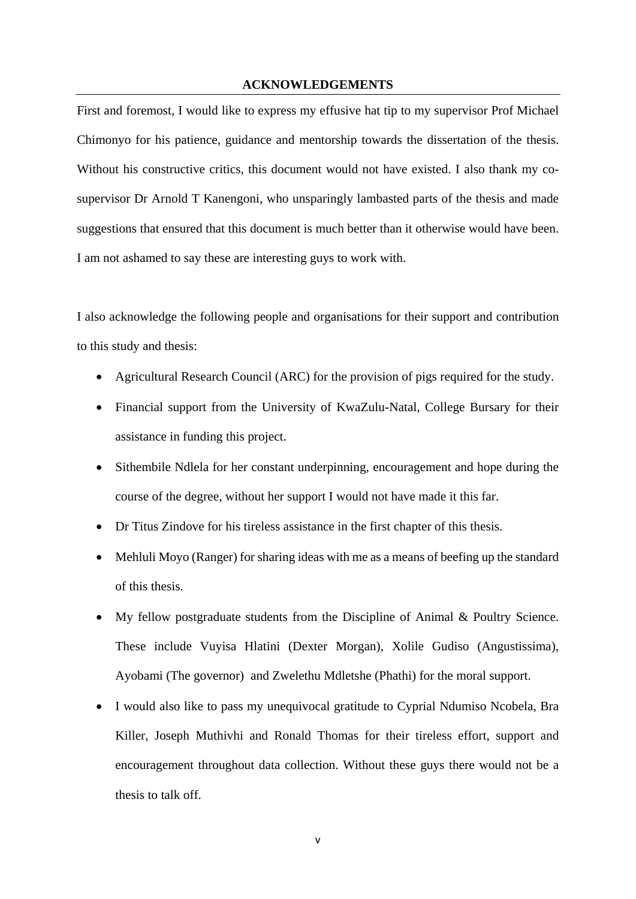#### **ACKNOWLEDGEMENTS**

<span id="page-4-0"></span>First and foremost, I would like to express my effusive hat tip to my supervisor Prof Michael Chimonyo for his patience, guidance and mentorship towards the dissertation of the thesis. Without his constructive critics, this document would not have existed. I also thank my cosupervisor Dr Arnold T Kanengoni, who unsparingly lambasted parts of the thesis and made suggestions that ensured that this document is much better than it otherwise would have been. I am not ashamed to say these are interesting guys to work with.

I also acknowledge the following people and organisations for their support and contribution to this study and thesis:

- Agricultural Research Council (ARC) for the provision of pigs required for the study.
- Financial support from the University of KwaZulu-Natal, College Bursary for their assistance in funding this project.
- Sithembile Ndlela for her constant underpinning, encouragement and hope during the course of the degree, without her support I would not have made it this far.
- Dr Titus Zindove for his tireless assistance in the first chapter of this thesis.
- Mehluli Moyo (Ranger) for sharing ideas with me as a means of beefing up the standard of this thesis.
- My fellow postgraduate students from the Discipline of Animal & Poultry Science. These include Vuyisa Hlatini (Dexter Morgan), Xolile Gudiso (Angustissima), Ayobami (The governor) and Zwelethu Mdletshe (Phathi) for the moral support.
- I would also like to pass my unequivocal gratitude to Cyprial Ndumiso Ncobela, Bra Killer, Joseph Muthivhi and Ronald Thomas for their tireless effort, support and encouragement throughout data collection. Without these guys there would not be a thesis to talk off.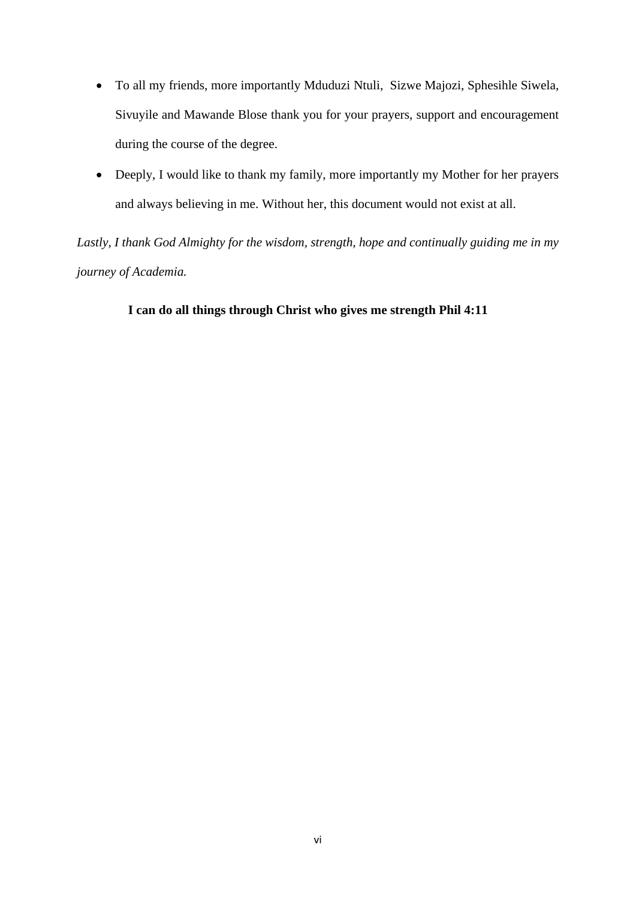- To all my friends, more importantly Mduduzi Ntuli, Sizwe Majozi, Sphesihle Siwela, Sivuyile and Mawande Blose thank you for your prayers, support and encouragement during the course of the degree.
- Deeply, I would like to thank my family, more importantly my Mother for her prayers and always believing in me. Without her, this document would not exist at all.

*Lastly, I thank God Almighty for the wisdom, strength, hope and continually guiding me in my journey of Academia.*

 **I can do all things through Christ who gives me strength Phil 4:11**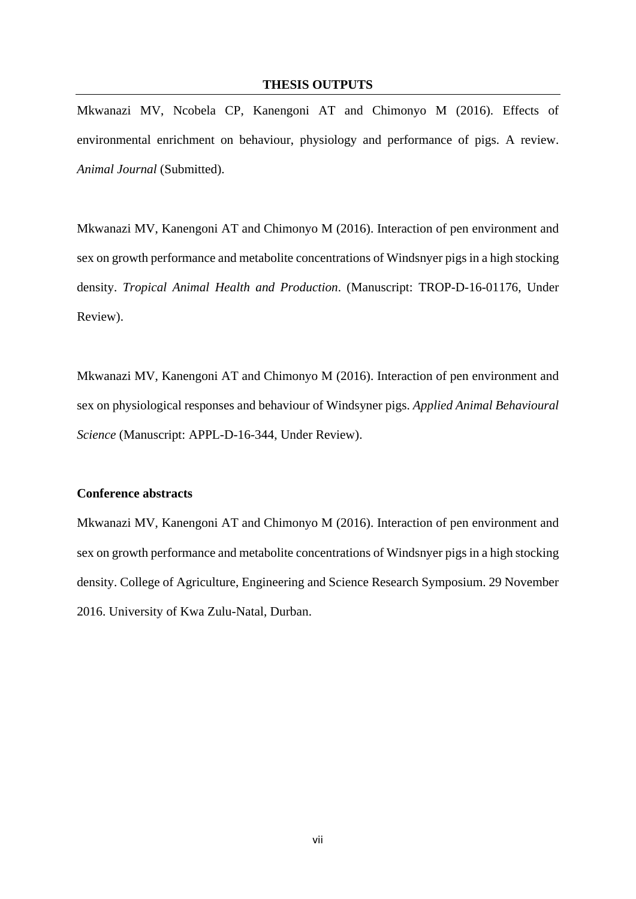#### **THESIS OUTPUTS**

<span id="page-6-0"></span>Mkwanazi MV, Ncobela CP, Kanengoni AT and Chimonyo M (2016). Effects of environmental enrichment on behaviour, physiology and performance of pigs. A review. *Animal Journal* (Submitted).

Mkwanazi MV, Kanengoni AT and Chimonyo M (2016). Interaction of pen environment and sex on growth performance and metabolite concentrations of Windsnyer pigs in a high stocking density. *Tropical Animal Health and Production*. (Manuscript: TROP-D-16-01176, Under Review).

Mkwanazi MV, Kanengoni AT and Chimonyo M (2016). Interaction of pen environment and sex on physiological responses and behaviour of Windsyner pigs. *Applied Animal Behavioural Science* (Manuscript: APPL-D-16-344, Under Review).

#### **Conference abstracts**

Mkwanazi MV, Kanengoni AT and Chimonyo M (2016). Interaction of pen environment and sex on growth performance and metabolite concentrations of Windsnyer pigs in a high stocking density. College of Agriculture, Engineering and Science Research Symposium. 29 November 2016. University of Kwa Zulu-Natal, Durban.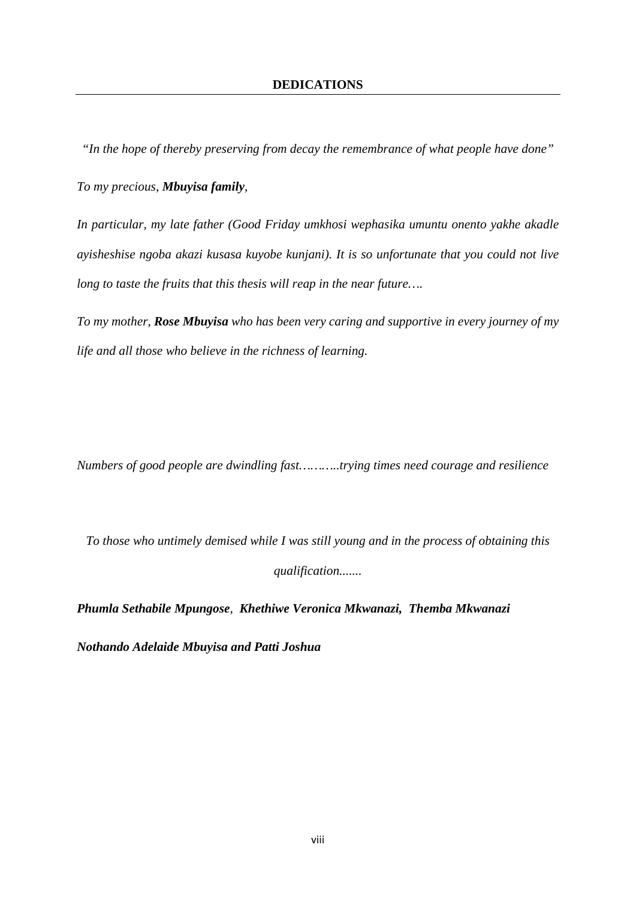<span id="page-7-0"></span>*"In the hope of thereby preserving from decay the remembrance of what people have done"*

*To my precious, Mbuyisa family*,

*In particular, my late father (Good Friday umkhosi wephasika umuntu onento yakhe akadle ayisheshise ngoba akazi kusasa kuyobe kunjani). It is so unfortunate that you could not live long to taste the fruits that this thesis will reap in the near future….*

*To my mother, Rose Mbuyisa who has been very caring and supportive in every journey of my life and all those who believe in the richness of learning.* 

*Numbers of good people are dwindling fast………..trying times need courage and resilience*

*To those who untimely demised while I was still young and in the process of obtaining this qualification.......*

*Phumla Sethabile Mpungose, Khethiwe Veronica Mkwanazi, Themba Mkwanazi* 

*Nothando Adelaide Mbuyisa and Patti Joshua*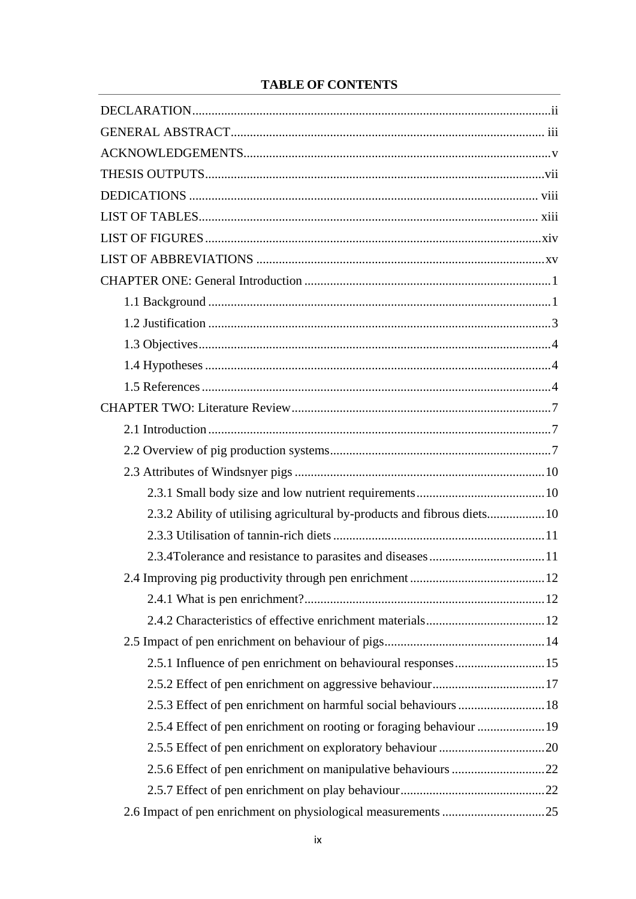# **TABLE OF CONTENTS**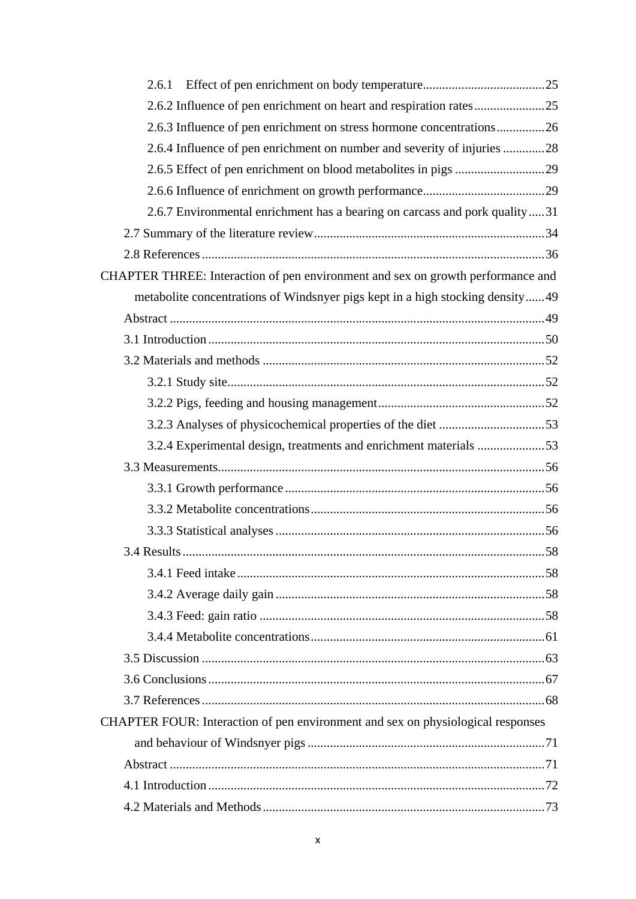| 2.6.1                                                                           |     |
|---------------------------------------------------------------------------------|-----|
| 2.6.2 Influence of pen enrichment on heart and respiration rates25              |     |
| 2.6.3 Influence of pen enrichment on stress hormone concentrations26            |     |
| 2.6.4 Influence of pen enrichment on number and severity of injuries 28         |     |
|                                                                                 |     |
|                                                                                 |     |
| 2.6.7 Environmental enrichment has a bearing on carcass and pork quality31      |     |
|                                                                                 |     |
|                                                                                 |     |
| CHAPTER THREE: Interaction of pen environment and sex on growth performance and |     |
| metabolite concentrations of Windsnyer pigs kept in a high stocking density49   |     |
|                                                                                 |     |
|                                                                                 |     |
|                                                                                 |     |
|                                                                                 |     |
|                                                                                 |     |
|                                                                                 |     |
| 3.2.4 Experimental design, treatments and enrichment materials 53               |     |
|                                                                                 |     |
|                                                                                 |     |
|                                                                                 |     |
|                                                                                 |     |
|                                                                                 | .58 |
|                                                                                 |     |
|                                                                                 |     |
|                                                                                 |     |
|                                                                                 |     |
|                                                                                 |     |
|                                                                                 |     |
|                                                                                 |     |
| CHAPTER FOUR: Interaction of pen environment and sex on physiological responses |     |
|                                                                                 |     |
|                                                                                 |     |
|                                                                                 |     |
|                                                                                 |     |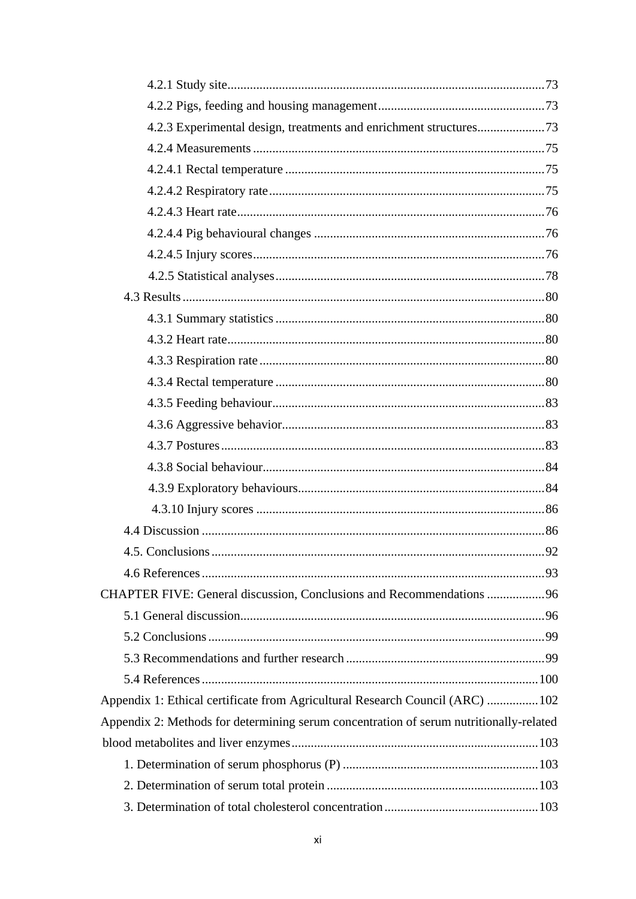| 4.2.3 Experimental design, treatments and enrichment structures73                      |    |
|----------------------------------------------------------------------------------------|----|
|                                                                                        |    |
|                                                                                        |    |
|                                                                                        |    |
|                                                                                        |    |
|                                                                                        |    |
|                                                                                        |    |
|                                                                                        |    |
|                                                                                        |    |
|                                                                                        |    |
|                                                                                        |    |
|                                                                                        |    |
|                                                                                        |    |
|                                                                                        |    |
|                                                                                        |    |
|                                                                                        |    |
|                                                                                        |    |
|                                                                                        |    |
|                                                                                        |    |
|                                                                                        |    |
| 4.5. Conclusions                                                                       | 92 |
|                                                                                        |    |
| CHAPTER FIVE: General discussion, Conclusions and Recommendations 96                   |    |
|                                                                                        |    |
|                                                                                        |    |
|                                                                                        |    |
|                                                                                        |    |
| Appendix 1: Ethical certificate from Agricultural Research Council (ARC) 102           |    |
| Appendix 2: Methods for determining serum concentration of serum nutritionally-related |    |
|                                                                                        |    |
|                                                                                        |    |
|                                                                                        |    |
|                                                                                        |    |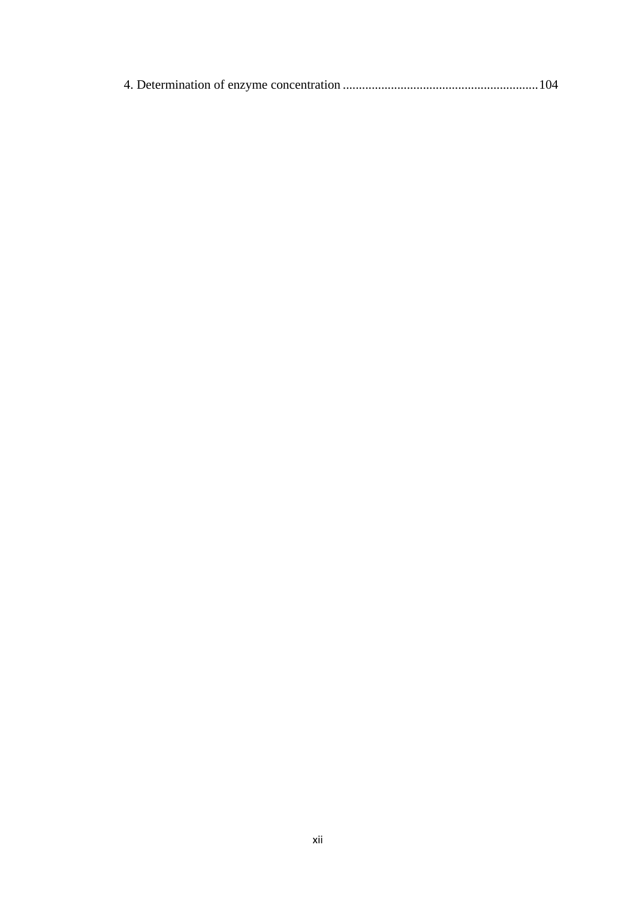|--|--|--|--|--|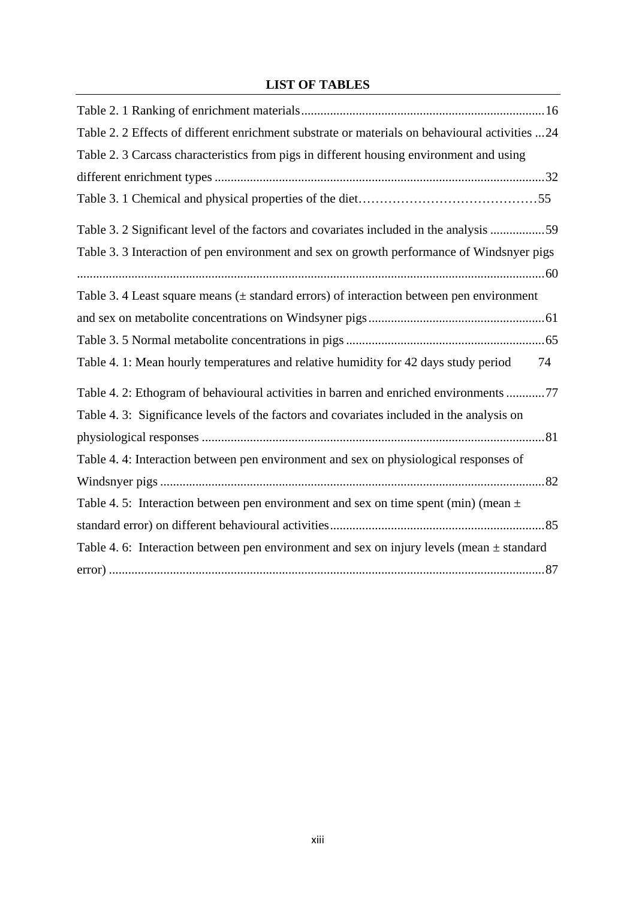# **LIST OF TABLES**

<span id="page-12-1"></span><span id="page-12-0"></span>

| Table 2. 2 Effects of different enrichment substrate or materials on behavioural activities 24 |
|------------------------------------------------------------------------------------------------|
| Table 2. 3 Carcass characteristics from pigs in different housing environment and using        |
|                                                                                                |
|                                                                                                |
| Table 3. 2 Significant level of the factors and covariates included in the analysis 59         |
| Table 3. 3 Interaction of pen environment and sex on growth performance of Windsnyer pigs      |
|                                                                                                |
| Table 3. 4 Least square means $(\pm$ standard errors) of interaction between pen environment   |
|                                                                                                |
|                                                                                                |
| Table 4. 1: Mean hourly temperatures and relative humidity for 42 days study period<br>74      |
| Table 4. 2: Ethogram of behavioural activities in barren and enriched environments 77          |
| Table 4. 3: Significance levels of the factors and covariates included in the analysis on      |
|                                                                                                |
| Table 4.4: Interaction between pen environment and sex on physiological responses of           |
|                                                                                                |
| Table 4.5: Interaction between pen environment and sex on time spent (min) (mean $\pm$         |
|                                                                                                |
| Table 4. 6: Interaction between pen environment and sex on injury levels (mean $\pm$ standard  |
|                                                                                                |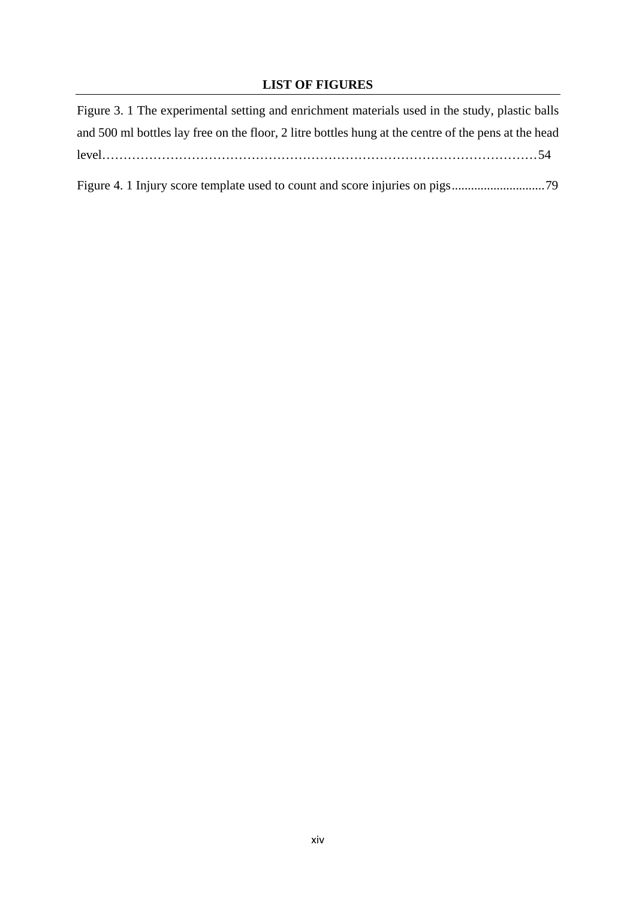# **LIST OF FIGURES**

| Figure 3. 1 The experimental setting and enrichment materials used in the study, plastic balls       |
|------------------------------------------------------------------------------------------------------|
| and 500 ml bottles lay free on the floor, 2 litre bottles hung at the centre of the pens at the head |
|                                                                                                      |
|                                                                                                      |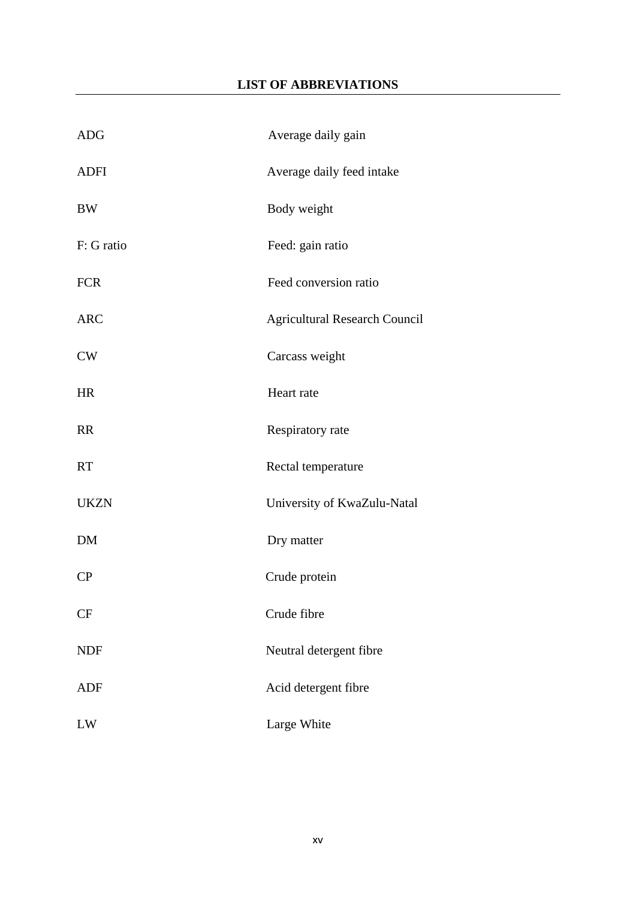# **LIST OF ABBREVIATIONS**

<span id="page-14-0"></span>

| <b>ADG</b>  | Average daily gain                   |
|-------------|--------------------------------------|
| <b>ADFI</b> | Average daily feed intake            |
| <b>BW</b>   | Body weight                          |
| F: G ratio  | Feed: gain ratio                     |
| <b>FCR</b>  | Feed conversion ratio                |
| <b>ARC</b>  | <b>Agricultural Research Council</b> |
| CW          | Carcass weight                       |
| <b>HR</b>   | Heart rate                           |
| <b>RR</b>   | Respiratory rate                     |
| <b>RT</b>   | Rectal temperature                   |
| <b>UKZN</b> | University of KwaZulu-Natal          |
| DM          | Dry matter                           |
| CP          | Crude protein                        |
| <b>CF</b>   | Crude fibre                          |
| <b>NDF</b>  | Neutral detergent fibre              |
| <b>ADF</b>  | Acid detergent fibre                 |
| LW          | Large White                          |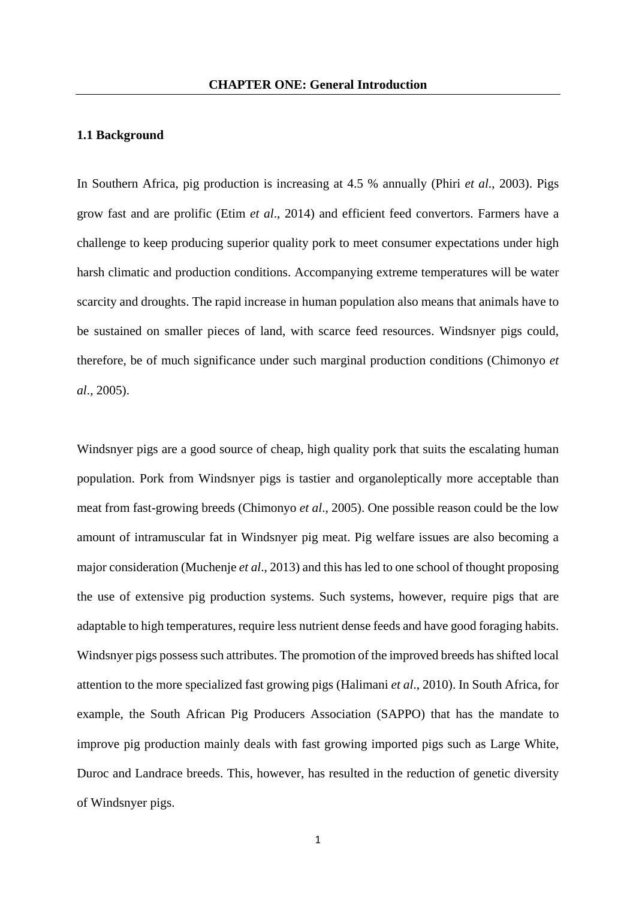### <span id="page-15-1"></span><span id="page-15-0"></span>**1.1 Background**

In Southern Africa, pig production is increasing at 4.5 % annually (Phiri *et al*., 2003). Pigs grow fast and are prolific (Etim *et al*., 2014) and efficient feed convertors. Farmers have a challenge to keep producing superior quality pork to meet consumer expectations under high harsh climatic and production conditions. Accompanying extreme temperatures will be water scarcity and droughts. The rapid increase in human population also means that animals have to be sustained on smaller pieces of land, with scarce feed resources. Windsnyer pigs could, therefore, be of much significance under such marginal production conditions (Chimonyo *et al*., 2005).

Windsnyer pigs are a good source of cheap, high quality pork that suits the escalating human population. Pork from Windsnyer pigs is tastier and organoleptically more acceptable than meat from fast-growing breeds (Chimonyo *et al*., 2005). One possible reason could be the low amount of intramuscular fat in Windsnyer pig meat. Pig welfare issues are also becoming a major consideration (Muchenje *et al*., 2013) and this has led to one school of thought proposing the use of extensive pig production systems. Such systems, however, require pigs that are adaptable to high temperatures, require less nutrient dense feeds and have good foraging habits. Windsnyer pigs possess such attributes. The promotion of the improved breeds has shifted local attention to the more specialized fast growing pigs (Halimani *et al*., 2010). In South Africa, for example, the South African Pig Producers Association (SAPPO) that has the mandate to improve pig production mainly deals with fast growing imported pigs such as Large White, Duroc and Landrace breeds. This, however, has resulted in the reduction of genetic diversity of Windsnyer pigs.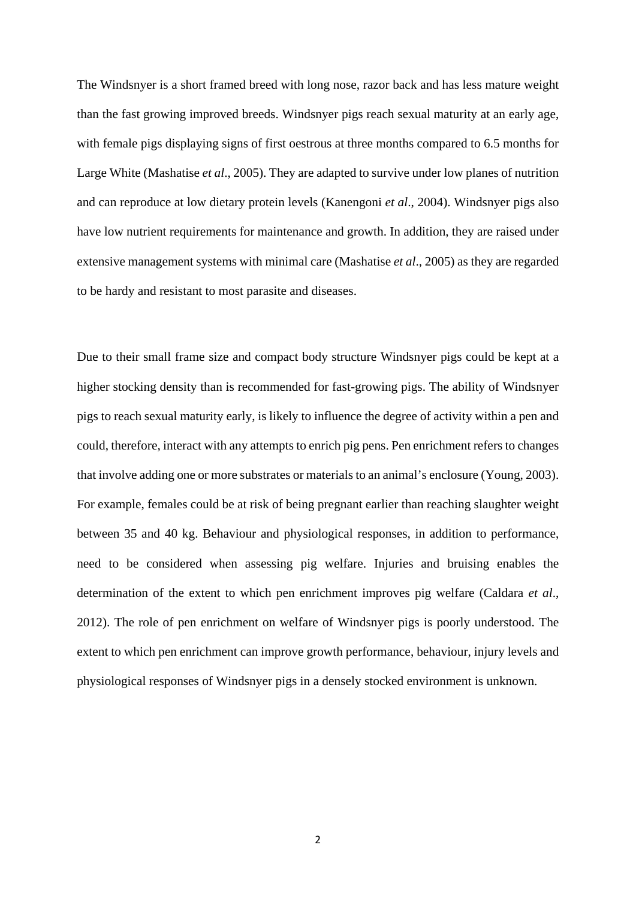The Windsnyer is a short framed breed with long nose, razor back and has less mature weight than the fast growing improved breeds. Windsnyer pigs reach sexual maturity at an early age, with female pigs displaying signs of first oestrous at three months compared to 6.5 months for Large White (Mashatise *et al*., 2005). They are adapted to survive under low planes of nutrition and can reproduce at low dietary protein levels (Kanengoni *et al*., 2004). Windsnyer pigs also have low nutrient requirements for maintenance and growth. In addition, they are raised under extensive management systems with minimal care (Mashatise *et al*., 2005) as they are regarded to be hardy and resistant to most parasite and diseases.

Due to their small frame size and compact body structure Windsnyer pigs could be kept at a higher stocking density than is recommended for fast-growing pigs. The ability of Windsnyer pigs to reach sexual maturity early, is likely to influence the degree of activity within a pen and could, therefore, interact with any attempts to enrich pig pens. Pen enrichment refers to changes that involve adding one or more substrates or materials to an animal's enclosure (Young, 2003). For example, females could be at risk of being pregnant earlier than reaching slaughter weight between 35 and 40 kg. Behaviour and physiological responses, in addition to performance, need to be considered when assessing pig welfare. Injuries and bruising enables the determination of the extent to which pen enrichment improves pig welfare (Caldara *et al*., 2012). The role of pen enrichment on welfare of Windsnyer pigs is poorly understood. The extent to which pen enrichment can improve growth performance, behaviour, injury levels and physiological responses of Windsnyer pigs in a densely stocked environment is unknown.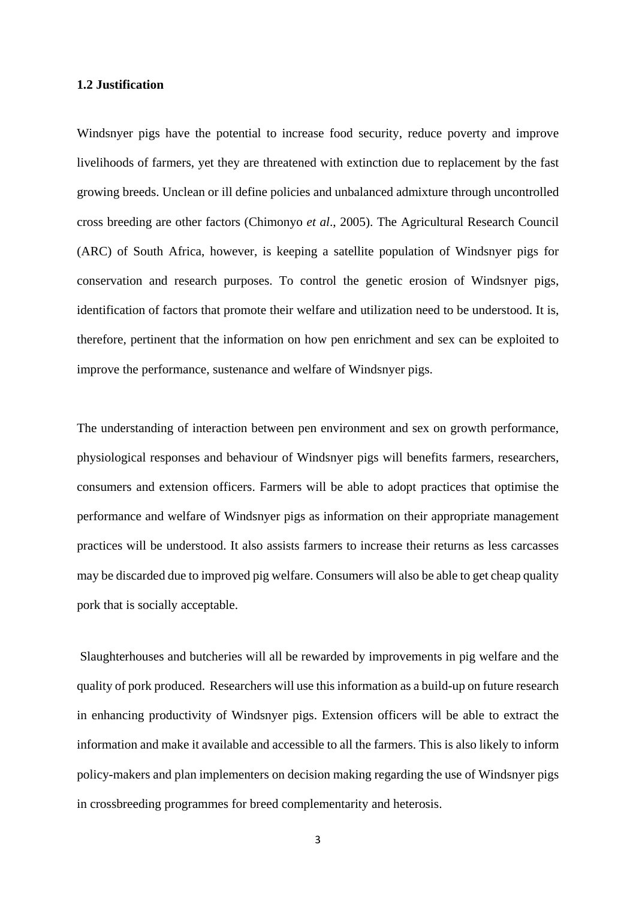#### <span id="page-17-0"></span>**1.2 Justification**

Windsnyer pigs have the potential to increase food security, reduce poverty and improve livelihoods of farmers, yet they are threatened with extinction due to replacement by the fast growing breeds. Unclean or ill define policies and unbalanced admixture through uncontrolled cross breeding are other factors (Chimonyo *et al*., 2005). The Agricultural Research Council (ARC) of South Africa, however, is keeping a satellite population of Windsnyer pigs for conservation and research purposes. To control the genetic erosion of Windsnyer pigs, identification of factors that promote their welfare and utilization need to be understood. It is, therefore, pertinent that the information on how pen enrichment and sex can be exploited to improve the performance, sustenance and welfare of Windsnyer pigs.

The understanding of interaction between pen environment and sex on growth performance, physiological responses and behaviour of Windsnyer pigs will benefits farmers, researchers, consumers and extension officers. Farmers will be able to adopt practices that optimise the performance and welfare of Windsnyer pigs as information on their appropriate management practices will be understood. It also assists farmers to increase their returns as less carcasses may be discarded due to improved pig welfare. Consumers will also be able to get cheap quality pork that is socially acceptable.

Slaughterhouses and butcheries will all be rewarded by improvements in pig welfare and the quality of pork produced. Researchers will use this information as a build-up on future research in enhancing productivity of Windsnyer pigs. Extension officers will be able to extract the information and make it available and accessible to all the farmers. This is also likely to inform policy-makers and plan implementers on decision making regarding the use of Windsnyer pigs in crossbreeding programmes for breed complementarity and heterosis.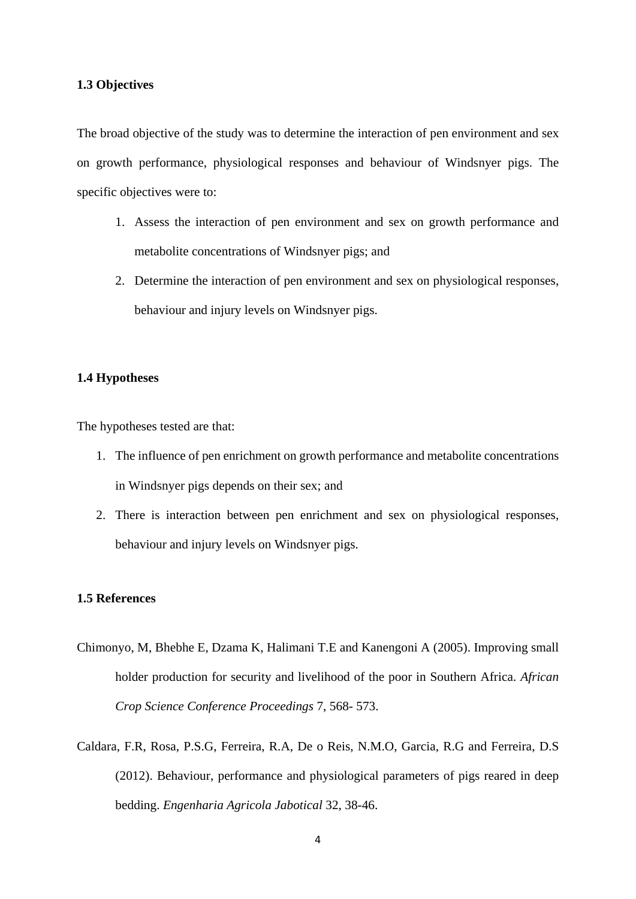## <span id="page-18-0"></span>**1.3 Objectives**

The broad objective of the study was to determine the interaction of pen environment and sex on growth performance, physiological responses and behaviour of Windsnyer pigs. The specific objectives were to:

- 1. Assess the interaction of pen environment and sex on growth performance and metabolite concentrations of Windsnyer pigs; and
- 2. Determine the interaction of pen environment and sex on physiological responses, behaviour and injury levels on Windsnyer pigs.

### <span id="page-18-1"></span>**1.4 Hypotheses**

The hypotheses tested are that:

- 1. The influence of pen enrichment on growth performance and metabolite concentrations in Windsnyer pigs depends on their sex; and
- 2. There is interaction between pen enrichment and sex on physiological responses, behaviour and injury levels on Windsnyer pigs.

## <span id="page-18-2"></span>**1.5 References**

- Chimonyo, M, Bhebhe E, Dzama K, Halimani T.E and Kanengoni A (2005). Improving small holder production for security and livelihood of the poor in Southern Africa. *African Crop Science Conference Proceedings* 7, 568- 573.
- Caldara, F.R, Rosa, P.S.G, Ferreira, R.A, De o Reis, N.M.O, Garcia, R.G and Ferreira, D.S (2012). Behaviour, performance and physiological parameters of pigs reared in deep bedding. *Engenharia Agricola Jabotical* 32, 38-46.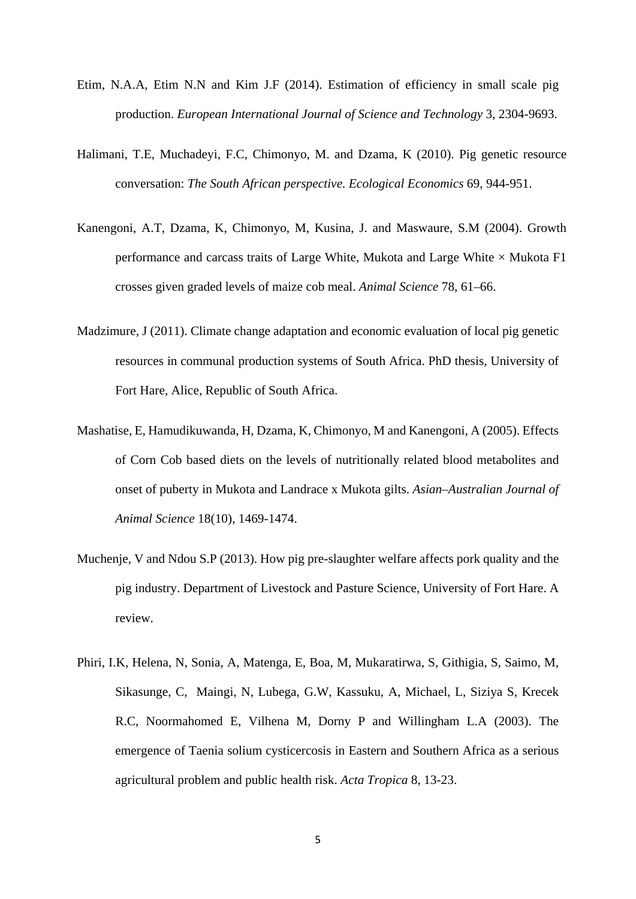- Etim, N.A.A, Etim N.N and Kim J.F (2014). Estimation of efficiency in small scale pig production. *European International Journal of Science and Technology* 3, 2304-9693.
- Halimani, T.E, Muchadeyi, F.C, Chimonyo, M. and Dzama, K (2010). Pig genetic resource conversation: *The South African perspective. Ecological Economics* 69, 944-951.
- Kanengoni, A.T, Dzama, K, Chimonyo, M, Kusina, J. and Maswaure, S.M (2004). Growth performance and carcass traits of Large White, Mukota and Large White  $\times$  Mukota F1 crosses given graded levels of maize cob meal. *Animal Science* 78, 61–66.
- Madzimure, J (2011). Climate change adaptation and economic evaluation of local pig genetic resources in communal production systems of South Africa. PhD thesis, University of Fort Hare, Alice, Republic of South Africa.
- Mashatise, E, Hamudikuwanda, H, Dzama, K, Chimonyo, M and Kanengoni, A (2005). Effects of Corn Cob based diets on the levels of nutritionally related blood metabolites and onset of puberty in Mukota and Landrace x Mukota gilts. *Asian–Australian Journal of Animal Science* 18(10), 1469-1474.
- Muchenje, V and Ndou S.P (2013). How pig pre-slaughter welfare affects pork quality and the pig industry. Department of Livestock and Pasture Science, University of Fort Hare. A review.
- Phiri, I.K, Helena, N, Sonia, A, Matenga, E, Boa, M, Mukaratirwa, S, Githigia, S, Saimo, M, Sikasunge, C, Maingi, N, Lubega, G.W, Kassuku, A, Michael, L, Siziya S, Krecek R.C, Noormahomed E, Vilhena M, Dorny P and Willingham L.A (2003). The emergence of Taenia solium cysticercosis in Eastern and Southern Africa as a serious agricultural problem and public health risk. *Acta Tropica* 8, 13-23.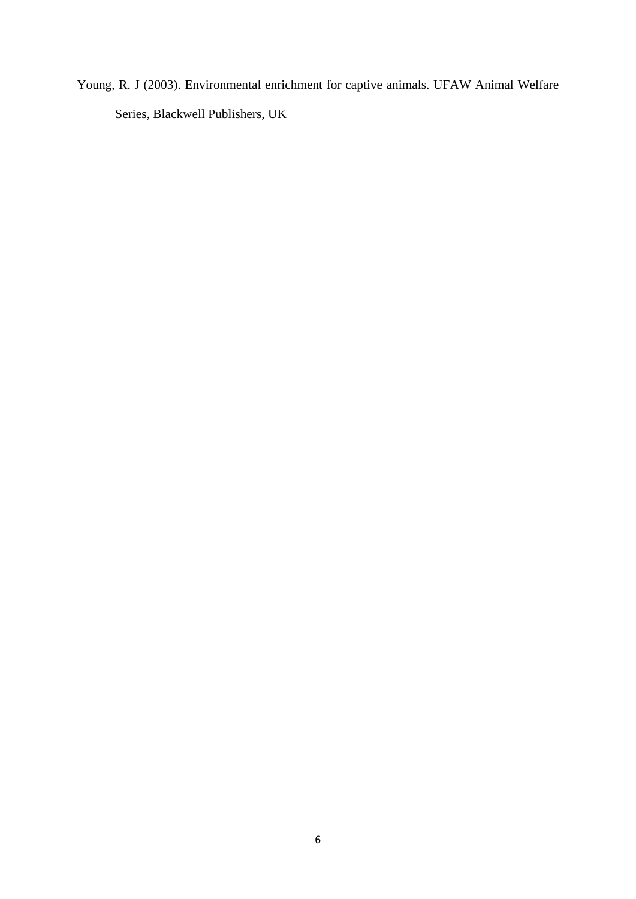Young, R. J (2003). Environmental enrichment for captive animals. UFAW Animal Welfare Series, Blackwell Publishers, UK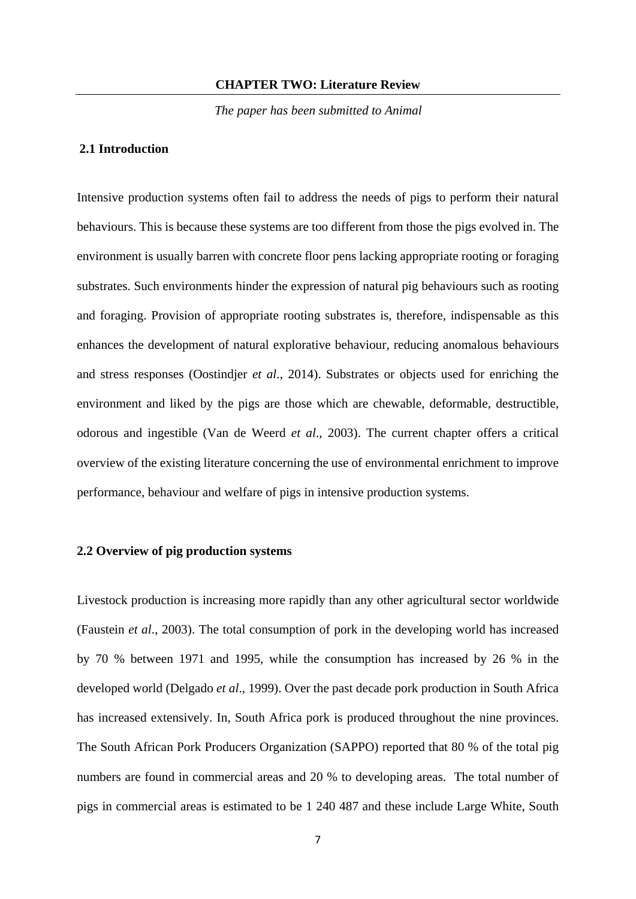#### **CHAPTER TWO: Literature Review**

 *The paper has been submitted to Animal* 

## <span id="page-21-1"></span><span id="page-21-0"></span>**2.1 Introduction**

Intensive production systems often fail to address the needs of pigs to perform their natural behaviours. This is because these systems are too different from those the pigs evolved in. The environment is usually barren with concrete floor pens lacking appropriate rooting or foraging substrates. Such environments hinder the expression of natural pig behaviours such as rooting and foraging. Provision of appropriate rooting substrates is, therefore, indispensable as this enhances the development of natural explorative behaviour, reducing anomalous behaviours and stress responses (Oostindjer *et al*., 2014). Substrates or objects used for enriching the environment and liked by the pigs are those which are chewable, deformable, destructible, odorous and ingestible (Van de Weerd *et al*., 2003). The current chapter offers a critical overview of the existing literature concerning the use of environmental enrichment to improve performance, behaviour and welfare of pigs in intensive production systems.

#### <span id="page-21-2"></span>**2.2 Overview of pig production systems**

Livestock production is increasing more rapidly than any other agricultural sector worldwide (Faustein *et al*., 2003). The total consumption of pork in the developing world has increased by 70 % between 1971 and 1995, while the consumption has increased by 26 % in the developed world (Delgado *et al*., 1999). Over the past decade pork production in South Africa has increased extensively. In, South Africa pork is produced throughout the nine provinces. The South African Pork Producers Organization (SAPPO) reported that 80 % of the total pig numbers are found in commercial areas and 20 % to developing areas. The total number of pigs in commercial areas is estimated to be 1 240 487 and these include Large White, South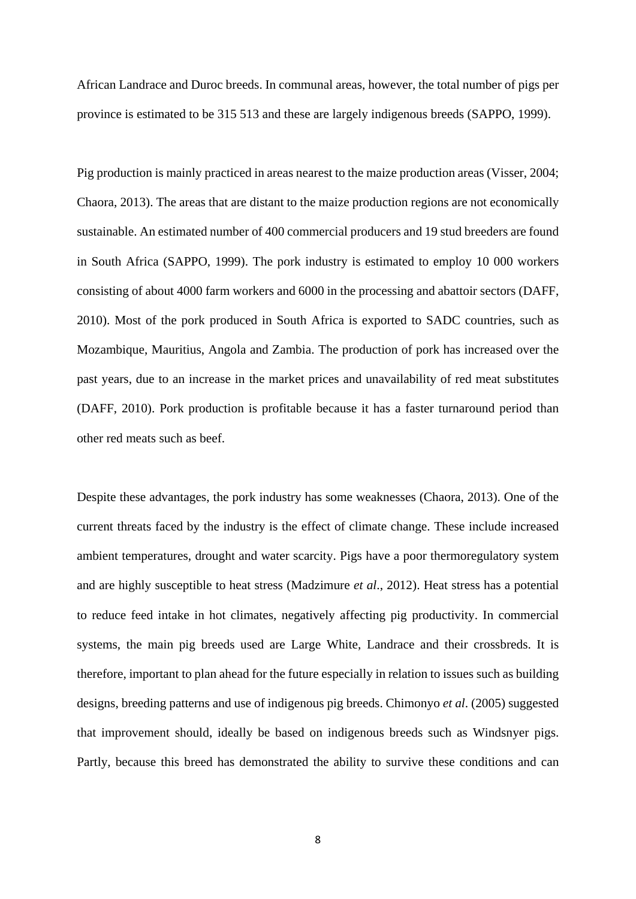African Landrace and Duroc breeds. In communal areas, however, the total number of pigs per province is estimated to be 315 513 and these are largely indigenous breeds (SAPPO, 1999).

Pig production is mainly practiced in areas nearest to the maize production areas (Visser, 2004; Chaora, 2013). The areas that are distant to the maize production regions are not economically sustainable. An estimated number of 400 commercial producers and 19 stud breeders are found in South Africa (SAPPO, 1999). The pork industry is estimated to employ 10 000 workers consisting of about 4000 farm workers and 6000 in the processing and abattoir sectors (DAFF, 2010). Most of the pork produced in South Africa is exported to SADC countries, such as Mozambique, Mauritius, Angola and Zambia. The production of pork has increased over the past years, due to an increase in the market prices and unavailability of red meat substitutes (DAFF, 2010). Pork production is profitable because it has a faster turnaround period than other red meats such as beef.

Despite these advantages, the pork industry has some weaknesses (Chaora, 2013). One of the current threats faced by the industry is the effect of climate change. These include increased ambient temperatures, drought and water scarcity. Pigs have a poor thermoregulatory system and are highly susceptible to heat stress (Madzimure *et al*., 2012). Heat stress has a potential to reduce feed intake in hot climates, negatively affecting pig productivity. In commercial systems, the main pig breeds used are Large White, Landrace and their crossbreds. It is therefore, important to plan ahead for the future especially in relation to issues such as building designs, breeding patterns and use of indigenous pig breeds. Chimonyo *et al*. (2005) suggested that improvement should, ideally be based on indigenous breeds such as Windsnyer pigs. Partly, because this breed has demonstrated the ability to survive these conditions and can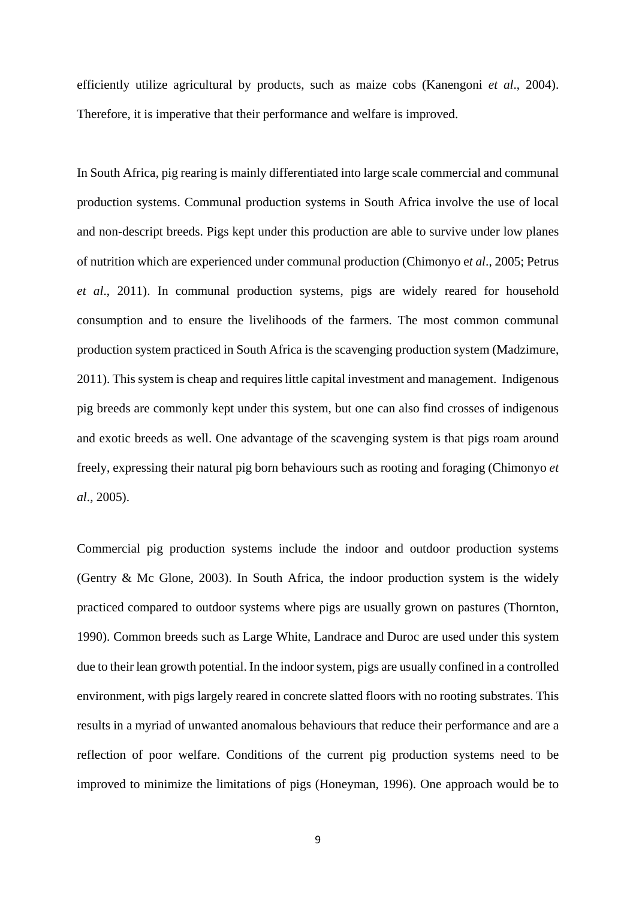efficiently utilize agricultural by products, such as maize cobs (Kanengoni *et al*., 2004). Therefore, it is imperative that their performance and welfare is improved.

In South Africa, pig rearing is mainly differentiated into large scale commercial and communal production systems. Communal production systems in South Africa involve the use of local and non-descript breeds. Pigs kept under this production are able to survive under low planes of nutrition which are experienced under communal production (Chimonyo e*t al*., 2005; Petrus *et al*., 2011). In communal production systems, pigs are widely reared for household consumption and to ensure the livelihoods of the farmers. The most common communal production system practiced in South Africa is the scavenging production system (Madzimure, 2011). This system is cheap and requires little capital investment and management. Indigenous pig breeds are commonly kept under this system, but one can also find crosses of indigenous and exotic breeds as well. One advantage of the scavenging system is that pigs roam around freely, expressing their natural pig born behaviours such as rooting and foraging (Chimonyo *et al*., 2005).

Commercial pig production systems include the indoor and outdoor production systems (Gentry & Mc Glone, 2003). In South Africa, the indoor production system is the widely practiced compared to outdoor systems where pigs are usually grown on pastures (Thornton, 1990). Common breeds such as Large White, Landrace and Duroc are used under this system due to their lean growth potential. In the indoor system, pigs are usually confined in a controlled environment, with pigs largely reared in concrete slatted floors with no rooting substrates. This results in a myriad of unwanted anomalous behaviours that reduce their performance and are a reflection of poor welfare. Conditions of the current pig production systems need to be improved to minimize the limitations of pigs (Honeyman, 1996). One approach would be to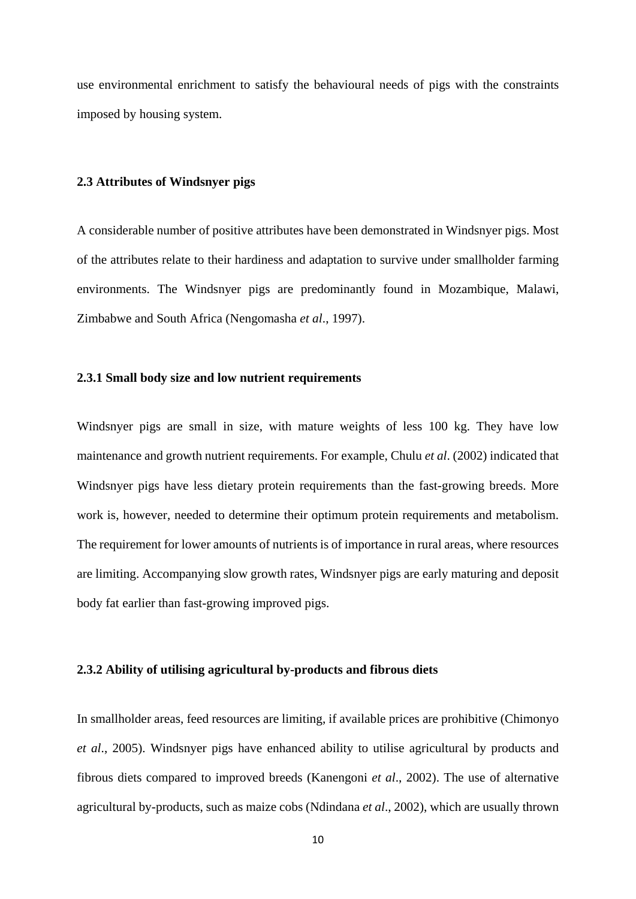use environmental enrichment to satisfy the behavioural needs of pigs with the constraints imposed by housing system.

### <span id="page-24-0"></span>**2.3 Attributes of Windsnyer pigs**

A considerable number of positive attributes have been demonstrated in Windsnyer pigs. Most of the attributes relate to their hardiness and adaptation to survive under smallholder farming environments. The Windsnyer pigs are predominantly found in Mozambique, Malawi, Zimbabwe and South Africa (Nengomasha *et al*., 1997).

#### <span id="page-24-1"></span>**2.3.1 Small body size and low nutrient requirements**

Windsnyer pigs are small in size, with mature weights of less 100 kg. They have low maintenance and growth nutrient requirements. For example, Chulu *et al*. (2002) indicated that Windsnyer pigs have less dietary protein requirements than the fast-growing breeds. More work is, however, needed to determine their optimum protein requirements and metabolism. The requirement for lower amounts of nutrients is of importance in rural areas, where resources are limiting. Accompanying slow growth rates, Windsnyer pigs are early maturing and deposit body fat earlier than fast-growing improved pigs.

### <span id="page-24-2"></span>**2.3.2 Ability of utilising agricultural by-products and fibrous diets**

In smallholder areas, feed resources are limiting, if available prices are prohibitive (Chimonyo *et al*., 2005). Windsnyer pigs have enhanced ability to utilise agricultural by products and fibrous diets compared to improved breeds (Kanengoni *et al*., 2002). The use of alternative agricultural by-products, such as maize cobs (Ndindana *et al*., 2002), which are usually thrown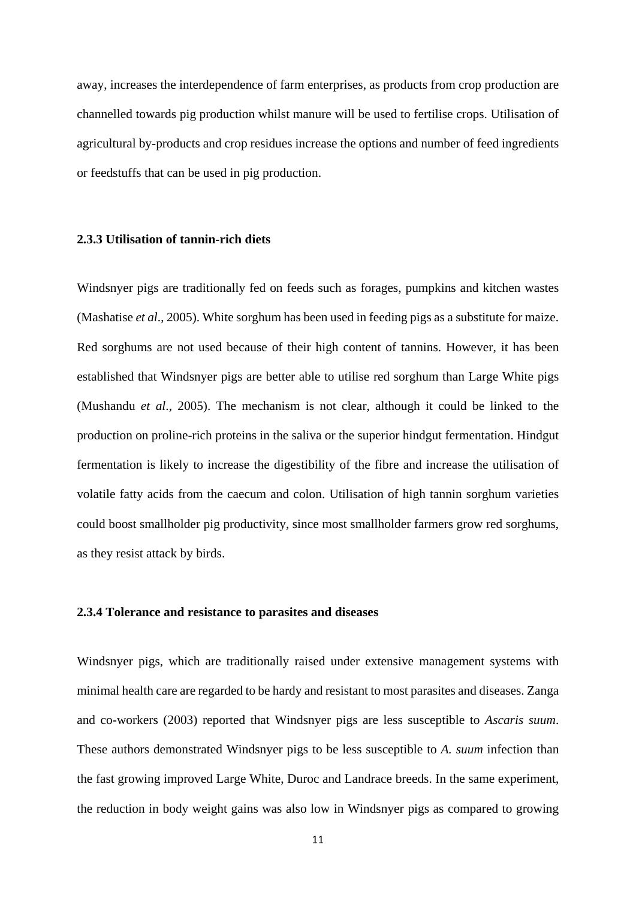away, increases the interdependence of farm enterprises, as products from crop production are channelled towards pig production whilst manure will be used to fertilise crops. Utilisation of agricultural by-products and crop residues increase the options and number of feed ingredients or feedstuffs that can be used in pig production.

## <span id="page-25-0"></span>**2.3.3 Utilisation of tannin-rich diets**

Windsnyer pigs are traditionally fed on feeds such as forages, pumpkins and kitchen wastes (Mashatise *et al*., 2005). White sorghum has been used in feeding pigs as a substitute for maize. Red sorghums are not used because of their high content of tannins. However, it has been established that Windsnyer pigs are better able to utilise red sorghum than Large White pigs (Mushandu *et al*., 2005). The mechanism is not clear, although it could be linked to the production on proline-rich proteins in the saliva or the superior hindgut fermentation. Hindgut fermentation is likely to increase the digestibility of the fibre and increase the utilisation of volatile fatty acids from the caecum and colon. Utilisation of high tannin sorghum varieties could boost smallholder pig productivity, since most smallholder farmers grow red sorghums, as they resist attack by birds.

## <span id="page-25-1"></span>**2.3.4 Tolerance and resistance to parasites and diseases**

Windsnyer pigs, which are traditionally raised under extensive management systems with minimal health care are regarded to be hardy and resistant to most parasites and diseases. Zanga and co-workers (2003) reported that Windsnyer pigs are less susceptible to *Ascaris suum*. These authors demonstrated Windsnyer pigs to be less susceptible to *A. suum* infection than the fast growing improved Large White, Duroc and Landrace breeds. In the same experiment, the reduction in body weight gains was also low in Windsnyer pigs as compared to growing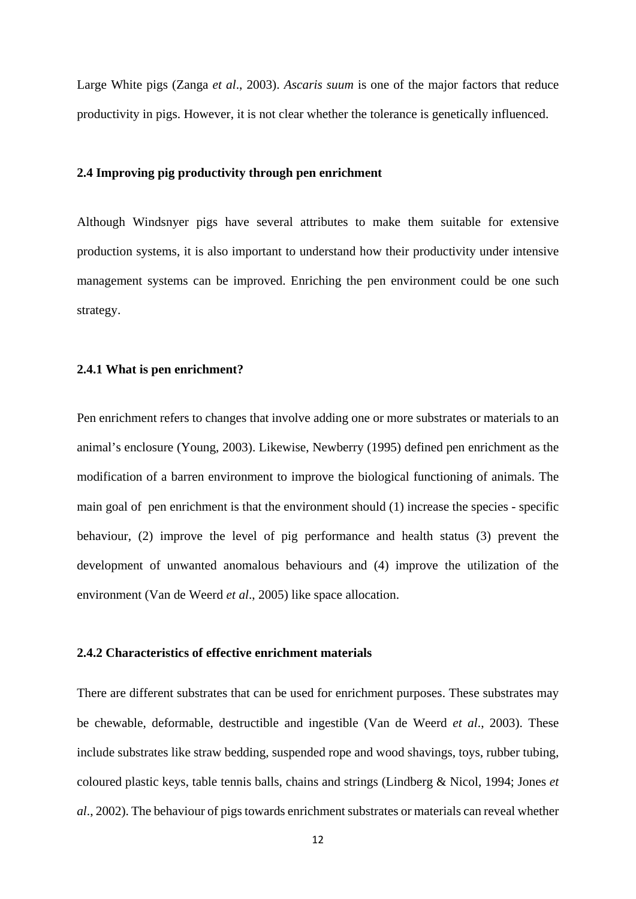Large White pigs (Zanga *et al*., 2003). *Ascaris suum* is one of the major factors that reduce productivity in pigs. However, it is not clear whether the tolerance is genetically influenced.

### <span id="page-26-0"></span>**2.4 Improving pig productivity through pen enrichment**

Although Windsnyer pigs have several attributes to make them suitable for extensive production systems, it is also important to understand how their productivity under intensive management systems can be improved. Enriching the pen environment could be one such strategy.

## <span id="page-26-1"></span>**2.4.1 What is pen enrichment?**

Pen enrichment refers to changes that involve adding one or more substrates or materials to an animal's enclosure (Young, 2003). Likewise, Newberry (1995) defined pen enrichment as the modification of a barren environment to improve the biological functioning of animals. The main goal of pen enrichment is that the environment should (1) increase the species - specific behaviour, (2) improve the level of pig performance and health status (3) prevent the development of unwanted anomalous behaviours and (4) improve the utilization of the environment (Van de Weerd *et al*., 2005) like space allocation.

## <span id="page-26-2"></span>**2.4.2 Characteristics of effective enrichment materials**

There are different substrates that can be used for enrichment purposes. These substrates may be chewable, deformable, destructible and ingestible (Van de Weerd *et al*., 2003). These include substrates like straw bedding, suspended rope and wood shavings, toys, rubber tubing, coloured plastic keys, table tennis balls, chains and strings (Lindberg & Nicol, 1994; Jones *et al*., 2002). The behaviour of pigs towards enrichment substrates or materials can reveal whether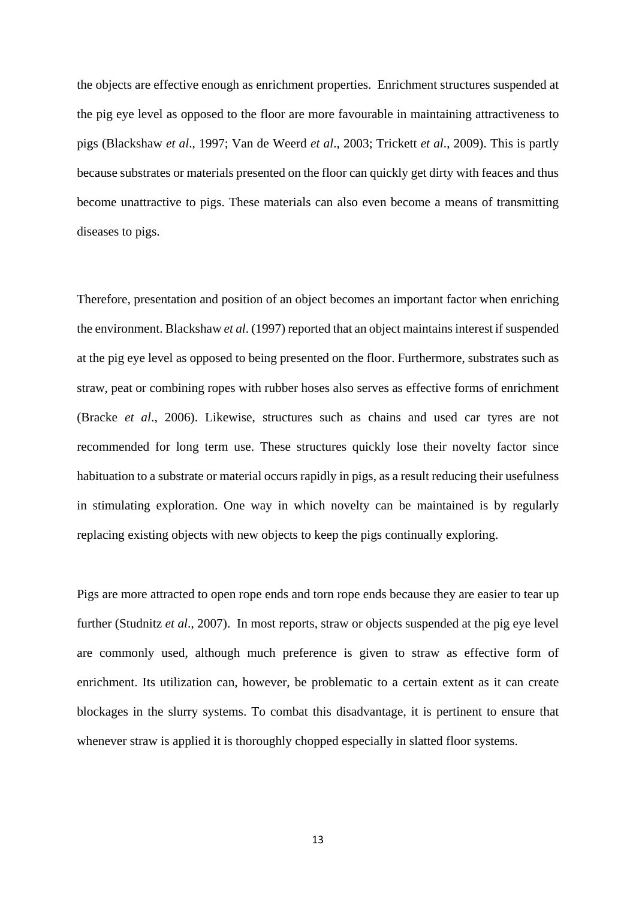the objects are effective enough as enrichment properties. Enrichment structures suspended at the pig eye level as opposed to the floor are more favourable in maintaining attractiveness to pigs (Blackshaw *et al*., 1997; Van de Weerd *et al*., 2003; Trickett *et al*., 2009). This is partly because substrates or materials presented on the floor can quickly get dirty with feaces and thus become unattractive to pigs. These materials can also even become a means of transmitting diseases to pigs.

Therefore, presentation and position of an object becomes an important factor when enriching the environment. Blackshaw *et al*. (1997) reported that an object maintains interest if suspended at the pig eye level as opposed to being presented on the floor. Furthermore, substrates such as straw, peat or combining ropes with rubber hoses also serves as effective forms of enrichment (Bracke *et al*., 2006). Likewise, structures such as chains and used car tyres are not recommended for long term use. These structures quickly lose their novelty factor since habituation to a substrate or material occurs rapidly in pigs, as a result reducing their usefulness in stimulating exploration. One way in which novelty can be maintained is by regularly replacing existing objects with new objects to keep the pigs continually exploring.

Pigs are more attracted to open rope ends and torn rope ends because they are easier to tear up further (Studnitz *et al*., 2007). In most reports, straw or objects suspended at the pig eye level are commonly used, although much preference is given to straw as effective form of enrichment. Its utilization can, however, be problematic to a certain extent as it can create blockages in the slurry systems. To combat this disadvantage, it is pertinent to ensure that whenever straw is applied it is thoroughly chopped especially in slatted floor systems.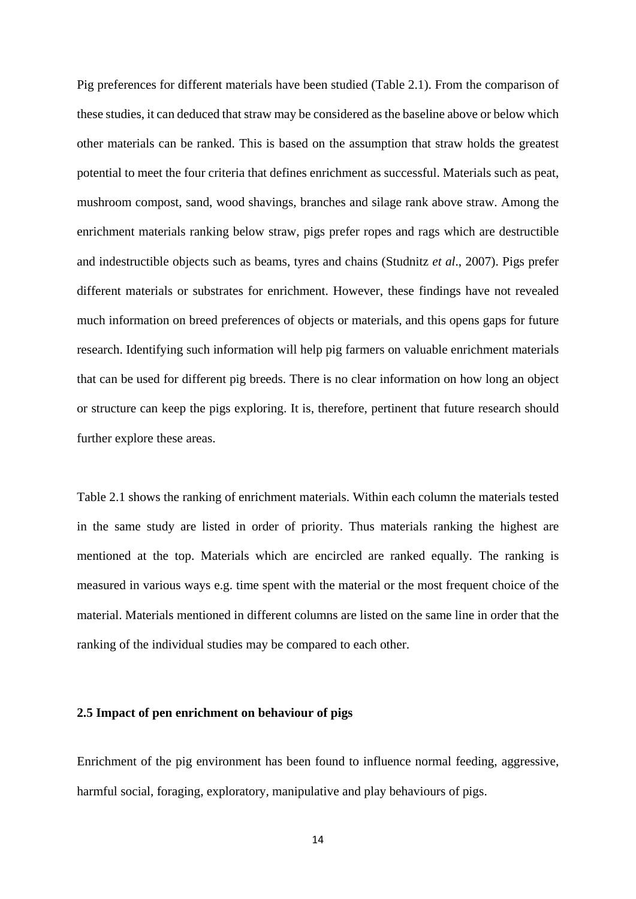Pig preferences for different materials have been studied (Table 2.1). From the comparison of these studies, it can deduced that straw may be considered as the baseline above or below which other materials can be ranked. This is based on the assumption that straw holds the greatest potential to meet the four criteria that defines enrichment as successful. Materials such as peat, mushroom compost, sand, wood shavings, branches and silage rank above straw. Among the enrichment materials ranking below straw, pigs prefer ropes and rags which are destructible and indestructible objects such as beams, tyres and chains (Studnitz *et al*., 2007). Pigs prefer different materials or substrates for enrichment. However, these findings have not revealed much information on breed preferences of objects or materials, and this opens gaps for future research. Identifying such information will help pig farmers on valuable enrichment materials that can be used for different pig breeds. There is no clear information on how long an object or structure can keep the pigs exploring. It is, therefore, pertinent that future research should further explore these areas.

Table 2.1 shows the ranking of enrichment materials. Within each column the materials tested in the same study are listed in order of priority. Thus materials ranking the highest are mentioned at the top. Materials which are encircled are ranked equally. The ranking is measured in various ways e.g. time spent with the material or the most frequent choice of the material. Materials mentioned in different columns are listed on the same line in order that the ranking of the individual studies may be compared to each other.

## <span id="page-28-0"></span>**2.5 Impact of pen enrichment on behaviour of pigs**

Enrichment of the pig environment has been found to influence normal feeding, aggressive, harmful social, foraging, exploratory, manipulative and play behaviours of pigs.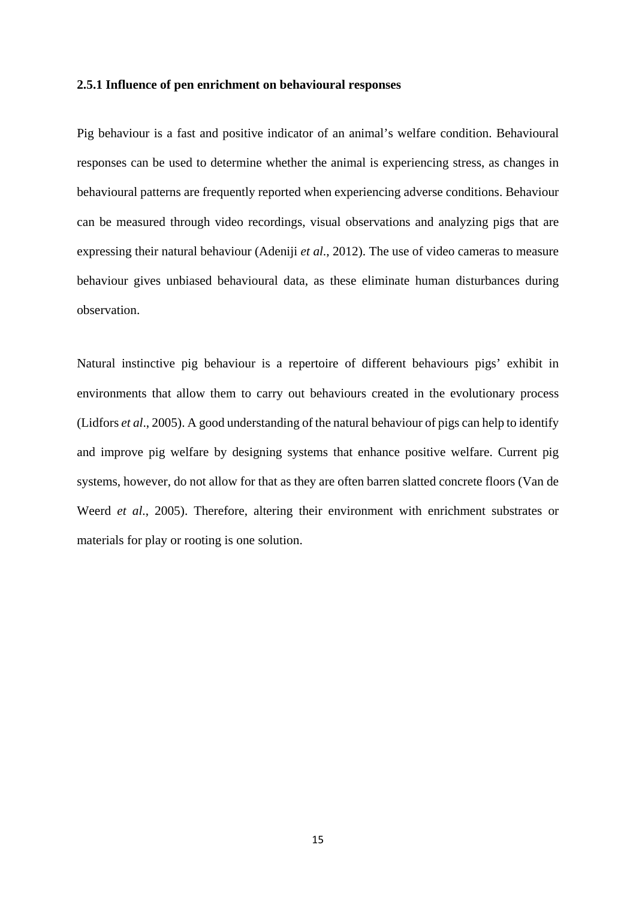#### <span id="page-29-0"></span>**2.5.1 Influence of pen enrichment on behavioural responses**

Pig behaviour is a fast and positive indicator of an animal's welfare condition. Behavioural responses can be used to determine whether the animal is experiencing stress, as changes in behavioural patterns are frequently reported when experiencing adverse conditions. Behaviour can be measured through video recordings, visual observations and analyzing pigs that are expressing their natural behaviour (Adeniji *et al*., 2012). The use of video cameras to measure behaviour gives unbiased behavioural data, as these eliminate human disturbances during observation.

Natural instinctive pig behaviour is a repertoire of different behaviours pigs' exhibit in environments that allow them to carry out behaviours created in the evolutionary process (Lidfors *et al*., 2005). A good understanding of the natural behaviour of pigs can help to identify and improve pig welfare by designing systems that enhance positive welfare. Current pig systems, however, do not allow for that as they are often barren slatted concrete floors (Van de Weerd *et al*., 2005). Therefore, altering their environment with enrichment substrates or materials for play or rooting is one solution.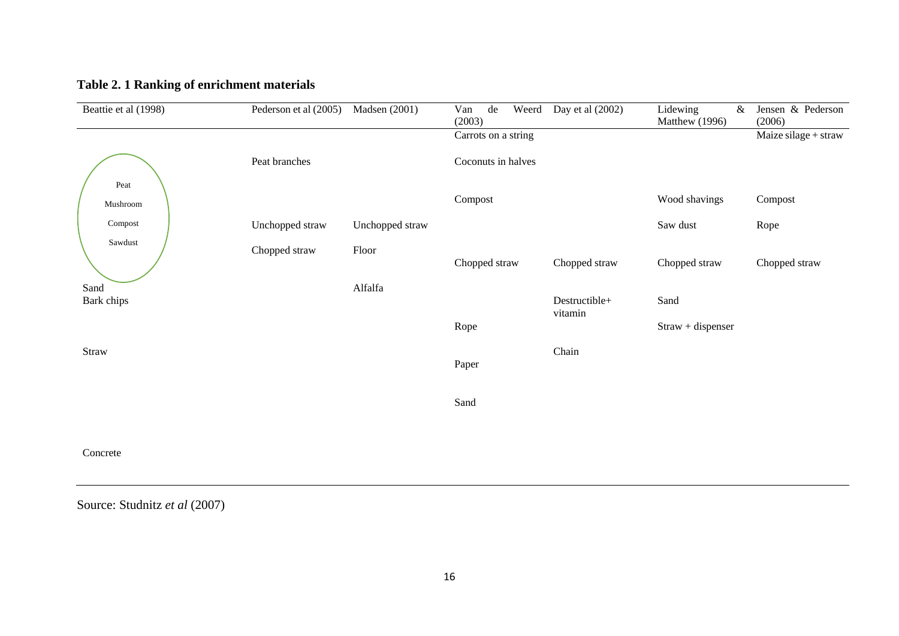| Beattie et al (1998) | Pederson et al (2005) | <b>Madsen</b> (2001) | Van<br>de<br>Weerd<br>(2003) | Day et al (2002)         | Lidewing<br>&<br>Matthew (1996) | Jensen & Pederson<br>(2006) |
|----------------------|-----------------------|----------------------|------------------------------|--------------------------|---------------------------------|-----------------------------|
|                      |                       |                      | Carrots on a string          |                          |                                 | Maize silage + straw        |
|                      | Peat branches         |                      | Coconuts in halves           |                          |                                 |                             |
| Peat<br>Mushroom     |                       |                      | Compost                      |                          | Wood shavings                   | Compost                     |
| Compost              | Unchopped straw       | Unchopped straw      |                              |                          | Saw dust                        | Rope                        |
| Sawdust              | Chopped straw         | Floor                | Chopped straw                | Chopped straw            | Chopped straw                   | Chopped straw               |
| Sand<br>Bark chips   |                       | Alfalfa              |                              | Destructible+<br>vitamin | Sand                            |                             |
|                      |                       |                      | Rope                         |                          | Straw + dispenser               |                             |
| Straw                |                       |                      | Paper                        | Chain                    |                                 |                             |
|                      |                       |                      | Sand                         |                          |                                 |                             |
| Concrete             |                       |                      |                              |                          |                                 |                             |

# **Table 2. 1 Ranking of enrichment materials**

<span id="page-30-0"></span>Source: Studnitz *et al* (2007)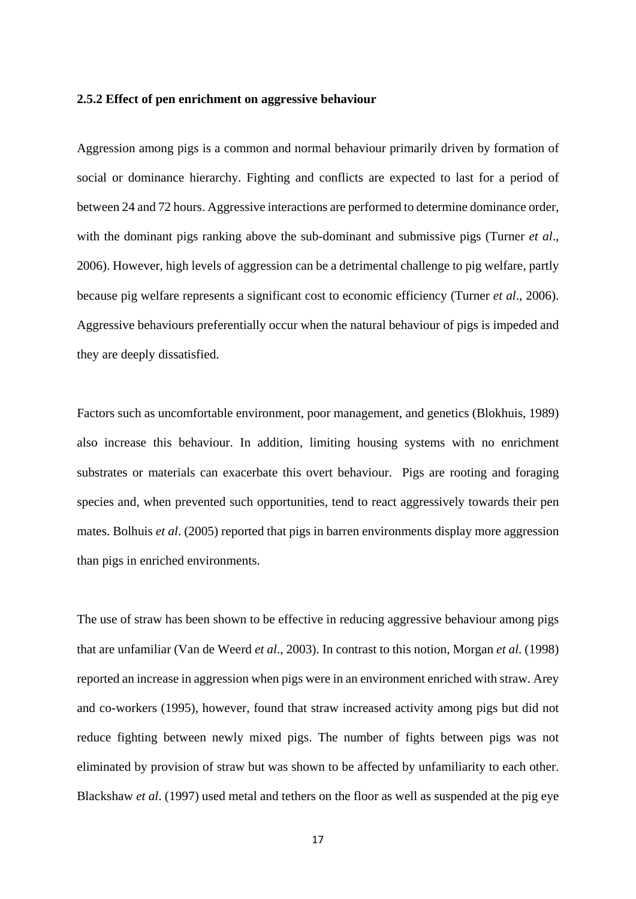#### <span id="page-31-0"></span>**2.5.2 Effect of pen enrichment on aggressive behaviour**

Aggression among pigs is a common and normal behaviour primarily driven by formation of social or dominance hierarchy. Fighting and conflicts are expected to last for a period of between 24 and 72 hours. Aggressive interactions are performed to determine dominance order, with the dominant pigs ranking above the sub-dominant and submissive pigs (Turner *et al*., 2006). However, high levels of aggression can be a detrimental challenge to pig welfare*,* partly because pig welfare represents a significant cost to economic efficiency (Turner *et al*., 2006). Aggressive behaviours preferentially occur when the natural behaviour of pigs is impeded and they are deeply dissatisfied.

Factors such as uncomfortable environment, poor management, and genetics (Blokhuis, 1989) also increase this behaviour. In addition, limiting housing systems with no enrichment substrates or materials can exacerbate this overt behaviour. Pigs are rooting and foraging species and, when prevented such opportunities, tend to react aggressively towards their pen mates. Bolhuis *et al*. (2005) reported that pigs in barren environments display more aggression than pigs in enriched environments.

The use of straw has been shown to be effective in reducing aggressive behaviour among pigs that are unfamiliar (Van de Weerd *et al*., 2003). In contrast to this notion, Morgan *et al*. (1998) reported an increase in aggression when pigs were in an environment enriched with straw. Arey and co-workers (1995), however, found that straw increased activity among pigs but did not reduce fighting between newly mixed pigs. The number of fights between pigs was not eliminated by provision of straw but was shown to be affected by unfamiliarity to each other. Blackshaw *et al*. (1997) used metal and tethers on the floor as well as suspended at the pig eye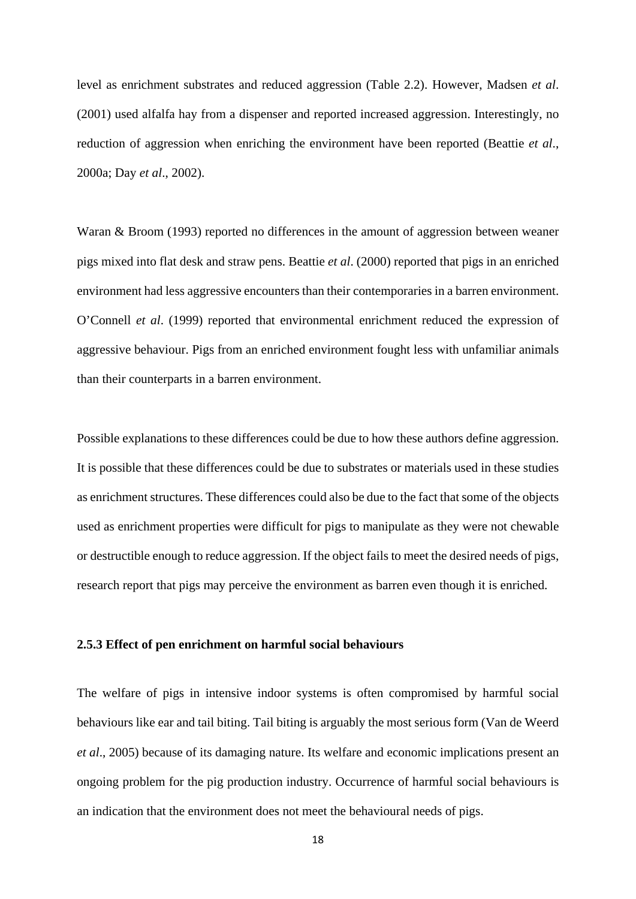level as enrichment substrates and reduced aggression (Table 2.2). However, Madsen *et al*. (2001) used alfalfa hay from a dispenser and reported increased aggression. Interestingly, no reduction of aggression when enriching the environment have been reported (Beattie *et al*., 2000a; Day *et al*., 2002).

Waran & Broom (1993) reported no differences in the amount of aggression between weaner pigs mixed into flat desk and straw pens. Beattie *et al*. (2000) reported that pigs in an enriched environment had less aggressive encounters than their contemporaries in a barren environment. O'Connell *et al*. (1999) reported that environmental enrichment reduced the expression of aggressive behaviour. Pigs from an enriched environment fought less with unfamiliar animals than their counterparts in a barren environment.

Possible explanations to these differences could be due to how these authors define aggression. It is possible that these differences could be due to substrates or materials used in these studies as enrichment structures. These differences could also be due to the fact that some of the objects used as enrichment properties were difficult for pigs to manipulate as they were not chewable or destructible enough to reduce aggression. If the object fails to meet the desired needs of pigs, research report that pigs may perceive the environment as barren even though it is enriched.

#### <span id="page-32-0"></span>**2.5.3 Effect of pen enrichment on harmful social behaviours**

The welfare of pigs in intensive indoor systems is often compromised by harmful social behaviours like ear and tail biting. Tail biting is arguably the most serious form (Van de Weerd *et al*., 2005) because of its damaging nature. Its welfare and economic implications present an ongoing problem for the pig production industry. Occurrence of harmful social behaviours is an indication that the environment does not meet the behavioural needs of pigs.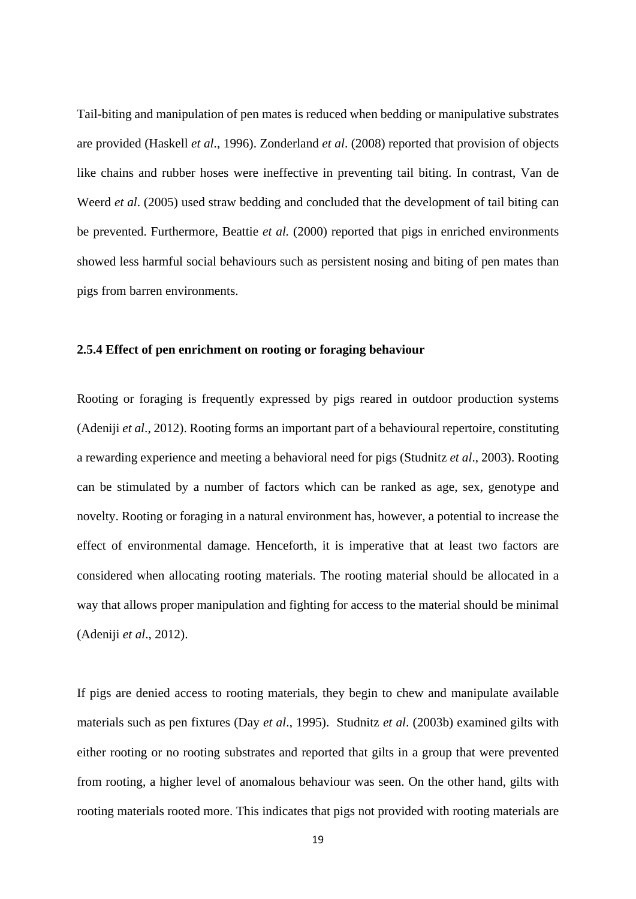Tail-biting and manipulation of pen mates is reduced when bedding or manipulative substrates are provided (Haskell *et al*., 1996). Zonderland *et al*. (2008) reported that provision of objects like chains and rubber hoses were ineffective in preventing tail biting. In contrast, Van de Weerd *et al*. (2005) used straw bedding and concluded that the development of tail biting can be prevented. Furthermore, Beattie *et al.* (2000) reported that pigs in enriched environments showed less harmful social behaviours such as persistent nosing and biting of pen mates than pigs from barren environments.

#### <span id="page-33-0"></span>**2.5.4 Effect of pen enrichment on rooting or foraging behaviour**

Rooting or foraging is frequently expressed by pigs reared in outdoor production systems (Adeniji *et al*., 2012). Rooting forms an important part of a behavioural repertoire, constituting a rewarding experience and meeting a behavioral need for pigs (Studnitz *et al*., 2003). Rooting can be stimulated by a number of factors which can be ranked as age, sex, genotype and novelty. Rooting or foraging in a natural environment has, however, a potential to increase the effect of environmental damage. Henceforth, it is imperative that at least two factors are considered when allocating rooting materials. The rooting material should be allocated in a way that allows proper manipulation and fighting for access to the material should be minimal (Adeniji *et al*., 2012).

If pigs are denied access to rooting materials, they begin to chew and manipulate available materials such as pen fixtures (Day *et al*., 1995). Studnitz *et al*. (2003b) examined gilts with either rooting or no rooting substrates and reported that gilts in a group that were prevented from rooting, a higher level of anomalous behaviour was seen. On the other hand, gilts with rooting materials rooted more. This indicates that pigs not provided with rooting materials are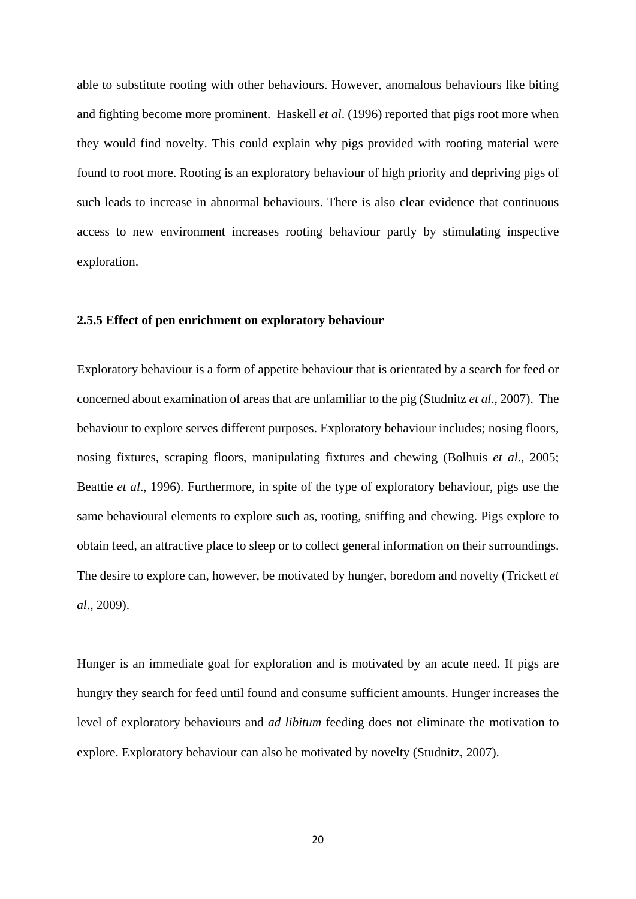able to substitute rooting with other behaviours. However, anomalous behaviours like biting and fighting become more prominent. Haskell *et al*. (1996) reported that pigs root more when they would find novelty. This could explain why pigs provided with rooting material were found to root more. Rooting is an exploratory behaviour of high priority and depriving pigs of such leads to increase in abnormal behaviours. There is also clear evidence that continuous access to new environment increases rooting behaviour partly by stimulating inspective exploration.

## <span id="page-34-0"></span>**2.5.5 Effect of pen enrichment on exploratory behaviour**

Exploratory behaviour is a form of appetite behaviour that is orientated by a search for feed or concerned about examination of areas that are unfamiliar to the pig (Studnitz *et al*., 2007). The behaviour to explore serves different purposes. Exploratory behaviour includes; nosing floors, nosing fixtures, scraping floors, manipulating fixtures and chewing (Bolhuis *et al*., 2005; Beattie *et al*., 1996). Furthermore, in spite of the type of exploratory behaviour, pigs use the same behavioural elements to explore such as, rooting, sniffing and chewing. Pigs explore to obtain feed, an attractive place to sleep or to collect general information on their surroundings. The desire to explore can, however, be motivated by hunger, boredom and novelty (Trickett *et al*., 2009).

Hunger is an immediate goal for exploration and is motivated by an acute need. If pigs are hungry they search for feed until found and consume sufficient amounts. Hunger increases the level of exploratory behaviours and *ad libitum* feeding does not eliminate the motivation to explore. Exploratory behaviour can also be motivated by novelty (Studnitz, 2007).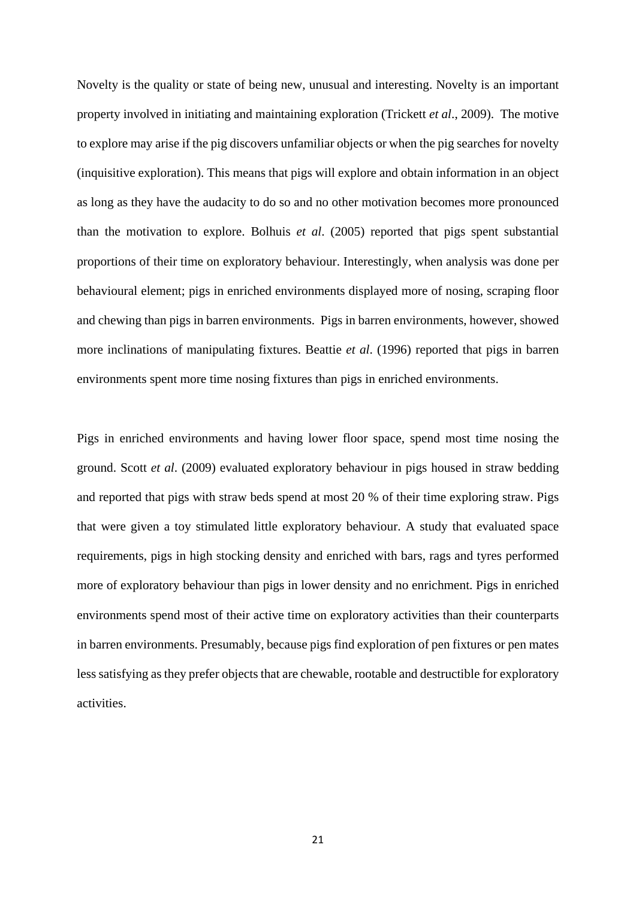Novelty is the quality or state of being new, unusual and interesting. Novelty is an important property involved in initiating and maintaining exploration (Trickett *et al*., 2009). The motive to explore may arise if the pig discovers unfamiliar objects or when the pig searches for novelty (inquisitive exploration). This means that pigs will explore and obtain information in an object as long as they have the audacity to do so and no other motivation becomes more pronounced than the motivation to explore. Bolhuis *et al*. (2005) reported that pigs spent substantial proportions of their time on exploratory behaviour. Interestingly, when analysis was done per behavioural element; pigs in enriched environments displayed more of nosing, scraping floor and chewing than pigs in barren environments. Pigs in barren environments, however, showed more inclinations of manipulating fixtures. Beattie *et al*. (1996) reported that pigs in barren environments spent more time nosing fixtures than pigs in enriched environments.

Pigs in enriched environments and having lower floor space, spend most time nosing the ground. Scott *et al*. (2009) evaluated exploratory behaviour in pigs housed in straw bedding and reported that pigs with straw beds spend at most 20 % of their time exploring straw. Pigs that were given a toy stimulated little exploratory behaviour. A study that evaluated space requirements, pigs in high stocking density and enriched with bars, rags and tyres performed more of exploratory behaviour than pigs in lower density and no enrichment. Pigs in enriched environments spend most of their active time on exploratory activities than their counterparts in barren environments. Presumably, because pigs find exploration of pen fixtures or pen mates less satisfying as they prefer objects that are chewable, rootable and destructible for exploratory activities.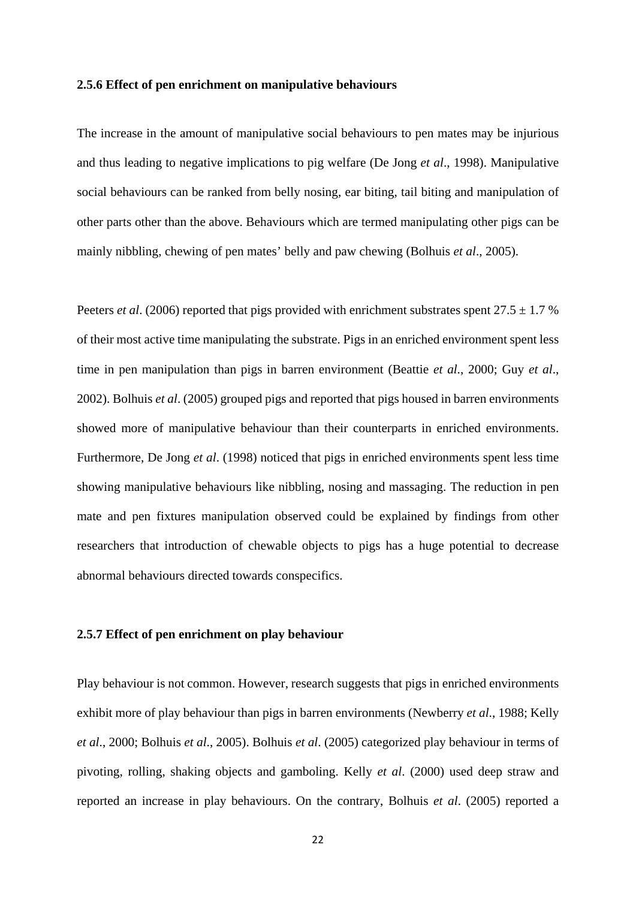### **2.5.6 Effect of pen enrichment on manipulative behaviours**

The increase in the amount of manipulative social behaviours to pen mates may be injurious and thus leading to negative implications to pig welfare (De Jong *et al*., 1998). Manipulative social behaviours can be ranked from belly nosing, ear biting, tail biting and manipulation of other parts other than the above. Behaviours which are termed manipulating other pigs can be mainly nibbling, chewing of pen mates' belly and paw chewing (Bolhuis *et al*., 2005).

Peeters *et al.* (2006) reported that pigs provided with enrichment substrates spent  $27.5 \pm 1.7$  % of their most active time manipulating the substrate. Pigs in an enriched environment spent less time in pen manipulation than pigs in barren environment (Beattie *et al*., 2000; Guy *et al*., 2002). Bolhuis *et al*. (2005) grouped pigs and reported that pigs housed in barren environments showed more of manipulative behaviour than their counterparts in enriched environments. Furthermore, De Jong *et al*. (1998) noticed that pigs in enriched environments spent less time showing manipulative behaviours like nibbling, nosing and massaging. The reduction in pen mate and pen fixtures manipulation observed could be explained by findings from other researchers that introduction of chewable objects to pigs has a huge potential to decrease abnormal behaviours directed towards conspecifics.

## **2.5.7 Effect of pen enrichment on play behaviour**

Play behaviour is not common. However, research suggests that pigs in enriched environments exhibit more of play behaviour than pigs in barren environments (Newberry *et al*., 1988; Kelly *et al*., 2000; Bolhuis *et al*., 2005). Bolhuis *et al*. (2005) categorized play behaviour in terms of pivoting, rolling, shaking objects and gamboling. Kelly *et al*. (2000) used deep straw and reported an increase in play behaviours. On the contrary, Bolhuis *et al*. (2005) reported a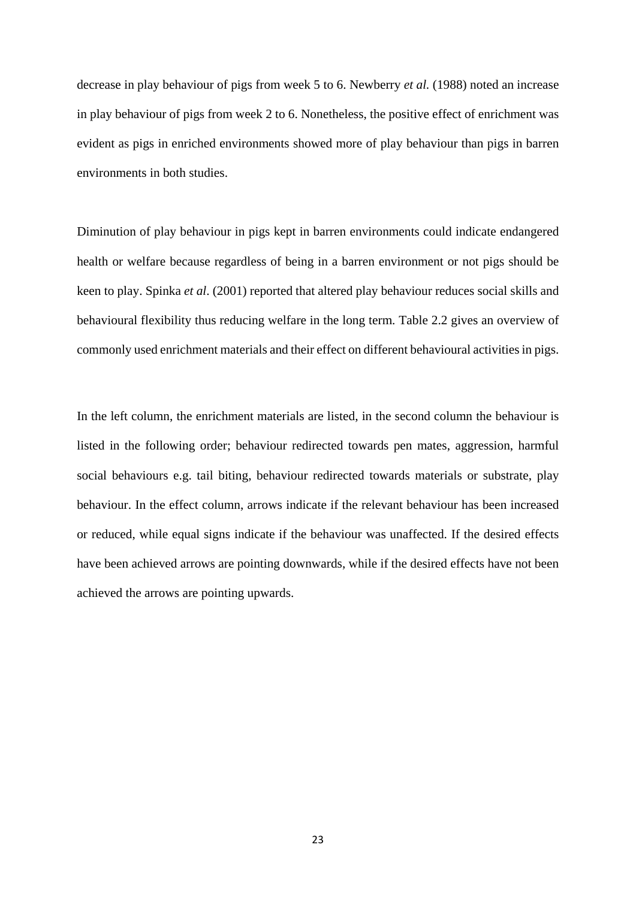decrease in play behaviour of pigs from week 5 to 6. Newberry *et al.* (1988) noted an increase in play behaviour of pigs from week 2 to 6. Nonetheless, the positive effect of enrichment was evident as pigs in enriched environments showed more of play behaviour than pigs in barren environments in both studies.

Diminution of play behaviour in pigs kept in barren environments could indicate endangered health or welfare because regardless of being in a barren environment or not pigs should be keen to play. Spinka *et al*. (2001) reported that altered play behaviour reduces social skills and behavioural flexibility thus reducing welfare in the long term. Table 2.2 gives an overview of commonly used enrichment materials and their effect on different behavioural activities in pigs.

In the left column, the enrichment materials are listed, in the second column the behaviour is listed in the following order; behaviour redirected towards pen mates, aggression, harmful social behaviours e.g. tail biting, behaviour redirected towards materials or substrate, play behaviour. In the effect column, arrows indicate if the relevant behaviour has been increased or reduced, while equal signs indicate if the behaviour was unaffected. If the desired effects have been achieved arrows are pointing downwards, while if the desired effects have not been achieved the arrows are pointing upwards.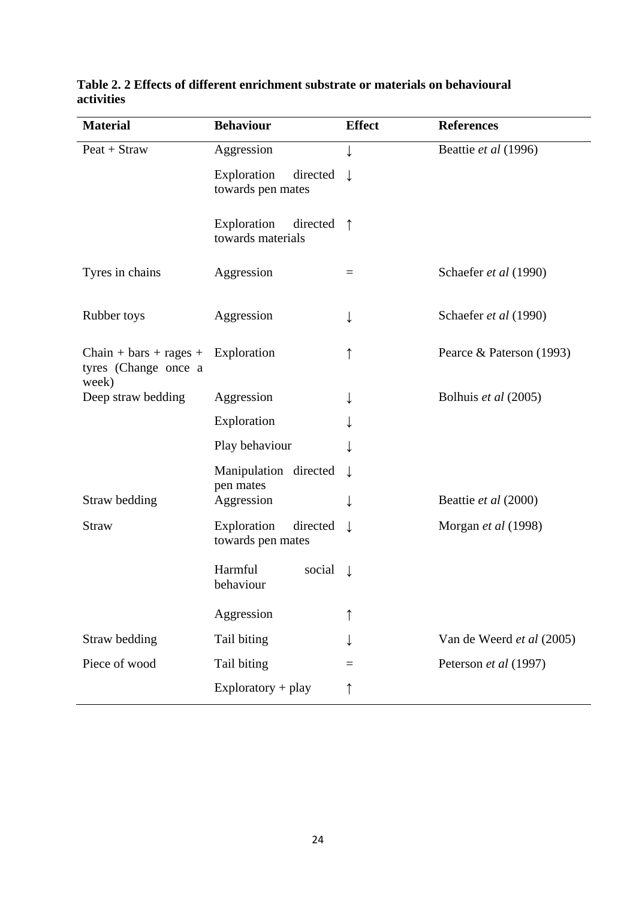| <b>Material</b>                                            | <b>Behaviour</b>                             | <b>Effect</b> | <b>References</b>         |
|------------------------------------------------------------|----------------------------------------------|---------------|---------------------------|
| $Peak + Straw$                                             | Aggression                                   | ↓             | Beattie et al (1996)      |
|                                                            | Exploration<br>directed<br>towards pen mates |               |                           |
|                                                            | Exploration<br>directed<br>towards materials | $\uparrow$    |                           |
| Tyres in chains                                            | Aggression                                   | $=$           | Schaefer et al (1990)     |
| Rubber toys                                                | Aggression                                   | ↓             | Schaefer et al (1990)     |
| $Chain + bars + ranges +$<br>tyres (Change once a<br>week) | Exploration                                  |               | Pearce & Paterson (1993)  |
| Deep straw bedding                                         | Aggression                                   |               | Bolhuis et al (2005)      |
|                                                            | Exploration                                  |               |                           |
|                                                            | Play behaviour                               |               |                           |
|                                                            | Manipulation directed                        |               |                           |
| Straw bedding                                              | pen mates<br>Aggression                      |               | Beattie et al (2000)      |
| <b>Straw</b>                                               | Exploration<br>directed<br>towards pen mates | T             | Morgan et al (1998)       |
|                                                            | Harmful<br>social<br>behaviour               | $\perp$       |                           |
|                                                            | Aggression                                   |               |                           |
| Straw bedding                                              | Tail biting                                  |               | Van de Weerd et al (2005) |
| Piece of wood                                              | Tail biting                                  | $=$           | Peterson et al (1997)     |
|                                                            | $Exploratory + play$                         | ↑             |                           |

## **Table 2. 2 Effects of different enrichment substrate or materials on behavioural activities**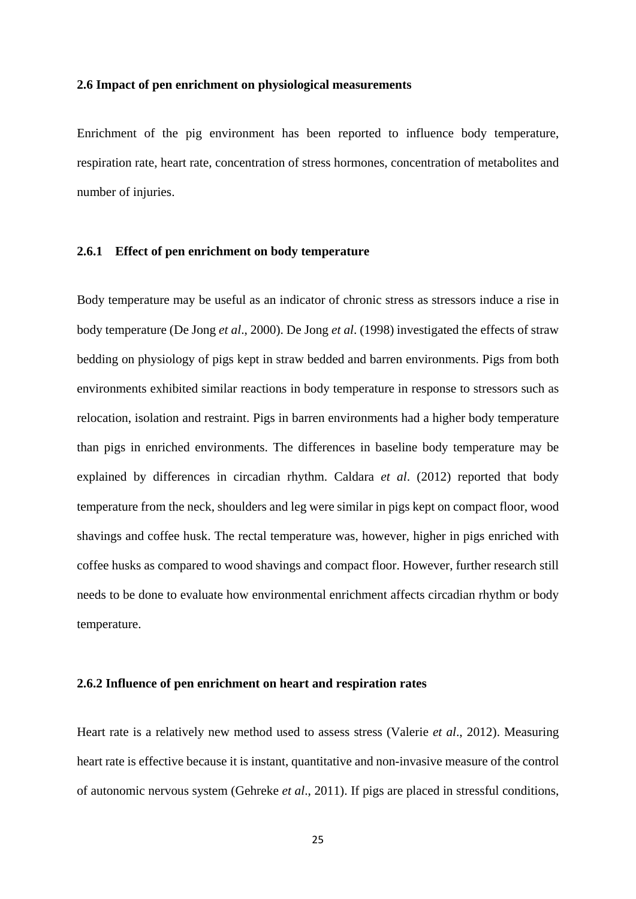## **2.6 Impact of pen enrichment on physiological measurements**

Enrichment of the pig environment has been reported to influence body temperature, respiration rate, heart rate, concentration of stress hormones, concentration of metabolites and number of injuries.

## **2.6.1 Effect of pen enrichment on body temperature**

Body temperature may be useful as an indicator of chronic stress as stressors induce a rise in body temperature (De Jong *et al*., 2000). De Jong *et al*. (1998) investigated the effects of straw bedding on physiology of pigs kept in straw bedded and barren environments. Pigs from both environments exhibited similar reactions in body temperature in response to stressors such as relocation, isolation and restraint. Pigs in barren environments had a higher body temperature than pigs in enriched environments. The differences in baseline body temperature may be explained by differences in circadian rhythm. Caldara *et al*. (2012) reported that body temperature from the neck, shoulders and leg were similar in pigs kept on compact floor, wood shavings and coffee husk. The rectal temperature was, however, higher in pigs enriched with coffee husks as compared to wood shavings and compact floor. However, further research still needs to be done to evaluate how environmental enrichment affects circadian rhythm or body temperature.

## **2.6.2 Influence of pen enrichment on heart and respiration rates**

Heart rate is a relatively new method used to assess stress (Valerie *et al*., 2012). Measuring heart rate is effective because it is instant, quantitative and non-invasive measure of the control of autonomic nervous system (Gehreke *et al*., 2011). If pigs are placed in stressful conditions,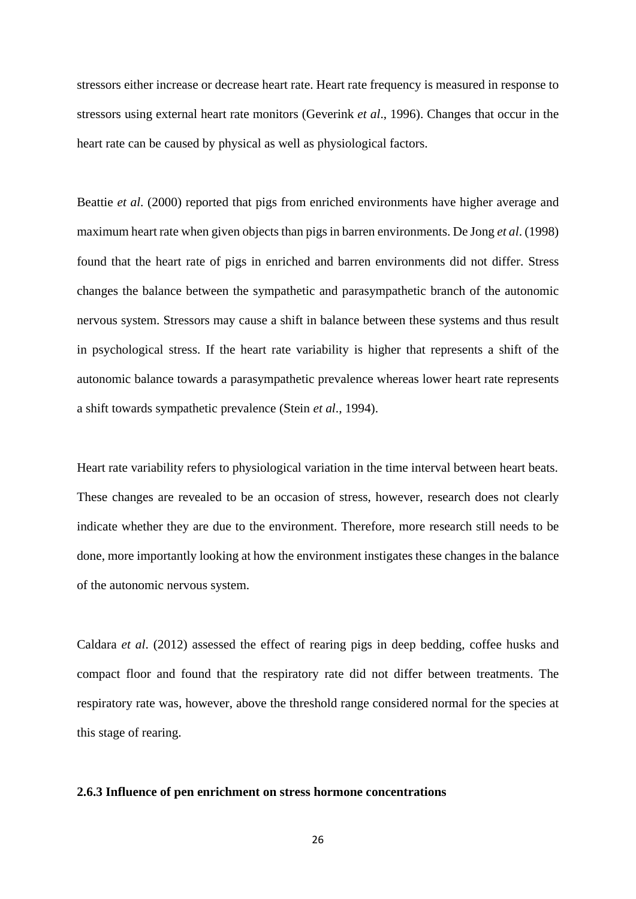stressors either increase or decrease heart rate. Heart rate frequency is measured in response to stressors using external heart rate monitors (Geverink *et al*., 1996). Changes that occur in the heart rate can be caused by physical as well as physiological factors.

Beattie *et al*. (2000) reported that pigs from enriched environments have higher average and maximum heart rate when given objects than pigs in barren environments. De Jong *et al*. (1998) found that the heart rate of pigs in enriched and barren environments did not differ. Stress changes the balance between the sympathetic and parasympathetic branch of the autonomic nervous system. Stressors may cause a shift in balance between these systems and thus result in psychological stress. If the heart rate variability is higher that represents a shift of the autonomic balance towards a parasympathetic prevalence whereas lower heart rate represents a shift towards sympathetic prevalence (Stein *et al*., 1994).

Heart rate variability refers to physiological variation in the time interval between heart beats. These changes are revealed to be an occasion of stress, however, research does not clearly indicate whether they are due to the environment. Therefore, more research still needs to be done, more importantly looking at how the environment instigates these changes in the balance of the autonomic nervous system.

Caldara *et al*. (2012) assessed the effect of rearing pigs in deep bedding, coffee husks and compact floor and found that the respiratory rate did not differ between treatments. The respiratory rate was, however, above the threshold range considered normal for the species at this stage of rearing.

## **2.6.3 Influence of pen enrichment on stress hormone concentrations**

26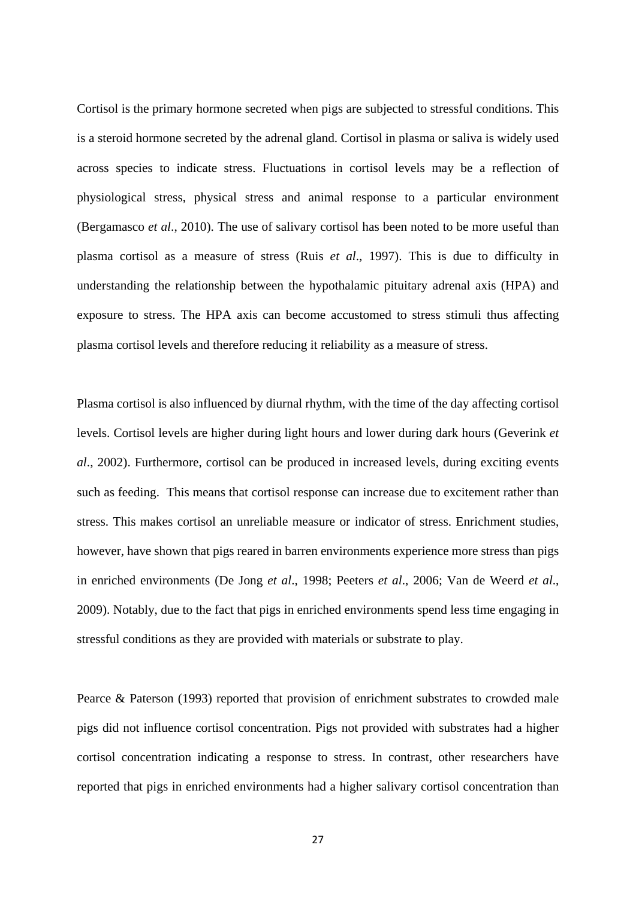Cortisol is the primary hormone secreted when pigs are subjected to stressful conditions. This is a steroid hormone secreted by the adrenal gland. Cortisol in plasma or saliva is widely used across species to indicate stress. Fluctuations in cortisol levels may be a reflection of physiological stress, physical stress and animal response to a particular environment (Bergamasco *et al*., 2010). The use of salivary cortisol has been noted to be more useful than plasma cortisol as a measure of stress (Ruis *et al*., 1997). This is due to difficulty in understanding the relationship between the hypothalamic pituitary adrenal axis (HPA) and exposure to stress. The HPA axis can become accustomed to stress stimuli thus affecting plasma cortisol levels and therefore reducing it reliability as a measure of stress.

Plasma cortisol is also influenced by diurnal rhythm, with the time of the day affecting cortisol levels. Cortisol levels are higher during light hours and lower during dark hours (Geverink *et al*., 2002). Furthermore, cortisol can be produced in increased levels, during exciting events such as feeding. This means that cortisol response can increase due to excitement rather than stress. This makes cortisol an unreliable measure or indicator of stress. Enrichment studies, however, have shown that pigs reared in barren environments experience more stress than pigs in enriched environments (De Jong *et al*., 1998; Peeters *et al*., 2006; Van de Weerd *et al*., 2009). Notably, due to the fact that pigs in enriched environments spend less time engaging in stressful conditions as they are provided with materials or substrate to play.

Pearce & Paterson (1993) reported that provision of enrichment substrates to crowded male pigs did not influence cortisol concentration. Pigs not provided with substrates had a higher cortisol concentration indicating a response to stress. In contrast, other researchers have reported that pigs in enriched environments had a higher salivary cortisol concentration than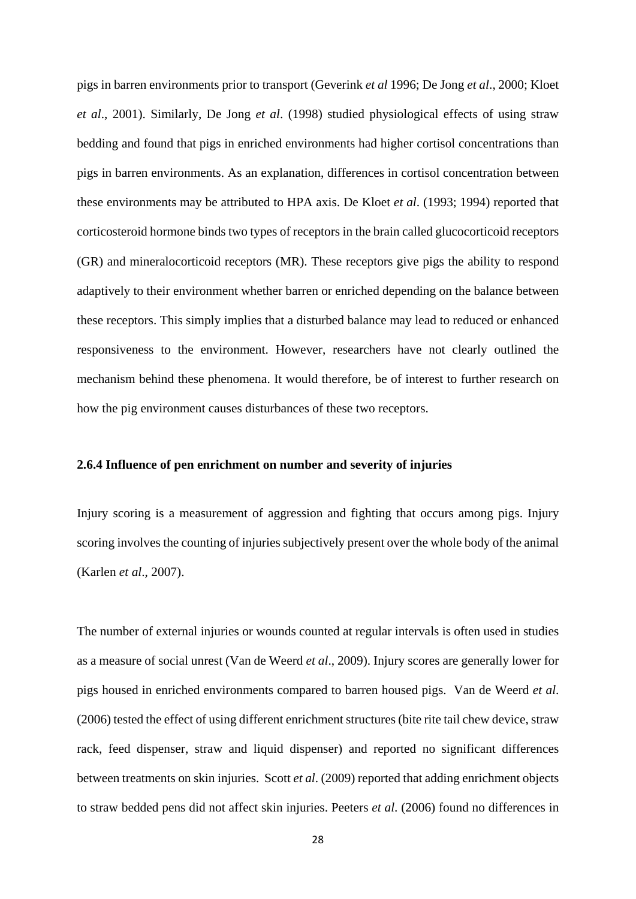pigs in barren environments prior to transport (Geverink *et al* 1996; De Jong *et al*., 2000; Kloet *et al*., 2001). Similarly, De Jong *et al*. (1998) studied physiological effects of using straw bedding and found that pigs in enriched environments had higher cortisol concentrations than pigs in barren environments. As an explanation, differences in cortisol concentration between these environments may be attributed to HPA axis. De Kloet *et al*. (1993; 1994) reported that corticosteroid hormone binds two types of receptors in the brain called glucocorticoid receptors (GR) and mineralocorticoid receptors (MR). These receptors give pigs the ability to respond adaptively to their environment whether barren or enriched depending on the balance between these receptors. This simply implies that a disturbed balance may lead to reduced or enhanced responsiveness to the environment. However, researchers have not clearly outlined the mechanism behind these phenomena. It would therefore, be of interest to further research on how the pig environment causes disturbances of these two receptors.

## **2.6.4 Influence of pen enrichment on number and severity of injuries**

Injury scoring is a measurement of aggression and fighting that occurs among pigs. Injury scoring involves the counting of injuries subjectively present over the whole body of the animal (Karlen *et al*., 2007).

The number of external injuries or wounds counted at regular intervals is often used in studies as a measure of social unrest (Van de Weerd *et al*., 2009). Injury scores are generally lower for pigs housed in enriched environments compared to barren housed pigs. Van de Weerd *et al*. (2006) tested the effect of using different enrichment structures (bite rite tail chew device, straw rack, feed dispenser, straw and liquid dispenser) and reported no significant differences between treatments on skin injuries. Scott *et al*. (2009) reported that adding enrichment objects to straw bedded pens did not affect skin injuries. Peeters *et al*. (2006) found no differences in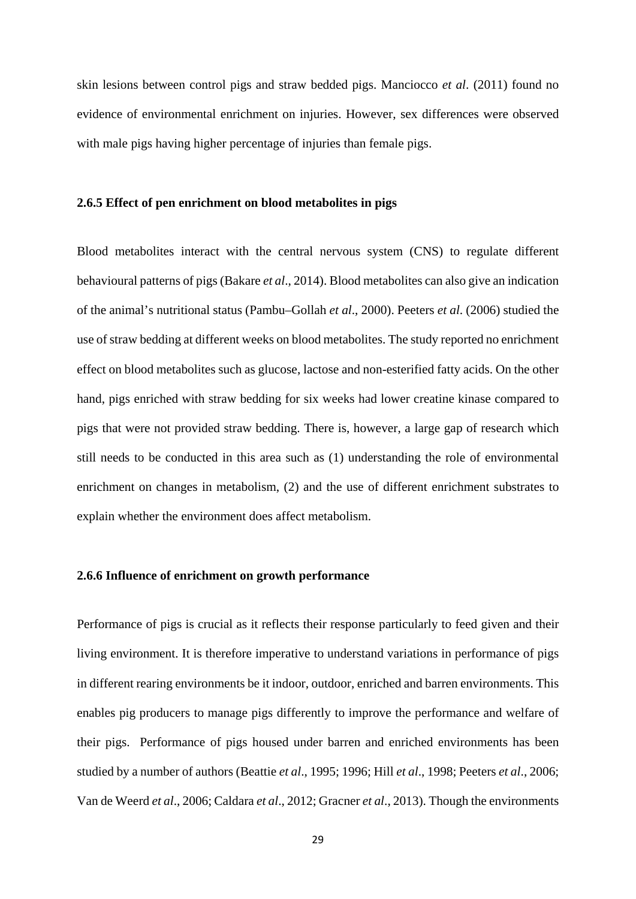skin lesions between control pigs and straw bedded pigs. Manciocco *et al*. (2011) found no evidence of environmental enrichment on injuries. However, sex differences were observed with male pigs having higher percentage of injuries than female pigs.

## **2.6.5 Effect of pen enrichment on blood metabolites in pigs**

Blood metabolites interact with the central nervous system (CNS) to regulate different behavioural patterns of pigs (Bakare *et al*., 2014). Blood metabolites can also give an indication of the animal's nutritional status (Pambu–Gollah *et al*., 2000). Peeters *et al*. (2006) studied the use of straw bedding at different weeks on blood metabolites. The study reported no enrichment effect on blood metabolites such as glucose, lactose and non-esterified fatty acids. On the other hand, pigs enriched with straw bedding for six weeks had lower creatine kinase compared to pigs that were not provided straw bedding. There is, however, a large gap of research which still needs to be conducted in this area such as (1) understanding the role of environmental enrichment on changes in metabolism, (2) and the use of different enrichment substrates to explain whether the environment does affect metabolism.

#### **2.6.6 Influence of enrichment on growth performance**

Performance of pigs is crucial as it reflects their response particularly to feed given and their living environment. It is therefore imperative to understand variations in performance of pigs in different rearing environments be it indoor, outdoor, enriched and barren environments. This enables pig producers to manage pigs differently to improve the performance and welfare of their pigs. Performance of pigs housed under barren and enriched environments has been studied by a number of authors (Beattie *et al*., 1995; 1996; Hill *et al*., 1998; Peeters *et al*., 2006; Van de Weerd *et al*., 2006; Caldara *et al*., 2012; Gracner *et al*., 2013). Though the environments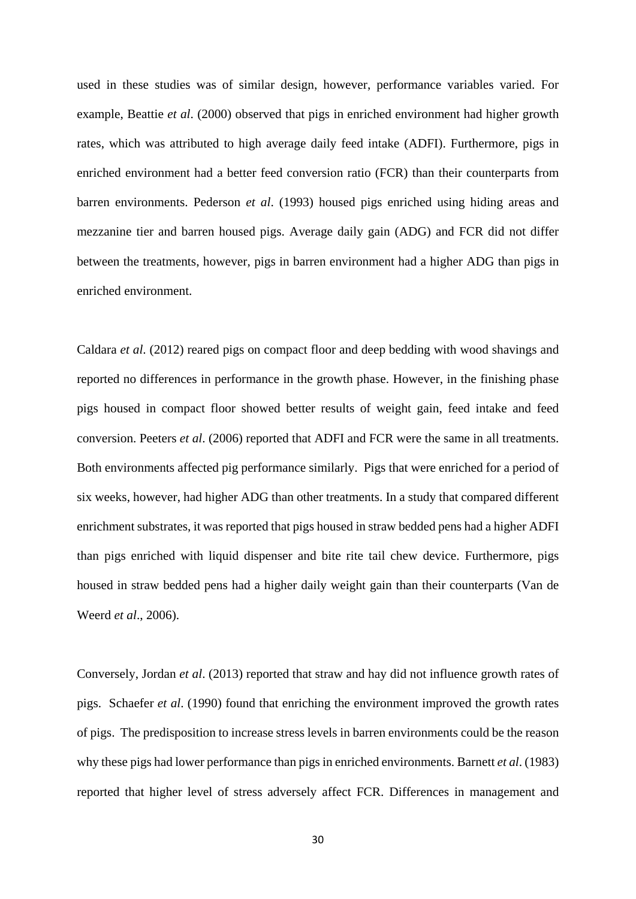used in these studies was of similar design, however, performance variables varied. For example, Beattie *et al*. (2000) observed that pigs in enriched environment had higher growth rates, which was attributed to high average daily feed intake (ADFI). Furthermore, pigs in enriched environment had a better feed conversion ratio (FCR) than their counterparts from barren environments. Pederson *et al*. (1993) housed pigs enriched using hiding areas and mezzanine tier and barren housed pigs. Average daily gain (ADG) and FCR did not differ between the treatments, however, pigs in barren environment had a higher ADG than pigs in enriched environment.

Caldara *et al*. (2012) reared pigs on compact floor and deep bedding with wood shavings and reported no differences in performance in the growth phase. However, in the finishing phase pigs housed in compact floor showed better results of weight gain, feed intake and feed conversion. Peeters *et al*. (2006) reported that ADFI and FCR were the same in all treatments. Both environments affected pig performance similarly. Pigs that were enriched for a period of six weeks, however, had higher ADG than other treatments. In a study that compared different enrichment substrates, it was reported that pigs housed in straw bedded pens had a higher ADFI than pigs enriched with liquid dispenser and bite rite tail chew device. Furthermore, pigs housed in straw bedded pens had a higher daily weight gain than their counterparts (Van de Weerd *et al*., 2006).

Conversely, Jordan *et al*. (2013) reported that straw and hay did not influence growth rates of pigs. Schaefer *et al*. (1990) found that enriching the environment improved the growth rates of pigs. The predisposition to increase stress levels in barren environments could be the reason why these pigs had lower performance than pigs in enriched environments. Barnett *et al*. (1983) reported that higher level of stress adversely affect FCR. Differences in management and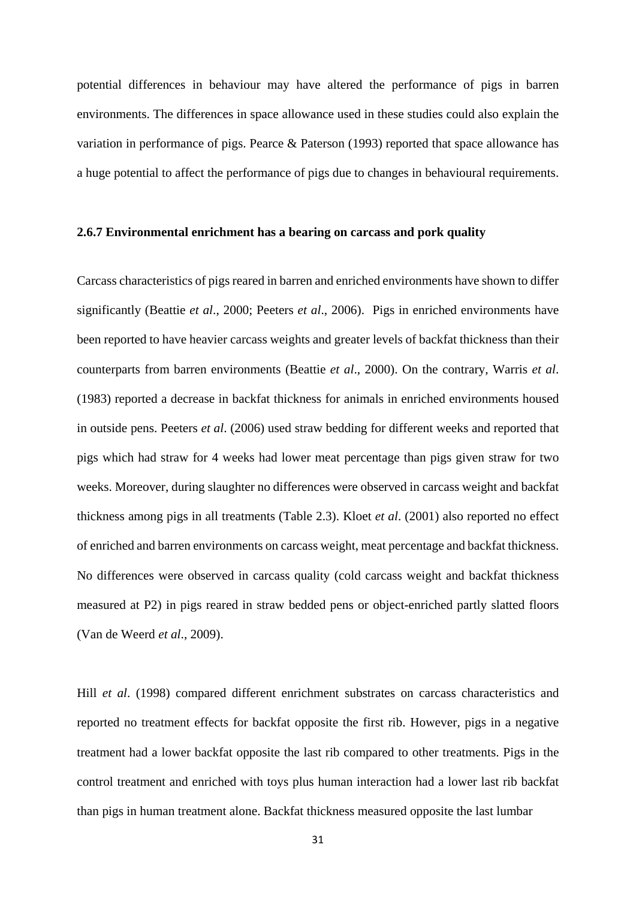potential differences in behaviour may have altered the performance of pigs in barren environments. The differences in space allowance used in these studies could also explain the variation in performance of pigs. Pearce & Paterson (1993) reported that space allowance has a huge potential to affect the performance of pigs due to changes in behavioural requirements.

## **2.6.7 Environmental enrichment has a bearing on carcass and pork quality**

Carcass characteristics of pigs reared in barren and enriched environments have shown to differ significantly (Beattie *et al*., 2000; Peeters *et al*., 2006). Pigs in enriched environments have been reported to have heavier carcass weights and greater levels of backfat thickness than their counterparts from barren environments (Beattie *et al*., 2000). On the contrary, Warris *et al*. (1983) reported a decrease in backfat thickness for animals in enriched environments housed in outside pens. Peeters *et al*. (2006) used straw bedding for different weeks and reported that pigs which had straw for 4 weeks had lower meat percentage than pigs given straw for two weeks. Moreover, during slaughter no differences were observed in carcass weight and backfat thickness among pigs in all treatments (Table 2.3). Kloet *et al*. (2001) also reported no effect of enriched and barren environments on carcass weight, meat percentage and backfat thickness. No differences were observed in carcass quality (cold carcass weight and backfat thickness measured at P2) in pigs reared in straw bedded pens or object-enriched partly slatted floors (Van de Weerd *et al*., 2009).

Hill *et al*. (1998) compared different enrichment substrates on carcass characteristics and reported no treatment effects for backfat opposite the first rib. However, pigs in a negative treatment had a lower backfat opposite the last rib compared to other treatments. Pigs in the control treatment and enriched with toys plus human interaction had a lower last rib backfat than pigs in human treatment alone. Backfat thickness measured opposite the last lumbar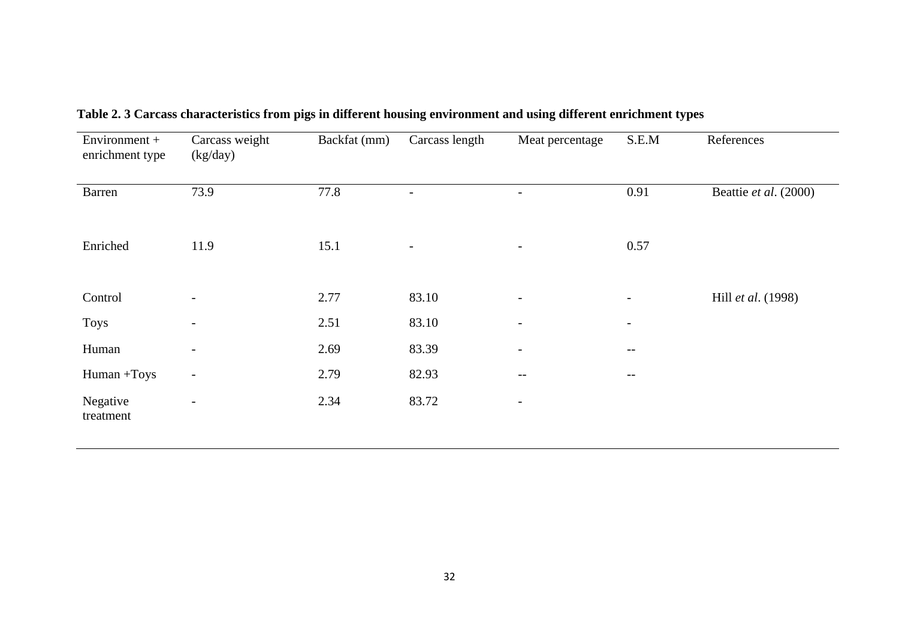| Environment +<br>enrichment type | Carcass weight<br>(kg/day) | Backfat (mm) | Carcass length           | Meat percentage          | S.E.M                    | References            |
|----------------------------------|----------------------------|--------------|--------------------------|--------------------------|--------------------------|-----------------------|
| Barren                           | 73.9                       | 77.8         |                          | $\overline{\phantom{0}}$ | 0.91                     | Beattie et al. (2000) |
| Enriched                         | 11.9                       | 15.1         | $\overline{\phantom{a}}$ | $\overline{\phantom{a}}$ | 0.57                     |                       |
| Control                          | $\overline{\phantom{0}}$   | 2.77         | 83.10                    | $\overline{\phantom{a}}$ | $\overline{\phantom{a}}$ | Hill et al. (1998)    |
| <b>Toys</b>                      | $\overline{\phantom{a}}$   | 2.51         | 83.10                    | $\overline{\phantom{a}}$ | $\overline{\phantom{a}}$ |                       |
| Human                            |                            | 2.69         | 83.39                    | $\overline{\phantom{a}}$ | $--$                     |                       |
| Human +Toys                      | $\overline{\phantom{a}}$   | 2.79         | 82.93                    | $\qquad \qquad -$        | $- -$                    |                       |
| Negative<br>treatment            | $\overline{\phantom{a}}$   | 2.34         | 83.72                    | $\overline{\phantom{a}}$ |                          |                       |

**Table 2. 3 Carcass characteristics from pigs in different housing environment and using different enrichment types**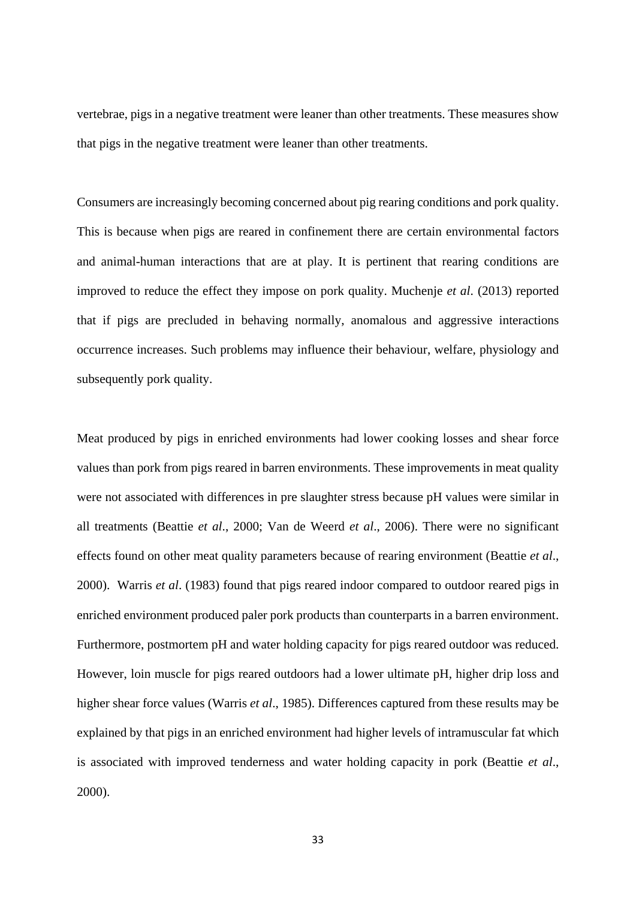vertebrae, pigs in a negative treatment were leaner than other treatments. These measures show that pigs in the negative treatment were leaner than other treatments.

Consumers are increasingly becoming concerned about pig rearing conditions and pork quality. This is because when pigs are reared in confinement there are certain environmental factors and animal-human interactions that are at play. It is pertinent that rearing conditions are improved to reduce the effect they impose on pork quality. Muchenje *et al*. (2013) reported that if pigs are precluded in behaving normally, anomalous and aggressive interactions occurrence increases. Such problems may influence their behaviour, welfare, physiology and subsequently pork quality.

Meat produced by pigs in enriched environments had lower cooking losses and shear force values than pork from pigs reared in barren environments. These improvements in meat quality were not associated with differences in pre slaughter stress because pH values were similar in all treatments (Beattie *et al*., 2000; Van de Weerd *et al*., 2006). There were no significant effects found on other meat quality parameters because of rearing environment (Beattie *et al*., 2000). Warris *et al*. (1983) found that pigs reared indoor compared to outdoor reared pigs in enriched environment produced paler pork products than counterparts in a barren environment. Furthermore, postmortem pH and water holding capacity for pigs reared outdoor was reduced. However, loin muscle for pigs reared outdoors had a lower ultimate pH, higher drip loss and higher shear force values (Warris *et al*., 1985). Differences captured from these results may be explained by that pigs in an enriched environment had higher levels of intramuscular fat which is associated with improved tenderness and water holding capacity in pork (Beattie *et al*., 2000).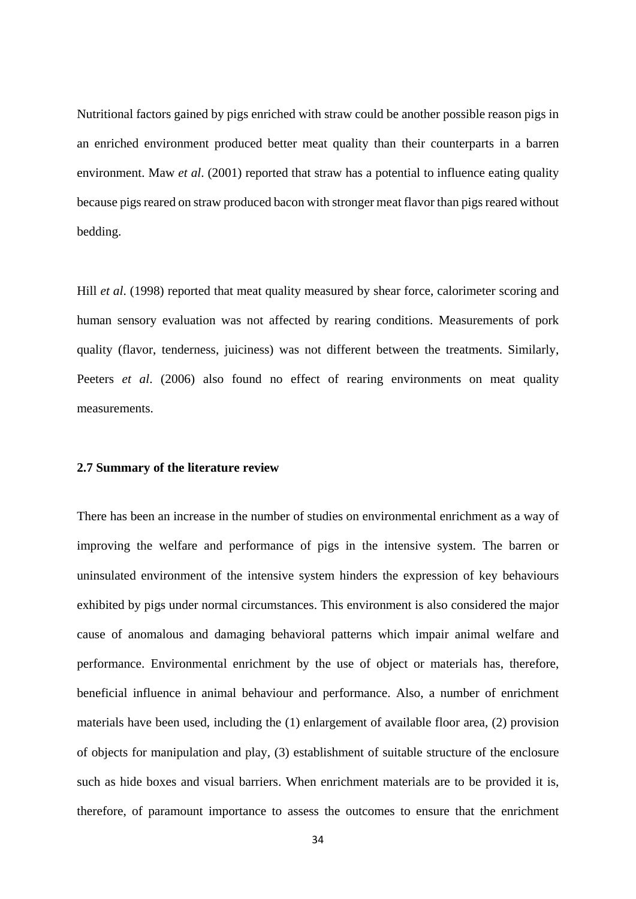Nutritional factors gained by pigs enriched with straw could be another possible reason pigs in an enriched environment produced better meat quality than their counterparts in a barren environment. Maw *et al*. (2001) reported that straw has a potential to influence eating quality because pigs reared on straw produced bacon with stronger meat flavor than pigs reared without bedding.

Hill *et al*. (1998) reported that meat quality measured by shear force, calorimeter scoring and human sensory evaluation was not affected by rearing conditions. Measurements of pork quality (flavor, tenderness, juiciness) was not different between the treatments. Similarly, Peeters *et al.* (2006) also found no effect of rearing environments on meat quality measurements.

### **2.7 Summary of the literature review**

There has been an increase in the number of studies on environmental enrichment as a way of improving the welfare and performance of pigs in the intensive system. The barren or uninsulated environment of the intensive system hinders the expression of key behaviours exhibited by pigs under normal circumstances. This environment is also considered the major cause of anomalous and damaging behavioral patterns which impair animal welfare and performance. Environmental enrichment by the use of object or materials has, therefore, beneficial influence in animal behaviour and performance. Also, a number of enrichment materials have been used, including the (1) enlargement of available floor area, (2) provision of objects for manipulation and play, (3) establishment of suitable structure of the enclosure such as hide boxes and visual barriers. When enrichment materials are to be provided it is, therefore, of paramount importance to assess the outcomes to ensure that the enrichment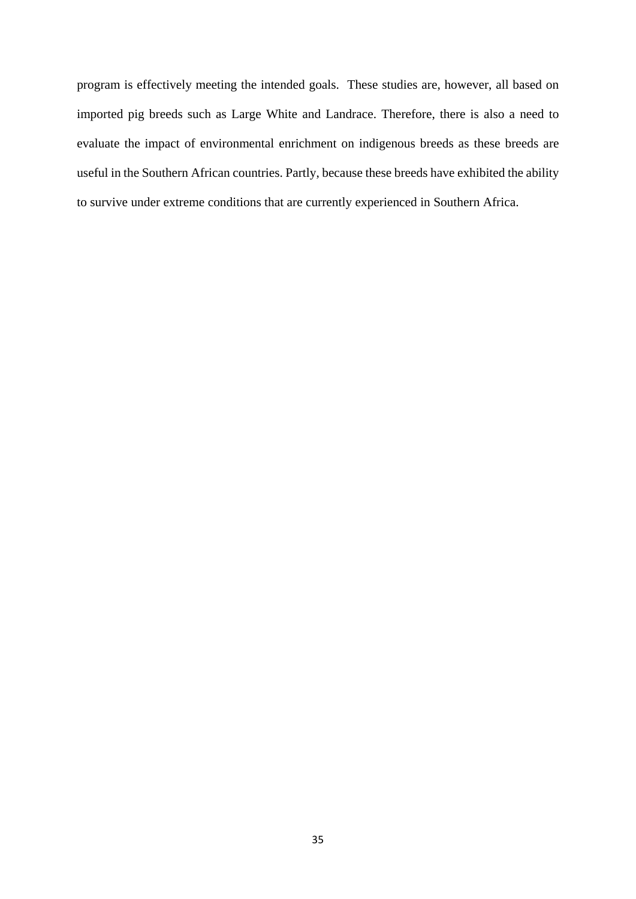program is effectively meeting the intended goals. These studies are, however, all based on imported pig breeds such as Large White and Landrace. Therefore, there is also a need to evaluate the impact of environmental enrichment on indigenous breeds as these breeds are useful in the Southern African countries. Partly, because these breeds have exhibited the ability to survive under extreme conditions that are currently experienced in Southern Africa.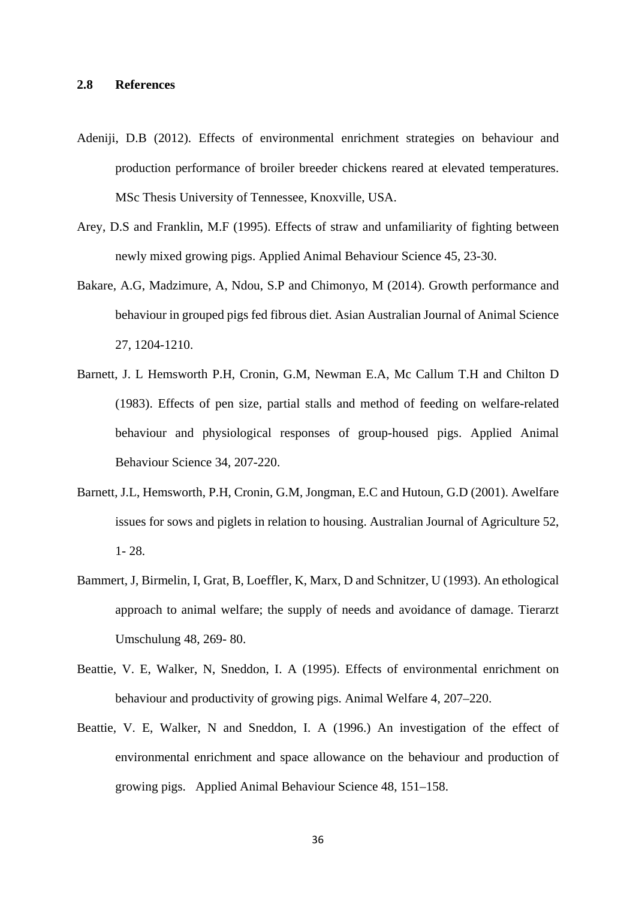- Adeniji, D.B (2012). Effects of environmental enrichment strategies on behaviour and production performance of broiler breeder chickens reared at elevated temperatures. MSc Thesis University of Tennessee, Knoxville, USA.
- Arey, D.S and Franklin, M.F (1995). Effects of straw and unfamiliarity of fighting between newly mixed growing pigs. Applied Animal Behaviour Science 45, 23-30.
- Bakare, A.G, Madzimure, A, Ndou, S.P and Chimonyo, M (2014). Growth performance and behaviour in grouped pigs fed fibrous diet. Asian Australian Journal of Animal Science 27, 1204-1210.
- Barnett, J. L Hemsworth P.H, Cronin, G.M, Newman E.A, Mc Callum T.H and Chilton D (1983). Effects of pen size, partial stalls and method of feeding on welfare-related behaviour and physiological responses of group-housed pigs. Applied Animal Behaviour Science 34, 207-220.
- Barnett, J.L, Hemsworth, P.H, Cronin, G.M, Jongman, E.C and Hutoun, G.D (2001). Awelfare issues for sows and piglets in relation to housing. Australian Journal of Agriculture 52, 1- 28.
- Bammert, J, Birmelin, I, Grat, B, Loeffler, K, Marx, D and Schnitzer, U (1993). An ethological approach to animal welfare; the supply of needs and avoidance of damage. Tierarzt Umschulung 48, 269- 80.
- Beattie, V. E, Walker, N, Sneddon, I. A (1995). Effects of environmental enrichment on behaviour and productivity of growing pigs. Animal Welfare 4, 207–220.
- Beattie, V. E, Walker, N and Sneddon, I. A (1996.) An investigation of the effect of environmental enrichment and space allowance on the behaviour and production of growing pigs. Applied Animal Behaviour Science 48, 151–158.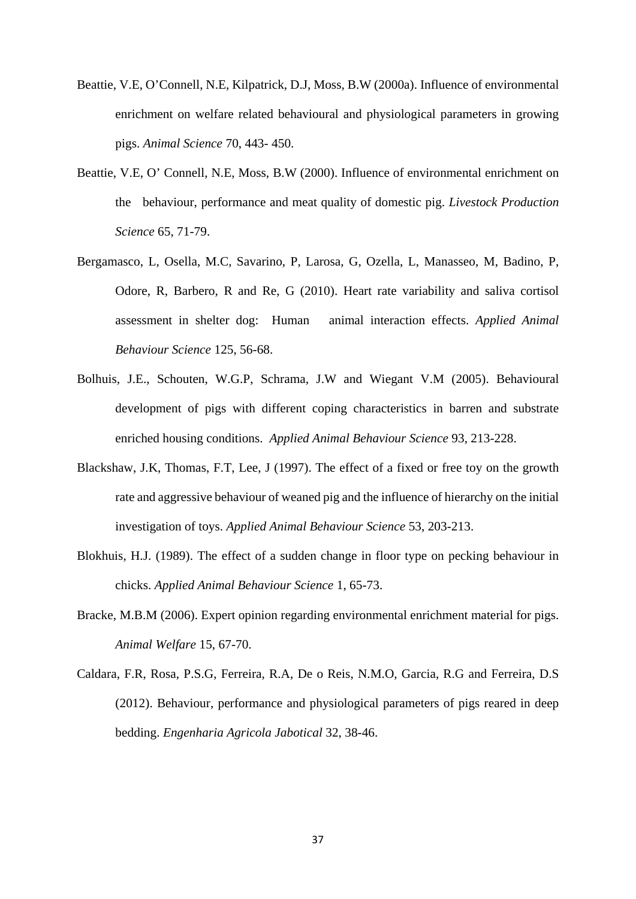- Beattie, V.E, O'Connell, N.E, Kilpatrick, D.J, Moss, B.W (2000a). Influence of environmental enrichment on welfare related behavioural and physiological parameters in growing pigs. *Animal Science* 70, 443- 450.
- Beattie, V.E, O' Connell, N.E, Moss, B.W (2000). Influence of environmental enrichment on the behaviour, performance and meat quality of domestic pig. *Livestock Production Science* 65, 71-79.
- Bergamasco, L, Osella, M.C, Savarino, P, Larosa, G, Ozella, L, Manasseo, M, Badino, P, Odore, R, Barbero, R and Re, G (2010). Heart rate variability and saliva cortisol assessment in shelter dog: Human animal interaction effects. *Applied Animal Behaviour Science* 125, 56-68.
- Bolhuis, J.E., Schouten, W.G.P, Schrama, J.W and Wiegant V.M (2005). Behavioural development of pigs with different coping characteristics in barren and substrate enriched housing conditions. *Applied Animal Behaviour Science* 93, 213-228.
- Blackshaw, J.K, Thomas, F.T, Lee, J (1997). The effect of a fixed or free toy on the growth rate and aggressive behaviour of weaned pig and the influence of hierarchy on the initial investigation of toys. *Applied Animal Behaviour Science* 53, 203-213.
- Blokhuis, H.J. (1989). The effect of a sudden change in floor type on pecking behaviour in chicks. *Applied Animal Behaviour Science* 1, 65-73.
- Bracke, M.B.M (2006). Expert opinion regarding environmental enrichment material for pigs. *Animal Welfare* 15, 67-70.
- Caldara, F.R, Rosa, P.S.G, Ferreira, R.A, De o Reis, N.M.O, Garcia, R.G and Ferreira, D.S (2012). Behaviour, performance and physiological parameters of pigs reared in deep bedding. *Engenharia Agricola Jabotical* 32, 38-46.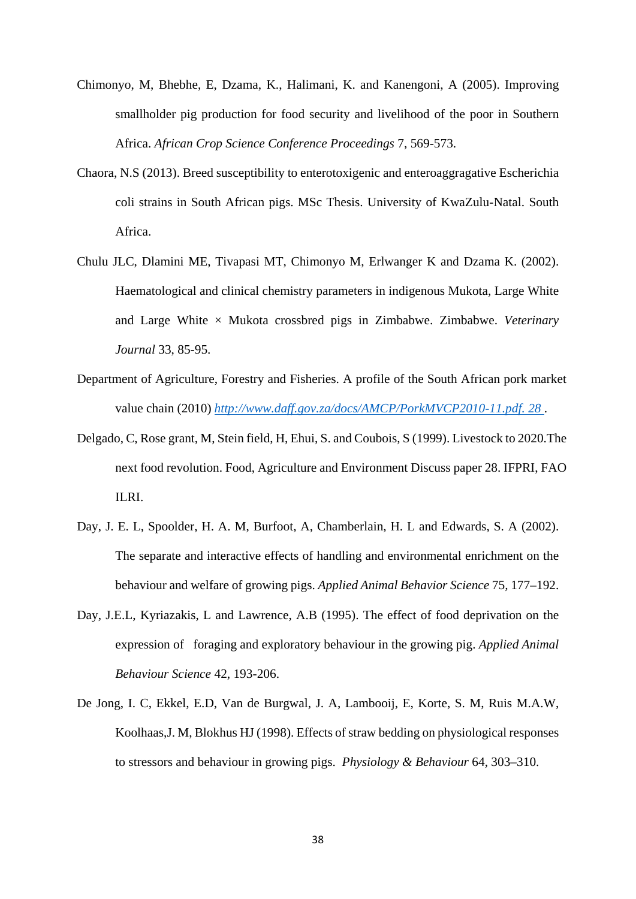- Chimonyo, M, Bhebhe, E, Dzama, K., Halimani, K. and Kanengoni, A (2005). Improving smallholder pig production for food security and livelihood of the poor in Southern Africa. *African Crop Science Conference Proceedings* 7, 569-573.
- Chaora, N.S (2013). Breed susceptibility to enterotoxigenic and enteroaggragative Escherichia coli strains in South African pigs. MSc Thesis. University of KwaZulu-Natal. South Africa.
- Chulu JLC, Dlamini ME, Tivapasi MT, Chimonyo M, Erlwanger K and Dzama K. (2002). Haematological and clinical chemistry parameters in indigenous Mukota, Large White and Large White  $\times$  Mukota crossbred pigs in Zimbabwe. Zimbabwe. *Veterinary Journal* 33, 85-95.
- Department of Agriculture, Forestry and Fisheries. A profile of the South African pork market value chain (2010) *[http://www.daff.gov.za/docs/AMCP/PorkMVCP2010-11.pdf. 28](http://www.daff.gov.za/docs/AMCP/PorkMVCP2010-11.pdf.%2028%20May%202012)* .
- Delgado, C, Rose grant, M, Stein field, H, Ehui, S. and Coubois, S (1999). Livestock to 2020.The next food revolution. Food, Agriculture and Environment Discuss paper 28. IFPRI, FAO ILRI.
- Day, J. E. L, Spoolder, H. A. M, Burfoot, A, Chamberlain, H. L and Edwards, S. A (2002). The separate and interactive effects of handling and environmental enrichment on the behaviour and welfare of growing pigs. *Applied Animal Behavior Science* 75*,* 177–192.
- Day, J.E.L, Kyriazakis, L and Lawrence, A.B (1995). The effect of food deprivation on the expression of foraging and exploratory behaviour in the growing pig. *Applied Animal Behaviour Science* 42, 193-206.
- De Jong, I. C, Ekkel, E.D, Van de Burgwal, J. A, Lambooij, E, Korte, S. M, Ruis M.A.W, Koolhaas,J. M, Blokhus HJ (1998). Effects of straw bedding on physiological responses to stressors and behaviour in growing pigs. *Physiology & Behaviour* 64, 303–310.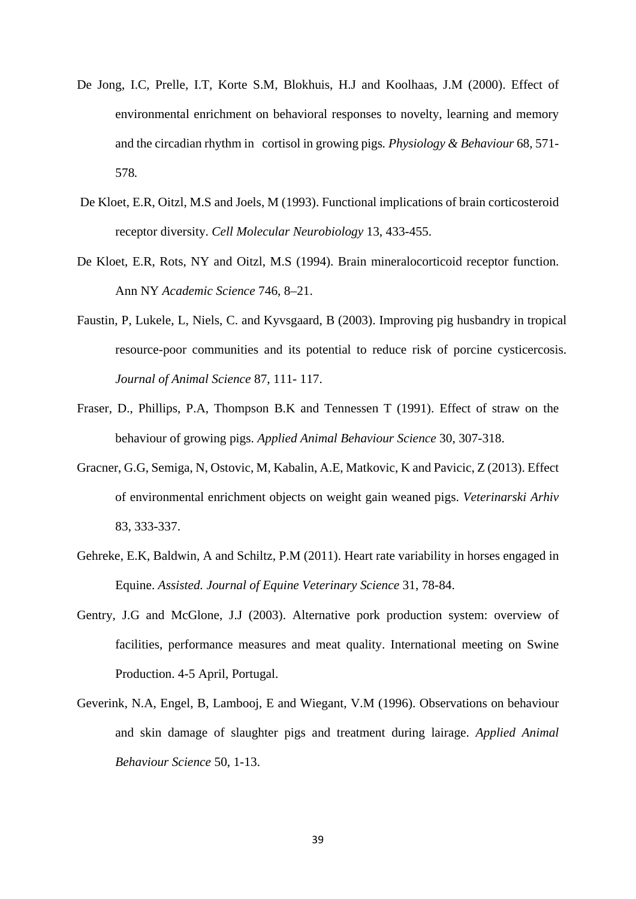- De Jong, I.C, Prelle, I.T, Korte S.M, Blokhuis, H.J and Koolhaas, J.M (2000). Effect of environmental enrichment on behavioral responses to novelty, learning and memory and the circadian rhythm in cortisol in growing pigs*. Physiology & Behaviour* 68, 571- 578*.*
- De Kloet, E.R, Oitzl, M.S and Joels, M (1993). Functional implications of brain corticosteroid receptor diversity. *Cell Molecular Neurobiology* 13, 433-455.
- De Kloet, E.R, Rots, NY and Oitzl, M.S (1994). Brain mineralocorticoid receptor function. Ann NY *Academic Science* 746, 8–21.
- Faustin, P, Lukele, L, Niels, C. and Kyvsgaard, B (2003). Improving pig husbandry in tropical resource-poor communities and its potential to reduce risk of porcine cysticercosis. *Journal of Animal Science* 87, 111- 117.
- Fraser, D., Phillips, P.A, Thompson B.K and Tennessen T (1991). Effect of straw on the behaviour of growing pigs. *Applied Animal Behaviour Science* 30, 307-318.
- Gracner, G.G, Semiga, N, Ostovic, M, Kabalin, A.E, Matkovic, K and Pavicic, Z (2013). Effect of environmental enrichment objects on weight gain weaned pigs. *Veterinarski Arhiv* 83, 333-337.
- Gehreke, E.K, Baldwin, A and Schiltz, P.M (2011). Heart rate variability in horses engaged in Equine. *Assisted. Journal of Equine Veterinary Science* 31, 78-84.
- Gentry, J.G and McGlone, J.J (2003). Alternative pork production system: overview of facilities, performance measures and meat quality. International meeting on Swine Production. 4-5 April, Portugal.
- Geverink, N.A, Engel, B, Lambooj, E and Wiegant, V.M (1996). Observations on behaviour and skin damage of slaughter pigs and treatment during lairage. *Applied Animal Behaviour Science* 50, 1-13.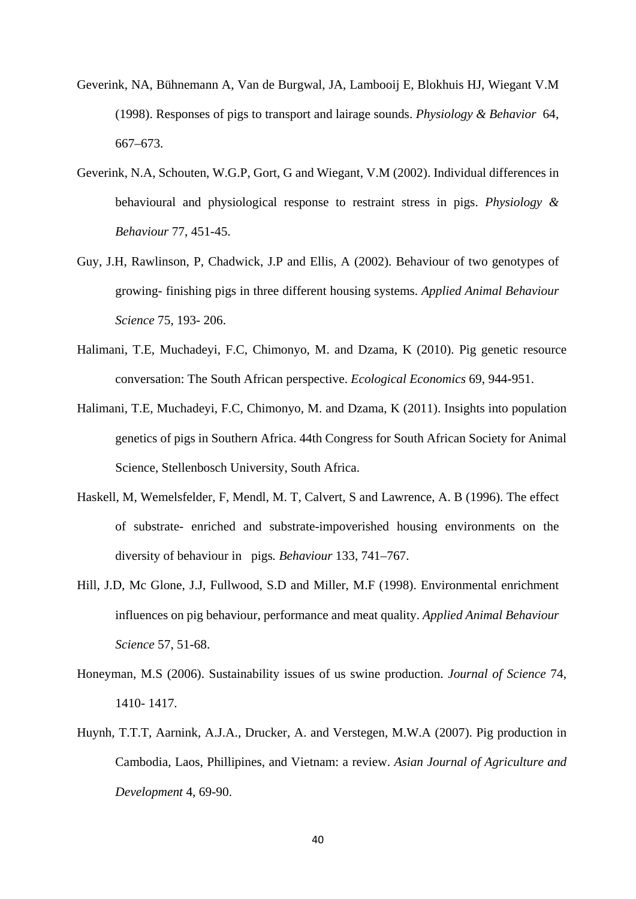- Geverink, NA, Bühnemann A, Van de Burgwal, JA, Lambooij E, Blokhuis HJ, Wiegant V.M (1998). Responses of pigs to transport and lairage sounds. *Physiology & Behavior* 64, 667–673.
- Geverink, N.A, Schouten, W.G.P, Gort, G and Wiegant, V.M (2002). Individual differences in behavioural and physiological response to restraint stress in pigs. *Physiology & Behaviour* 77, 451-45.
- Guy, J.H, Rawlinson, P, Chadwick, J.P and Ellis, A (2002). Behaviour of two genotypes of growing- finishing pigs in three different housing systems. *Applied Animal Behaviour Science* 75, 193- 206.
- Halimani, T.E, Muchadeyi, F.C, Chimonyo, M. and Dzama, K (2010). Pig genetic resource conversation: The South African perspective. *Ecological Economics* 69, 944-951.
- Halimani, T.E, Muchadeyi, F.C, Chimonyo, M. and Dzama, K (2011). Insights into population genetics of pigs in Southern Africa. 44th Congress for South African Society for Animal Science, Stellenbosch University, South Africa.
- Haskell, M, Wemelsfelder, F, Mendl, M. T, Calvert, S and Lawrence, A. B (1996). The effect of substrate- enriched and substrate-impoverished housing environments on the diversity of behaviour in pigs*. Behaviour* 133, 741–767.
- Hill, J.D, Mc Glone, J.J, Fullwood, S.D and Miller, M.F (1998). Environmental enrichment influences on pig behaviour, performance and meat quality. *Applied Animal Behaviour Science* 57, 51-68.
- Honeyman, M.S (2006). Sustainability issues of us swine production. *Journal of Science* 74, 1410- 1417.
- Huynh, T.T.T, Aarnink, A.J.A., Drucker, A. and Verstegen, M.W.A (2007). Pig production in Cambodia, Laos, Phillipines, and Vietnam: a review. *Asian Journal of Agriculture and Development* 4, 69-90.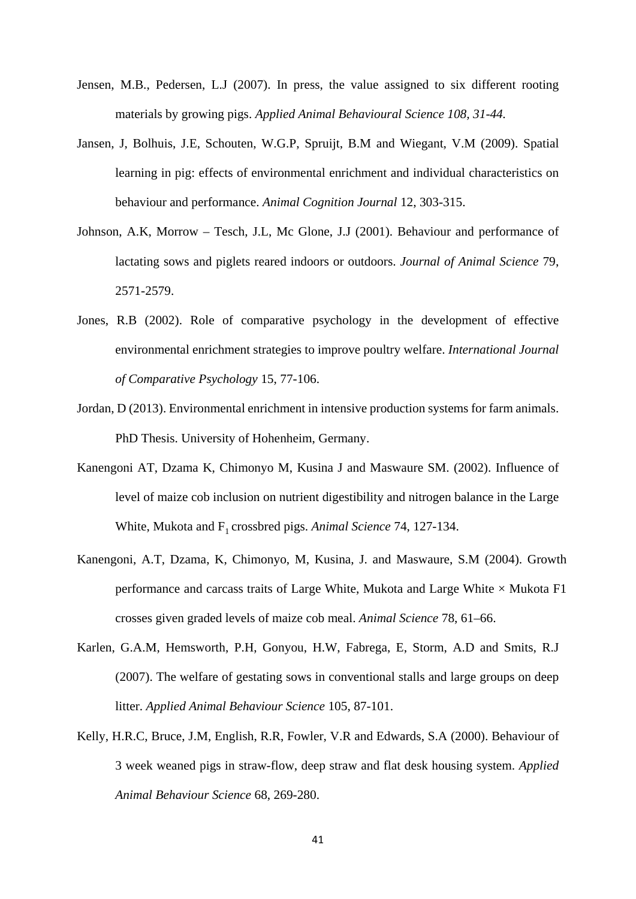- Jensen, M.B., Pedersen, L.J (2007). In press, the value assigned to six different rooting materials by growing pigs. *Applied Animal Behavioural Science 108, 31-44.*
- Jansen, J, Bolhuis, J.E, Schouten, W.G.P, Spruijt, B.M and Wiegant, V.M (2009). Spatial learning in pig: effects of environmental enrichment and individual characteristics on behaviour and performance. *Animal Cognition Journal* 12, 303-315.
- Johnson, A.K, Morrow Tesch, J.L, Mc Glone, J.J (2001). Behaviour and performance of lactating sows and piglets reared indoors or outdoors. *Journal of Animal Science* 79, 2571-2579.
- Jones, R.B (2002). Role of comparative psychology in the development of effective environmental enrichment strategies to improve poultry welfare. *International Journal of Comparative Psychology* 15, 77-106.
- Jordan, D (2013). Environmental enrichment in intensive production systems for farm animals. PhD Thesis. University of Hohenheim, Germany.
- Kanengoni AT, Dzama K, Chimonyo M, Kusina J and Maswaure SM. (2002). Influence of level of maize cob inclusion on nutrient digestibility and nitrogen balance in the Large White, Mukota and F<sub>1</sub> crossbred pigs. *Animal Science* 74, 127-134.
- Kanengoni, A.T, Dzama, K, Chimonyo, M, Kusina, J. and Maswaure, S.M (2004). Growth performance and carcass traits of Large White, Mukota and Large White  $\times$  Mukota F1 crosses given graded levels of maize cob meal. *Animal Science* 78, 61–66.
- Karlen, G.A.M, Hemsworth, P.H, Gonyou, H.W, Fabrega, E, Storm, A.D and Smits, R.J (2007). The welfare of gestating sows in conventional stalls and large groups on deep litter. *Applied Animal Behaviour Science* 105, 87-101.
- Kelly, H.R.C, Bruce, J.M, English, R.R, Fowler, V.R and Edwards, S.A (2000). Behaviour of 3 week weaned pigs in straw-flow, deep straw and flat desk housing system. *Applied Animal Behaviour Science* 68, 269-280.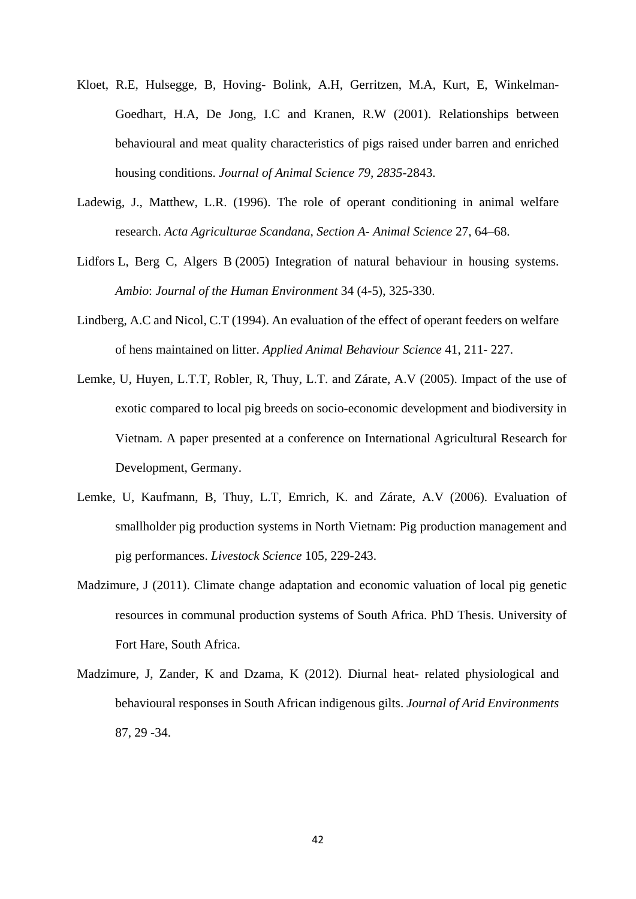- Kloet, R.E, Hulsegge, B, Hoving- Bolink, A.H, Gerritzen, M.A, Kurt, E, Winkelman-Goedhart, H.A, De Jong, I.C and Kranen, R.W (2001). Relationships between behavioural and meat quality characteristics of pigs raised under barren and enriched housing conditions. *Journal of Animal Science 79, 2835*-2843.
- Ladewig, J., Matthew, L.R. (1996). The role of operant conditioning in animal welfare research. *Acta Agriculturae Scandana, Section A- Animal Science* 27, 64–68.
- Lidfors L, Berg C, Algers B (2005) Integration of natural behaviour in housing systems. *Ambio*: *Journal of the Human Environment* 34 (4-5), 325-330.
- Lindberg, A.C and Nicol, C.T (1994). An evaluation of the effect of operant feeders on welfare of hens maintained on litter. *Applied Animal Behaviour Science* 41, 211- 227.
- Lemke, U, Huyen, L.T.T, Robler, R, Thuy, L.T. and Zárate, A.V (2005). Impact of the use of exotic compared to local pig breeds on socio-economic development and biodiversity in Vietnam. A paper presented at a conference on International Agricultural Research for Development, Germany.
- Lemke, U, Kaufmann, B, Thuy, L.T, Emrich, K. and Zárate, A.V (2006). Evaluation of smallholder pig production systems in North Vietnam: Pig production management and pig performances. *Livestock Science* 105, 229-243.
- Madzimure, J (2011). Climate change adaptation and economic valuation of local pig genetic resources in communal production systems of South Africa. PhD Thesis. University of Fort Hare, South Africa.
- Madzimure, J, Zander, K and Dzama, K (2012). Diurnal heat- related physiological and behavioural responses in South African indigenous gilts. *Journal of Arid Environments* 87, 29 -34.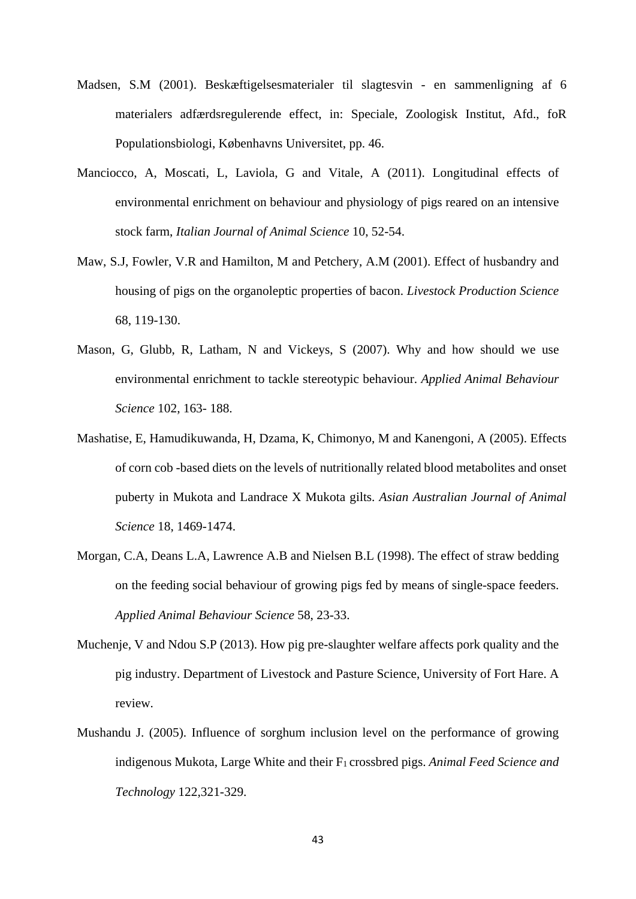- Madsen, S.M (2001). Beskæftigelsesmaterialer til slagtesvin en sammenligning af 6 materialers adfærdsregulerende effect, in: Speciale, Zoologisk Institut, Afd., foR Populationsbiologi, Københavns Universitet, pp. 46.
- Manciocco, A, Moscati, L, Laviola, G and Vitale, A (2011). Longitudinal effects of environmental enrichment on behaviour and physiology of pigs reared on an intensive stock farm, *Italian Journal of Animal Science* 10, 52-54.
- Maw, S.J, Fowler, V.R and Hamilton, M and Petchery, A.M (2001). Effect of husbandry and housing of pigs on the organoleptic properties of bacon. *Livestock Production Science* 68, 119-130.
- Mason, G, Glubb, R, Latham, N and Vickeys, S (2007). Why and how should we use environmental enrichment to tackle stereotypic behaviour. *Applied Animal Behaviour Science* 102, 163- 188.
- Mashatise, E, Hamudikuwanda, H, Dzama, K, Chimonyo, M and Kanengoni, A (2005). Effects of corn cob -based diets on the levels of nutritionally related blood metabolites and onset puberty in Mukota and Landrace X Mukota gilts. *Asian Australian Journal of Animal Science* 18, 1469-1474.
- Morgan, C.A, Deans L.A, Lawrence A.B and Nielsen B.L (1998). The effect of straw bedding on the feeding social behaviour of growing pigs fed by means of single-space feeders. *Applied Animal Behaviour Science* 58, 23-33.
- Muchenje, V and Ndou S.P (2013). How pig pre-slaughter welfare affects pork quality and the pig industry. Department of Livestock and Pasture Science, University of Fort Hare. A review.
- Mushandu J. (2005). Influence of sorghum inclusion level on the performance of growing indigenous Mukota, Large White and their F<sub>1</sub> crossbred pigs. Animal Feed Science and *Technology* 122,321-329.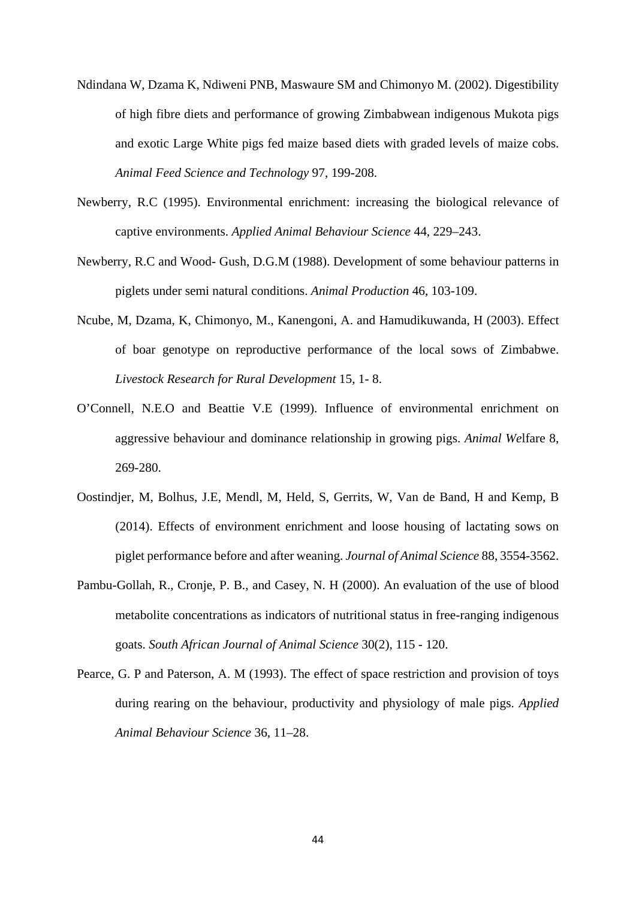- Ndindana W, Dzama K, Ndiweni PNB, Maswaure SM and Chimonyo M. (2002). Digestibility of high fibre diets and performance of growing Zimbabwean indigenous Mukota pigs and exotic Large White pigs fed maize based diets with graded levels of maize cobs. *Animal Feed Science and Technology* 97, 199-208.
- Newberry, R.C (1995). Environmental enrichment: increasing the biological relevance of captive environments. *Applied Animal Behaviour Science* 44, 229–243.
- Newberry, R.C and Wood- Gush, D.G.M (1988). Development of some behaviour patterns in piglets under semi natural conditions. *Animal Production* 46, 103-109.
- Ncube, M, Dzama, K, Chimonyo, M., Kanengoni, A. and Hamudikuwanda, H (2003). Effect of boar genotype on reproductive performance of the local sows of Zimbabwe. *Livestock Research for Rural Development* 15, 1- 8.
- O'Connell, N.E.O and Beattie V.E (1999). Influence of environmental enrichment on aggressive behaviour and dominance relationship in growing pigs. *Animal We*lfare 8, 269-280.
- Oostindjer, M, Bolhus, J.E, Mendl, M, Held, S, Gerrits, W, Van de Band, H and Kemp, B (2014). Effects of environment enrichment and loose housing of lactating sows on piglet performance before and after weaning. *Journal of Animal Science* 88, 3554-3562.
- Pambu-Gollah, R., Cronje, P. B., and Casey, N. H (2000). An evaluation of the use of blood metabolite concentrations as indicators of nutritional status in free-ranging indigenous goats. *South African Journal of Animal Science* 30(2), 115 - 120.
- Pearce, G. P and Paterson, A. M (1993). The effect of space restriction and provision of toys during rearing on the behaviour, productivity and physiology of male pigs. *Applied Animal Behaviour Science* 36, 11–28.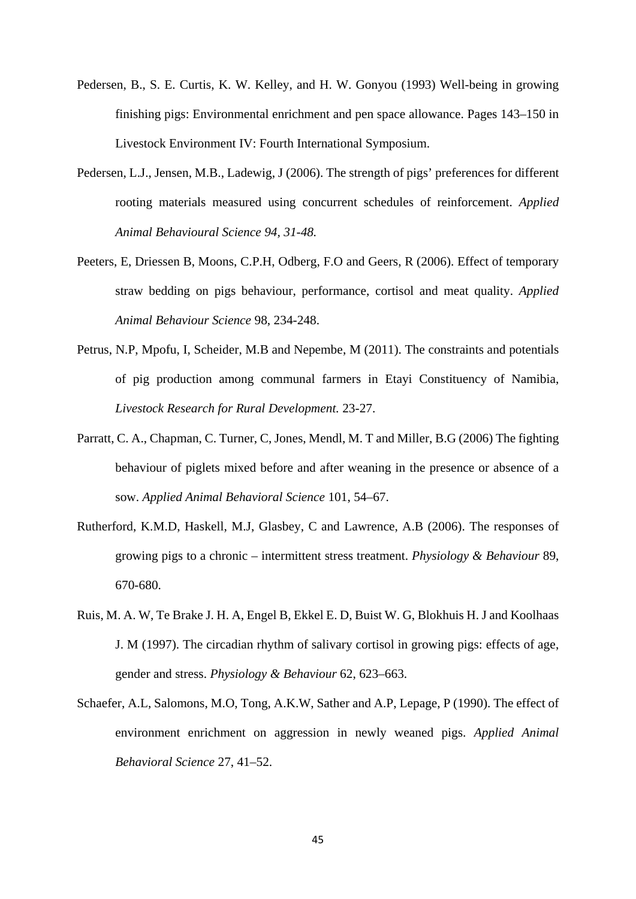- Pedersen, B., S. E. Curtis, K. W. Kelley, and H. W. Gonyou (1993) Well-being in growing finishing pigs: Environmental enrichment and pen space allowance. Pages 143–150 in Livestock Environment IV: Fourth International Symposium.
- Pedersen, L.J., Jensen, M.B., Ladewig, J (2006). The strength of pigs' preferences for different rooting materials measured using concurrent schedules of reinforcement. *Applied Animal Behavioural Science 94, 31-48.*
- Peeters, E, Driessen B, Moons, C.P.H, Odberg, F.O and Geers, R (2006). Effect of temporary straw bedding on pigs behaviour, performance, cortisol and meat quality. *Applied Animal Behaviour Science* 98, 234-248.
- Petrus, N.P, Mpofu, I, Scheider, M.B and Nepembe, M (2011). The constraints and potentials of pig production among communal farmers in Etayi Constituency of Namibia, *Livestock Research for Rural Development.* 23-27.
- Parratt, C. A., Chapman, C. Turner, C, Jones, Mendl, M. T and Miller, B.G (2006) The fighting behaviour of piglets mixed before and after weaning in the presence or absence of a sow. *Applied Animal Behavioral Science* 101, 54–67.
- Rutherford, K.M.D, Haskell, M.J, Glasbey, C and Lawrence, A.B (2006). The responses of growing pigs to a chronic – intermittent stress treatment. *Physiology & Behaviour* 89, 670-680.
- Ruis, M. A. W, Te Brake J. H. A, Engel B, Ekkel E. D, Buist W. G, Blokhuis H. J and Koolhaas J. M (1997). The circadian rhythm of salivary cortisol in growing pigs: effects of age, gender and stress. *Physiology & Behaviour* 62, 623–663.
- Schaefer, A.L, Salomons, M.O, Tong, A.K.W, Sather and A.P, Lepage, P (1990). The effect of environment enrichment on aggression in newly weaned pigs. *Applied Animal Behavioral Science* 27, 41–52.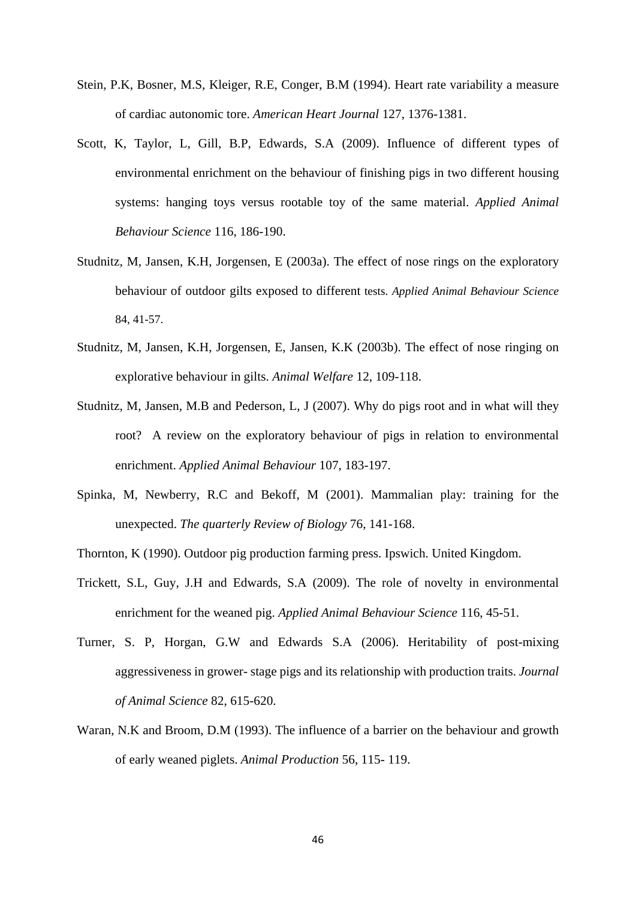- Stein, P.K, Bosner, M.S, Kleiger, R.E, Conger, B.M (1994). Heart rate variability a measure of cardiac autonomic tore. *American Heart Journal* 127, 1376-1381.
- Scott, K, Taylor, L, Gill, B.P, Edwards, S.A (2009). Influence of different types of environmental enrichment on the behaviour of finishing pigs in two different housing systems: hanging toys versus rootable toy of the same material. *Applied Animal Behaviour Science* 116, 186-190.
- Studnitz, M, Jansen, K.H, Jorgensen, E (2003a). The effect of nose rings on the exploratory behaviour of outdoor gilts exposed to different tests. *Applied Animal Behaviour Science* 84, 41-57.
- Studnitz, M, Jansen, K.H, Jorgensen, E, Jansen, K.K (2003b). The effect of nose ringing on explorative behaviour in gilts. *Animal Welfare* 12, 109-118.
- Studnitz, M, Jansen, M.B and Pederson, L, J (2007). Why do pigs root and in what will they root? A review on the exploratory behaviour of pigs in relation to environmental enrichment. *Applied Animal Behaviour* 107, 183-197.
- Spinka, M, Newberry, R.C and Bekoff, M (2001). Mammalian play: training for the unexpected. *The quarterly Review of Biology* 76, 141-168.
- Thornton, K (1990). Outdoor pig production farming press. Ipswich. United Kingdom.
- Trickett, S.L, Guy, J.H and Edwards, S.A (2009). The role of novelty in environmental enrichment for the weaned pig. *Applied Animal Behaviour Science* 116, 45-51.
- Turner, S. P, Horgan, G.W and Edwards S.A (2006). Heritability of post-mixing aggressiveness in grower- stage pigs and its relationship with production traits. *Journal of Animal Science* 82, 615-620.
- Waran, N.K and Broom, D.M (1993). The influence of a barrier on the behaviour and growth of early weaned piglets. *Animal Production* 56, 115- 119.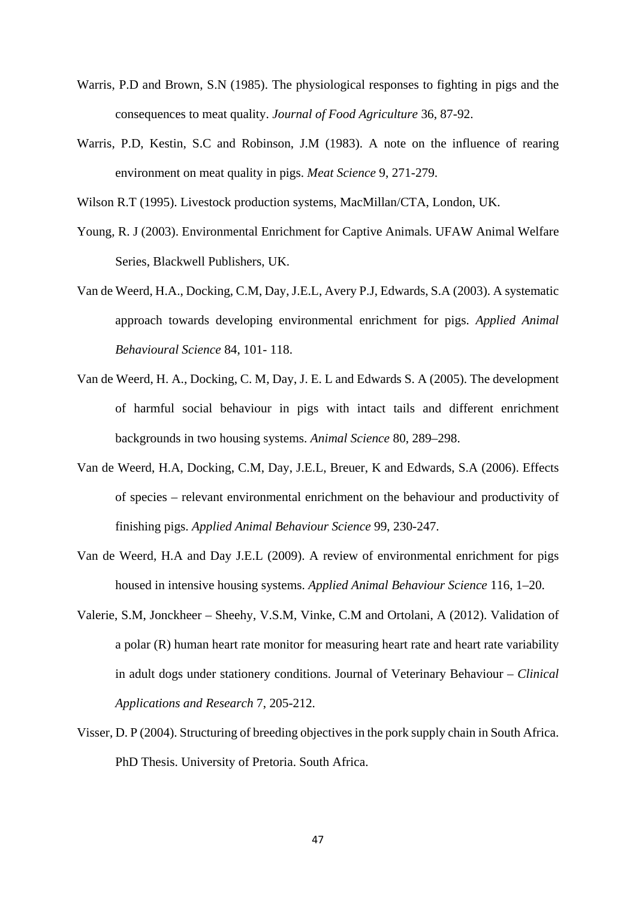- Warris, P.D and Brown, S.N (1985). The physiological responses to fighting in pigs and the consequences to meat quality. *Journal of Food Agriculture* 36, 87-92.
- Warris, P.D, Kestin, S.C and Robinson, J.M (1983). A note on the influence of rearing environment on meat quality in pigs. *Meat Science* 9, 271-279.
- Wilson R.T (1995). Livestock production systems, MacMillan/CTA, London, UK.
- Young, R. J (2003). Environmental Enrichment for Captive Animals. UFAW Animal Welfare Series, Blackwell Publishers, UK.
- Van de Weerd, H.A., Docking, C.M, Day, J.E.L, Avery P.J, Edwards, S.A (2003). A systematic approach towards developing environmental enrichment for pigs. *Applied Animal Behavioural Science* 84, 101- 118.
- Van de Weerd, H. A., Docking, C. M, Day, J. E. L and Edwards S. A (2005). The development of harmful social behaviour in pigs with intact tails and different enrichment backgrounds in two housing systems. *Animal Science* 80, 289–298.
- Van de Weerd, H.A, Docking, C.M, Day, J.E.L, Breuer, K and Edwards, S.A (2006). Effects of species – relevant environmental enrichment on the behaviour and productivity of finishing pigs. *Applied Animal Behaviour Science* 99, 230-247.
- Van de Weerd, H.A and Day J.E.L (2009). A review of environmental enrichment for pigs housed in intensive housing systems. *Applied Animal Behaviour Science* 116, 1–20.
- Valerie, S.M, Jonckheer Sheehy, V.S.M, Vinke, C.M and Ortolani, A (2012). Validation of a polar (R) human heart rate monitor for measuring heart rate and heart rate variability in adult dogs under stationery conditions. Journal of Veterinary Behaviour – *Clinical Applications and Research* 7, 205-212.
- Visser, D. P (2004). Structuring of breeding objectives in the pork supply chain in South Africa. PhD Thesis. University of Pretoria. South Africa.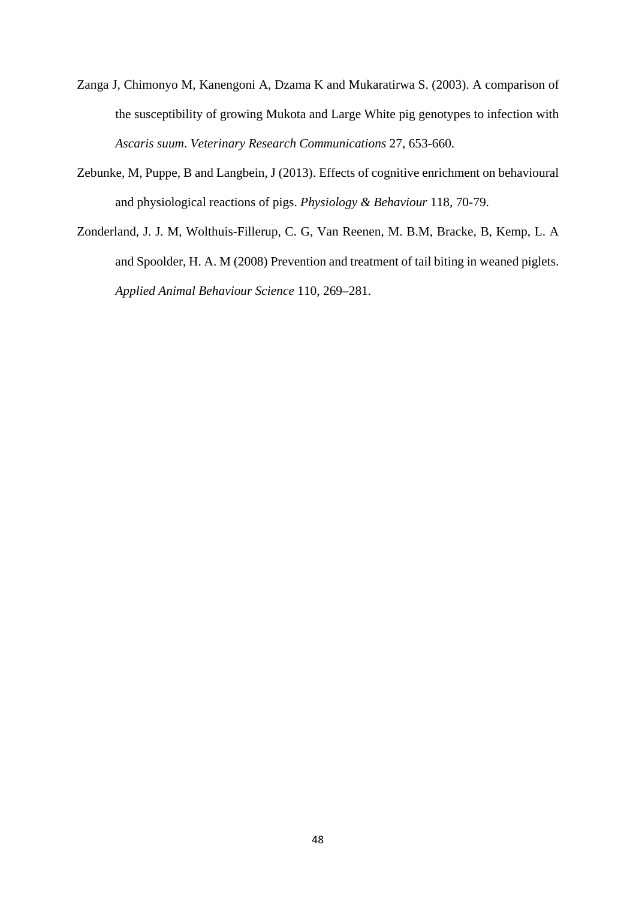- Zanga J, Chimonyo M, Kanengoni A, Dzama K and Mukaratirwa S. (2003). A comparison of the susceptibility of growing Mukota and Large White pig genotypes to infection with *Ascaris suum*. *Veterinary Research Communications* 27, 653-660.
- Zebunke, M, Puppe, B and Langbein, J (2013). Effects of cognitive enrichment on behavioural and physiological reactions of pigs. *Physiology & Behaviour* 118, 70-79.
- Zonderland, J. J. M, Wolthuis-Fillerup, C. G, Van Reenen, M. B.M, Bracke, B, Kemp, L. A and Spoolder, H. A. M (2008) Prevention and treatment of tail biting in weaned piglets. *Applied Animal Behaviour Science* 110, 269–281.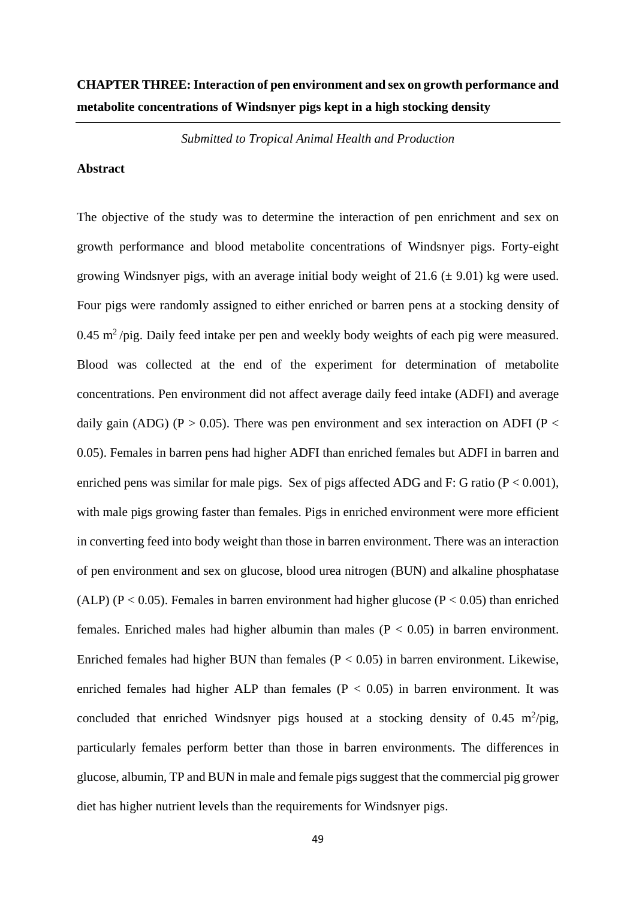## **CHAPTER THREE: Interaction of pen environment and sex on growth performance and metabolite concentrations of Windsnyer pigs kept in a high stocking density**

*Submitted to Tropical Animal Health and Production*

## **Abstract**

The objective of the study was to determine the interaction of pen enrichment and sex on growth performance and blood metabolite concentrations of Windsnyer pigs. Forty-eight growing Windsnyer pigs, with an average initial body weight of  $21.6 \ (\pm 9.01)$  kg were used. Four pigs were randomly assigned to either enriched or barren pens at a stocking density of  $0.45$  m<sup>2</sup>/pig. Daily feed intake per pen and weekly body weights of each pig were measured. Blood was collected at the end of the experiment for determination of metabolite concentrations. Pen environment did not affect average daily feed intake (ADFI) and average daily gain (ADG) (P > 0.05). There was pen environment and sex interaction on ADFI (P < 0.05). Females in barren pens had higher ADFI than enriched females but ADFI in barren and enriched pens was similar for male pigs. Sex of pigs affected ADG and F: G ratio ( $P < 0.001$ ), with male pigs growing faster than females. Pigs in enriched environment were more efficient in converting feed into body weight than those in barren environment. There was an interaction of pen environment and sex on glucose, blood urea nitrogen (BUN) and alkaline phosphatase (ALP) ( $P < 0.05$ ). Females in barren environment had higher glucose ( $P < 0.05$ ) than enriched females. Enriched males had higher albumin than males ( $P < 0.05$ ) in barren environment. Enriched females had higher BUN than females  $(P < 0.05)$  in barren environment. Likewise, enriched females had higher ALP than females  $(P < 0.05)$  in barren environment. It was concluded that enriched Windsnyer pigs housed at a stocking density of  $0.45 \text{ m}^2/\text{pig}$ , particularly females perform better than those in barren environments. The differences in glucose, albumin, TP and BUN in male and female pigs suggest that the commercial pig grower diet has higher nutrient levels than the requirements for Windsnyer pigs.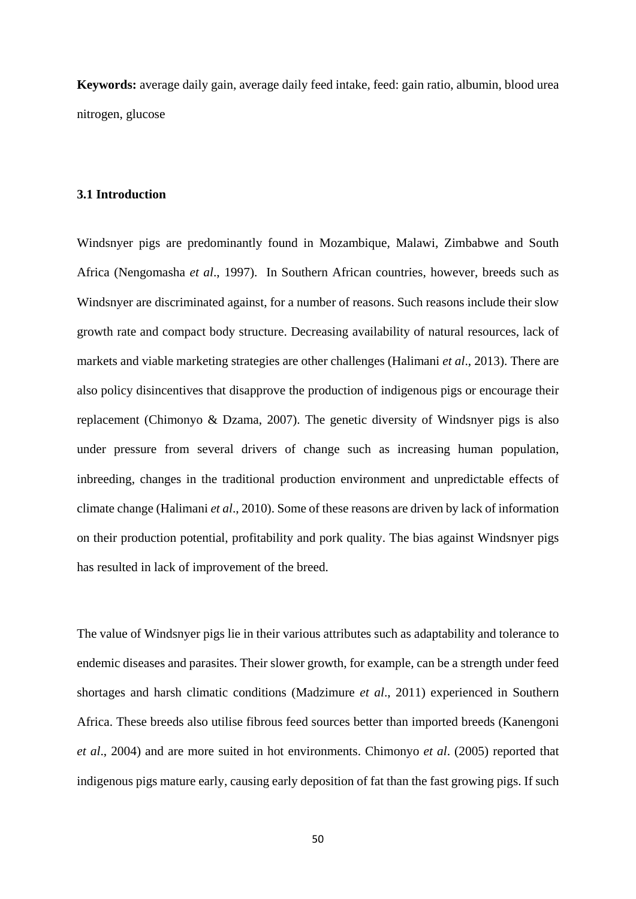**Keywords:** average daily gain, average daily feed intake, feed: gain ratio, albumin, blood urea nitrogen, glucose

## **3.1 Introduction**

Windsnyer pigs are predominantly found in Mozambique, Malawi, Zimbabwe and South Africa (Nengomasha *et al*., 1997). In Southern African countries, however, breeds such as Windsnyer are discriminated against, for a number of reasons. Such reasons include their slow growth rate and compact body structure. Decreasing availability of natural resources, lack of markets and viable marketing strategies are other challenges (Halimani *et al*., 2013). There are also policy disincentives that disapprove the production of indigenous pigs or encourage their replacement (Chimonyo & Dzama, 2007). The genetic diversity of Windsnyer pigs is also under pressure from several drivers of change such as increasing human population, inbreeding, changes in the traditional production environment and unpredictable effects of climate change (Halimani *et al*., 2010). Some of these reasons are driven by lack of information on their production potential, profitability and pork quality. The bias against Windsnyer pigs has resulted in lack of improvement of the breed.

The value of Windsnyer pigs lie in their various attributes such as adaptability and tolerance to endemic diseases and parasites. Their slower growth, for example, can be a strength under feed shortages and harsh climatic conditions (Madzimure *et al*., 2011) experienced in Southern Africa. These breeds also utilise fibrous feed sources better than imported breeds (Kanengoni *et al*., 2004) and are more suited in hot environments. Chimonyo *et al*. (2005) reported that indigenous pigs mature early, causing early deposition of fat than the fast growing pigs. If such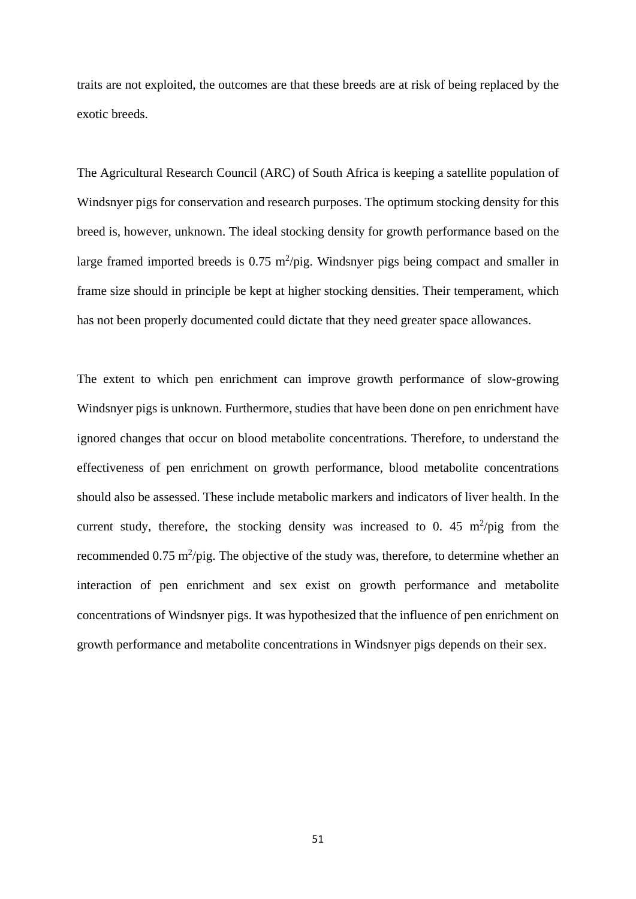traits are not exploited, the outcomes are that these breeds are at risk of being replaced by the exotic breeds.

The Agricultural Research Council (ARC) of South Africa is keeping a satellite population of Windsnyer pigs for conservation and research purposes. The optimum stocking density for this breed is, however, unknown. The ideal stocking density for growth performance based on the large framed imported breeds is  $0.75 \text{ m}^2/\text{pi}$ g. Windsnyer pigs being compact and smaller in frame size should in principle be kept at higher stocking densities. Their temperament, which has not been properly documented could dictate that they need greater space allowances.

The extent to which pen enrichment can improve growth performance of slow-growing Windsnyer pigs is unknown. Furthermore, studies that have been done on pen enrichment have ignored changes that occur on blood metabolite concentrations. Therefore, to understand the effectiveness of pen enrichment on growth performance, blood metabolite concentrations should also be assessed. These include metabolic markers and indicators of liver health. In the current study, therefore, the stocking density was increased to 0. 45  $m^2$ /pig from the recommended  $0.75 \text{ m}^2/\text{pi}$ . The objective of the study was, therefore, to determine whether an interaction of pen enrichment and sex exist on growth performance and metabolite concentrations of Windsnyer pigs. It was hypothesized that the influence of pen enrichment on growth performance and metabolite concentrations in Windsnyer pigs depends on their sex.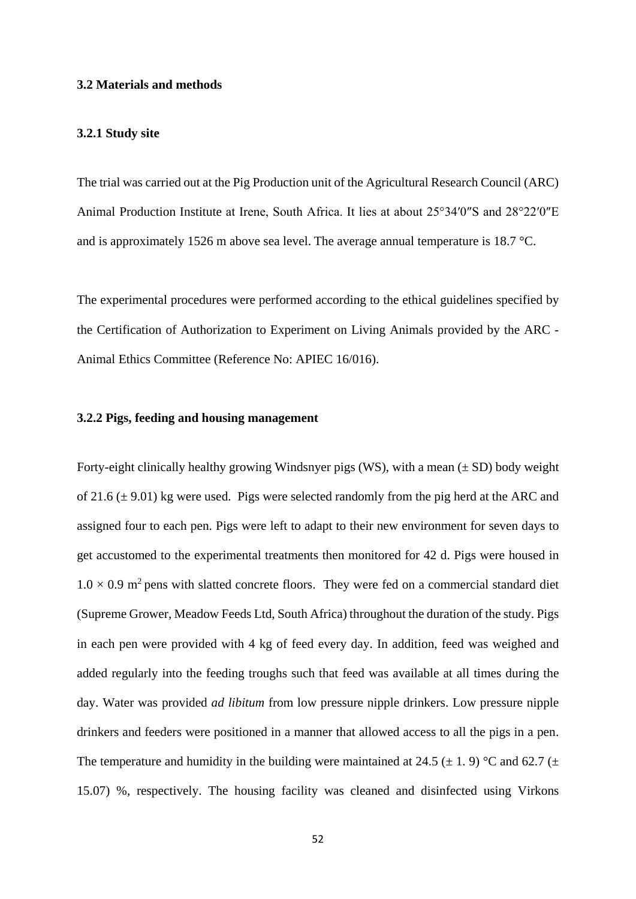## **3.2 Materials and methods**

## **3.2.1 Study site**

The trial was carried out at the Pig Production unit of the Agricultural Research Council (ARC) Animal Production Institute at Irene, South Africa. It lies at about 25°34′0″S and 28°22′0″E and is approximately 1526 m above sea level. The average annual temperature is 18.7 °C.

The experimental procedures were performed according to the ethical guidelines specified by the Certification of Authorization to Experiment on Living Animals provided by the ARC - Animal Ethics Committee (Reference No: APIEC 16/016).

## **3.2.2 Pigs, feeding and housing management**

Forty-eight clinically healthy growing Windsnyer pigs (WS), with a mean  $(\pm SD)$  body weight of 21.6 ( $\pm$  9.01) kg were used. Pigs were selected randomly from the pig herd at the ARC and assigned four to each pen. Pigs were left to adapt to their new environment for seven days to get accustomed to the experimental treatments then monitored for 42 d. Pigs were housed in  $1.0 \times 0.9$  m<sup>2</sup> pens with slatted concrete floors. They were fed on a commercial standard diet (Supreme Grower, Meadow Feeds Ltd, South Africa) throughout the duration of the study. Pigs in each pen were provided with 4 kg of feed every day. In addition, feed was weighed and added regularly into the feeding troughs such that feed was available at all times during the day. Water was provided *ad libitum* from low pressure nipple drinkers. Low pressure nipple drinkers and feeders were positioned in a manner that allowed access to all the pigs in a pen. The temperature and humidity in the building were maintained at 24.5 ( $\pm$  1.9) °C and 62.7 ( $\pm$ 15.07) %, respectively. The housing facility was cleaned and disinfected using Virkons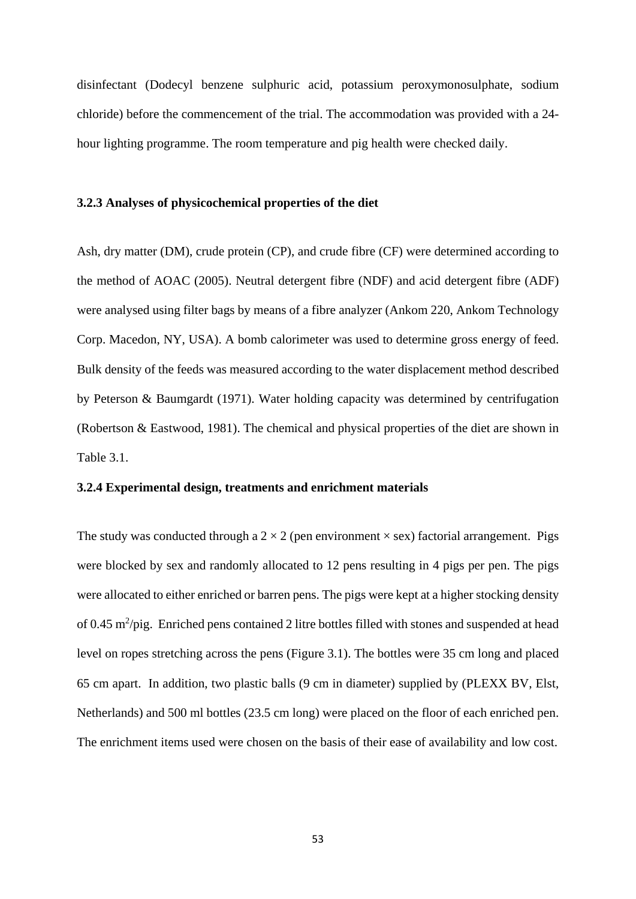disinfectant (Dodecyl benzene sulphuric acid, potassium peroxymonosulphate, sodium chloride) before the commencement of the trial. The accommodation was provided with a 24 hour lighting programme. The room temperature and pig health were checked daily.

## **3.2.3 Analyses of physicochemical properties of the diet**

Ash, dry matter (DM), crude protein (CP), and crude fibre (CF) were determined according to the method of AOAC (2005). Neutral detergent fibre (NDF) and acid detergent fibre (ADF) were analysed using filter bags by means of a fibre analyzer (Ankom 220, Ankom Technology Corp. Macedon, NY, USA). A bomb calorimeter was used to determine gross energy of feed. Bulk density of the feeds was measured according to the water displacement method described by Peterson & Baumgardt (1971). Water holding capacity was determined by centrifugation (Robertson & Eastwood, 1981). The chemical and physical properties of the diet are shown in Table 3.1.

## **3.2.4 Experimental design, treatments and enrichment materials**

The study was conducted through a  $2 \times 2$  (pen environment  $\times$  sex) factorial arrangement. Pigs were blocked by sex and randomly allocated to 12 pens resulting in 4 pigs per pen. The pigs were allocated to either enriched or barren pens. The pigs were kept at a higher stocking density of 0.45 m<sup>2</sup>/pig. Enriched pens contained 2 litre bottles filled with stones and suspended at head level on ropes stretching across the pens (Figure 3.1). The bottles were 35 cm long and placed 65 cm apart. In addition, two plastic balls (9 cm in diameter) supplied by (PLEXX BV, Elst, Netherlands) and 500 ml bottles (23.5 cm long) were placed on the floor of each enriched pen. The enrichment items used were chosen on the basis of their ease of availability and low cost.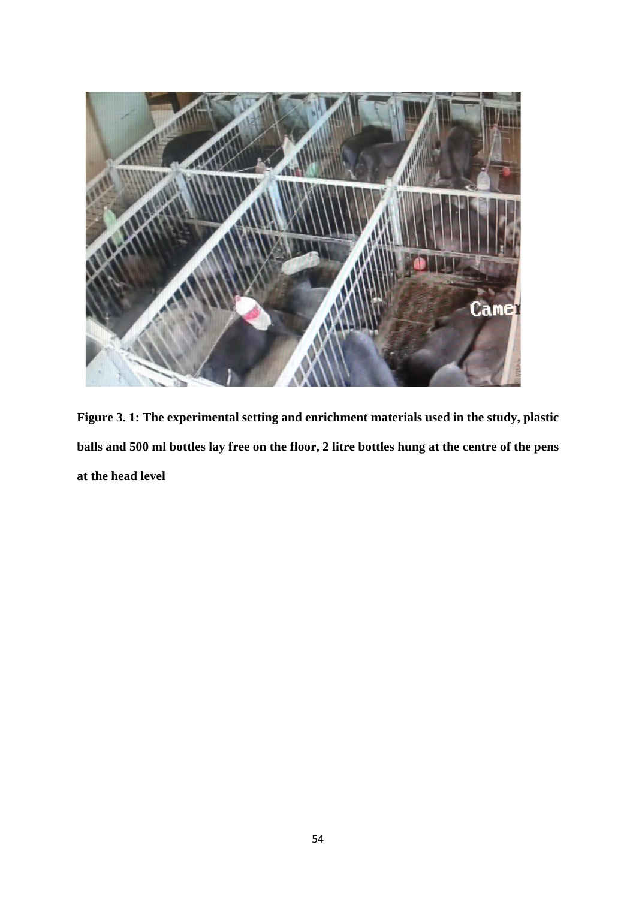

**Figure 3. 1: The experimental setting and enrichment materials used in the study, plastic balls and 500 ml bottles lay free on the floor, 2 litre bottles hung at the centre of the pens at the head level**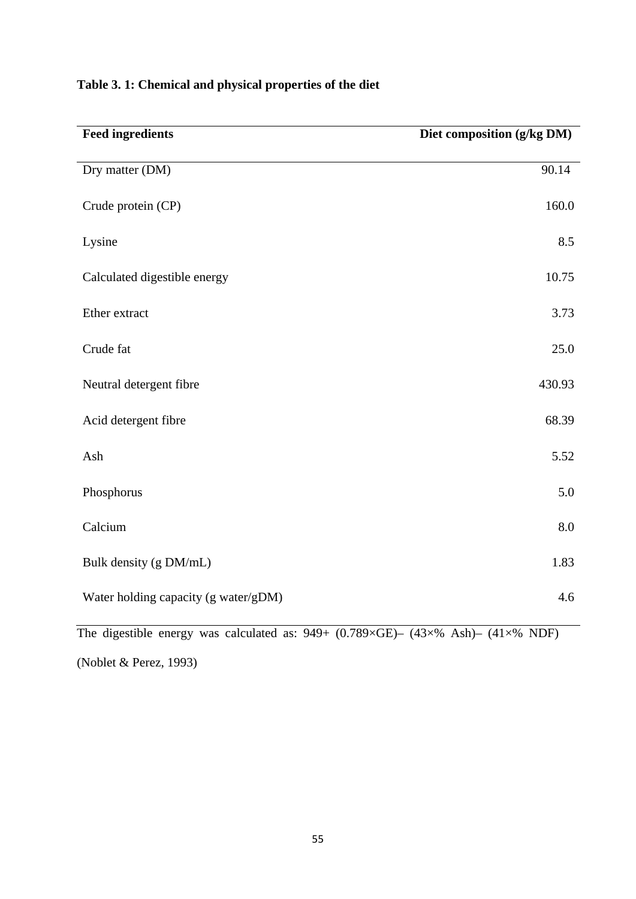| <b>Feed ingredients</b>              | Diet composition (g/kg DM) |
|--------------------------------------|----------------------------|
| Dry matter (DM)                      | 90.14                      |
| Crude protein (CP)                   | 160.0                      |
| Lysine                               | 8.5                        |
| Calculated digestible energy         | 10.75                      |
| Ether extract                        | 3.73                       |
| Crude fat                            | 25.0                       |
| Neutral detergent fibre              | 430.93                     |
| Acid detergent fibre                 | 68.39                      |
| Ash                                  | 5.52                       |
| Phosphorus                           | 5.0                        |
| Calcium                              | 8.0                        |
| Bulk density (g DM/mL)               | 1.83                       |
| Water holding capacity (g water/gDM) | 4.6                        |

# **Table 3. 1: Chemical and physical properties of the diet**

The digestible energy was calculated as: 949+ (0.789×GE)– (43×% Ash)– (41×% NDF)

(Noblet & Perez, 1993)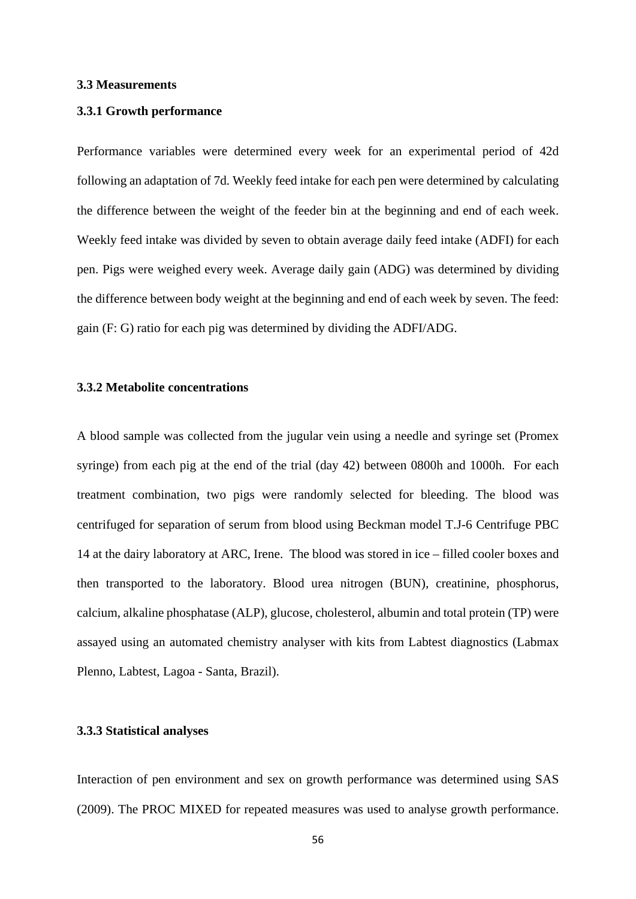## **3.3 Measurements**

## **3.3.1 Growth performance**

Performance variables were determined every week for an experimental period of 42d following an adaptation of 7d. Weekly feed intake for each pen were determined by calculating the difference between the weight of the feeder bin at the beginning and end of each week. Weekly feed intake was divided by seven to obtain average daily feed intake (ADFI) for each pen. Pigs were weighed every week. Average daily gain (ADG) was determined by dividing the difference between body weight at the beginning and end of each week by seven. The feed: gain (F: G) ratio for each pig was determined by dividing the ADFI/ADG.

## **3.3.2 Metabolite concentrations**

A blood sample was collected from the jugular vein using a needle and syringe set (Promex syringe) from each pig at the end of the trial (day 42) between 0800h and 1000h. For each treatment combination, two pigs were randomly selected for bleeding. The blood was centrifuged for separation of serum from blood using Beckman model T.J-6 Centrifuge PBC 14 at the dairy laboratory at ARC, Irene. The blood was stored in ice – filled cooler boxes and then transported to the laboratory. Blood urea nitrogen (BUN), creatinine, phosphorus, calcium, alkaline phosphatase (ALP), glucose, cholesterol, albumin and total protein (TP) were assayed using an automated chemistry analyser with kits from Labtest diagnostics (Labmax Plenno, Labtest, Lagoa - Santa, Brazil).

## **3.3.3 Statistical analyses**

Interaction of pen environment and sex on growth performance was determined using SAS (2009). The PROC MIXED for repeated measures was used to analyse growth performance.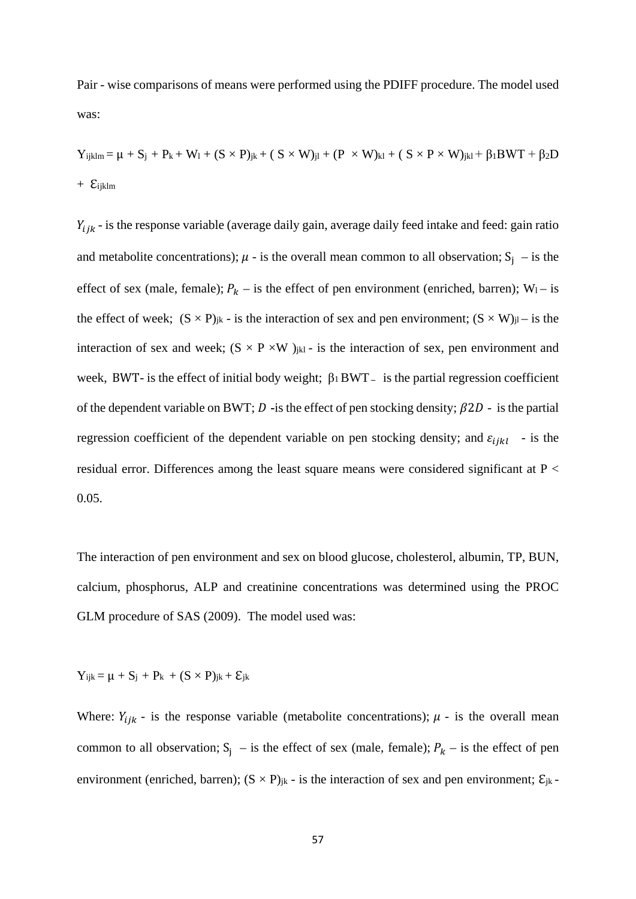Pair - wise comparisons of means were performed using the PDIFF procedure. The model used was:

 $Y_{ijklm} = \mu + S_j + P_k + W_l + (S \times P)_{jk} + (S \times W)_{jl} + (P \times W)_{kl} + (S \times P \times W)_{jkl} + \beta_1 BWT + \beta_2 D$ + ℇijklm

 $Y_{ijk}$  - is the response variable (average daily gain, average daily feed intake and feed: gain ratio and metabolite concentrations);  $\mu$  - is the overall mean common to all observation;  $S_i$  – is the effect of sex (male, female);  $P_k$  – is the effect of pen environment (enriched, barren); W<sub>1</sub> – is the effect of week;  $(S \times P)_{jk}$  - is the interaction of sex and pen environment;  $(S \times W)_{jl}$  – is the interaction of sex and week;  $(S \times P \times W)_{jkl}$  - is the interaction of sex, pen environment and week, BWT- is the effect of initial body weight; β1 BWT**–** is the partial regression coefficient of the dependent variable on BWT;  $D$  -is the effect of pen stocking density;  $\beta 2D$  - is the partial regression coefficient of the dependent variable on pen stocking density; and  $\varepsilon_{i j k l}$  - is the residual error. Differences among the least square means were considered significant at P < 0.05.

The interaction of pen environment and sex on blood glucose, cholesterol, albumin, TP, BUN, calcium, phosphorus, ALP and creatinine concentrations was determined using the PROC GLM procedure of SAS (2009). The model used was:

 $Y_{iik} = \mu + S_i + P_k + (S \times P)_{ik} + \mathcal{E}_{ik}$ 

Where:  $Y_{ijk}$  - is the response variable (metabolite concentrations);  $\mu$  - is the overall mean common to all observation;  $S_i$  – is the effect of sex (male, female);  $P_k$  – is the effect of pen environment (enriched, barren);  $(S \times P)_{jk}$  - is the interaction of sex and pen environment;  $\mathcal{E}_{jk}$  -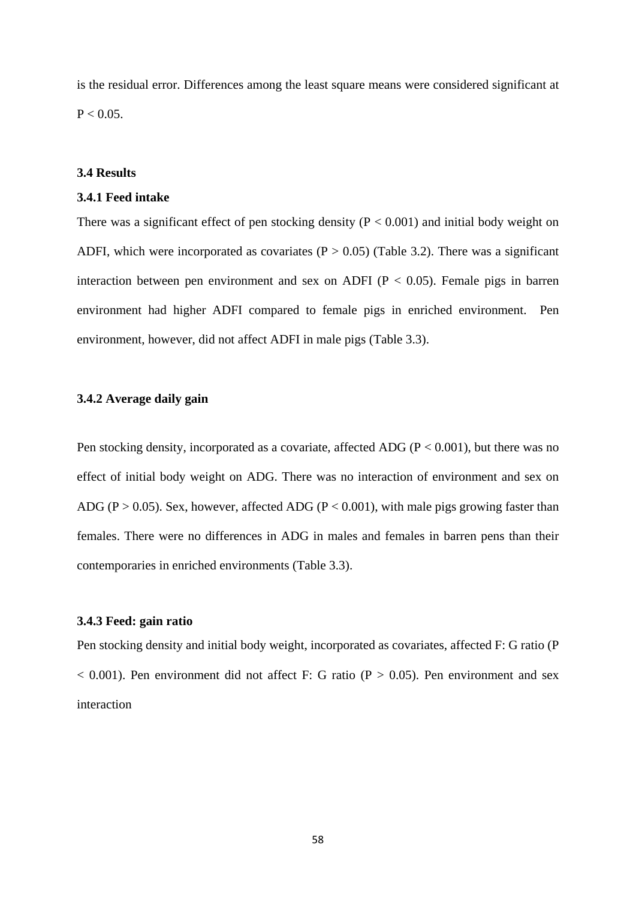is the residual error. Differences among the least square means were considered significant at  $P < 0.05$ .

#### **3.4 Results**

#### **3.4.1 Feed intake**

There was a significant effect of pen stocking density  $(P < 0.001)$  and initial body weight on ADFI, which were incorporated as covariates  $(P > 0.05)$  (Table 3.2). There was a significant interaction between pen environment and sex on ADFI ( $P < 0.05$ ). Female pigs in barren environment had higher ADFI compared to female pigs in enriched environment. Pen environment, however, did not affect ADFI in male pigs (Table 3.3).

## **3.4.2 Average daily gain**

Pen stocking density, incorporated as a covariate, affected ADG ( $P < 0.001$ ), but there was no effect of initial body weight on ADG. There was no interaction of environment and sex on ADG (P > 0.05). Sex, however, affected ADG (P < 0.001), with male pigs growing faster than females. There were no differences in ADG in males and females in barren pens than their contemporaries in enriched environments (Table 3.3).

### **3.4.3 Feed: gain ratio**

Pen stocking density and initial body weight, incorporated as covariates, affected F: G ratio (P  $< 0.001$ ). Pen environment did not affect F: G ratio (P  $> 0.05$ ). Pen environment and sex interaction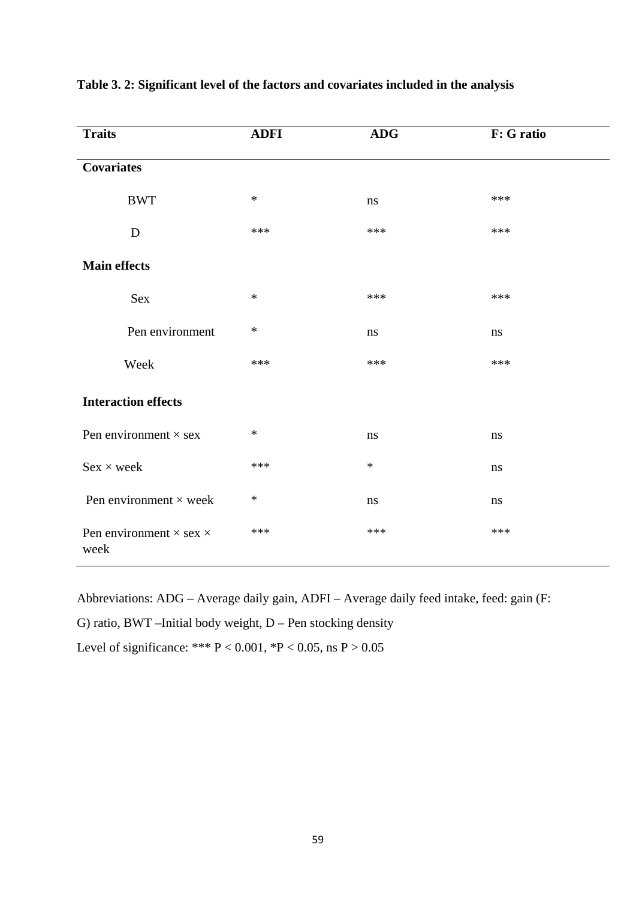| <b>Traits</b>                                 | <b>ADFI</b> | <b>ADG</b> | F: G ratio |
|-----------------------------------------------|-------------|------------|------------|
| <b>Covariates</b>                             |             |            |            |
| <b>BWT</b>                                    | $\ast$      | ns         | ***        |
| D                                             | ***         | ***        | ***        |
| <b>Main effects</b>                           |             |            |            |
| Sex                                           | $\ast$      | ***        | ***        |
| Pen environment                               | $\ast$      | ns         | ns         |
| Week                                          | ***         | ***        | ***        |
| <b>Interaction effects</b>                    |             |            |            |
| Pen environment $\times$ sex                  | $\ast$      | ns         | ns         |
| $Sex \times week$                             | ***         | $\ast$     | ns         |
| Pen environment $\times$ week                 | $\ast$      | $\,ns\,$   | ns         |
| Pen environment $\times$ sex $\times$<br>week | ***         | ***        | ***        |

## **Table 3. 2: Significant level of the factors and covariates included in the analysis**

Abbreviations: ADG – Average daily gain, ADFI – Average daily feed intake, feed: gain (F:

G) ratio, BWT –Initial body weight, D – Pen stocking density

Level of significance: \*\*\*  $P < 0.001$ , \* $P < 0.05$ , ns  $P > 0.05$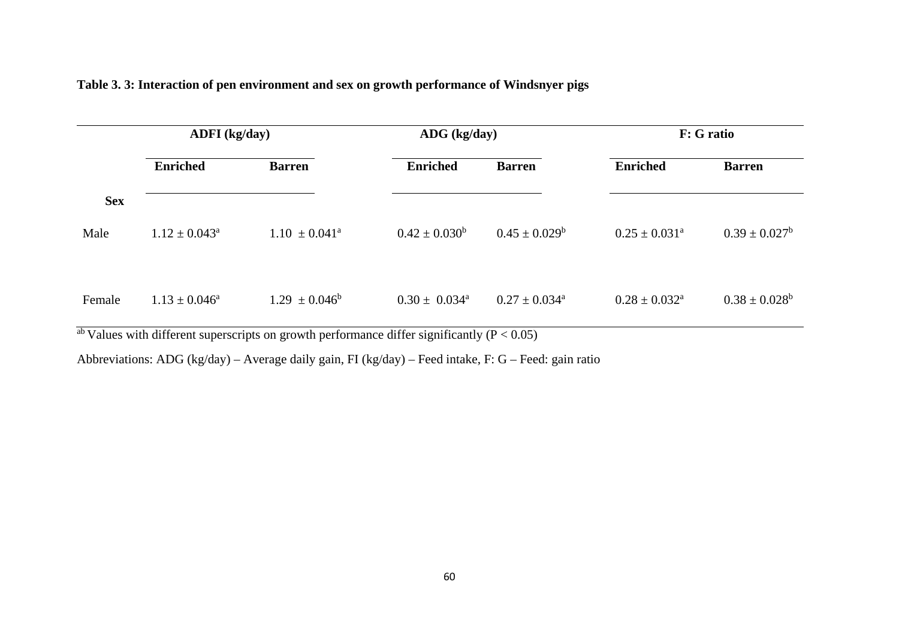| ADFI (kg/day)      |                             |                             |                             | F: G ratio                  |                    |  |
|--------------------|-----------------------------|-----------------------------|-----------------------------|-----------------------------|--------------------|--|
| <b>Enriched</b>    | <b>Barren</b>               | <b>Enriched</b>             | <b>Barren</b>               | <b>Enriched</b>             | <b>Barren</b>      |  |
|                    |                             |                             |                             |                             |                    |  |
| $1.12 \pm 0.043^a$ | $1.10 \pm 0.041^{\text{a}}$ | $0.42 \pm 0.030^b$          | $0.45 \pm 0.029^b$          | $0.25 \pm 0.031^{\text{a}}$ | $0.39 \pm 0.027^b$ |  |
|                    |                             |                             |                             |                             |                    |  |
| $1.13 \pm 0.046^a$ | $1.29 \pm 0.046^b$          | $0.30 \pm 0.034^{\text{a}}$ | $0.27 \pm 0.034^{\text{a}}$ | $0.28 \pm 0.032^{\rm a}$    | $0.38 \pm 0.028^b$ |  |
|                    |                             |                             |                             | ADG (kg/day)                |                    |  |

## **Table 3. 3: Interaction of pen environment and sex on growth performance of Windsnyer pigs**

 $\frac{ab}{ab}$  Values with different superscripts on growth performance differ significantly (P < 0.05)

Abbreviations: ADG (kg/day) – Average daily gain, FI (kg/day) – Feed intake, F: G – Feed: gain ratio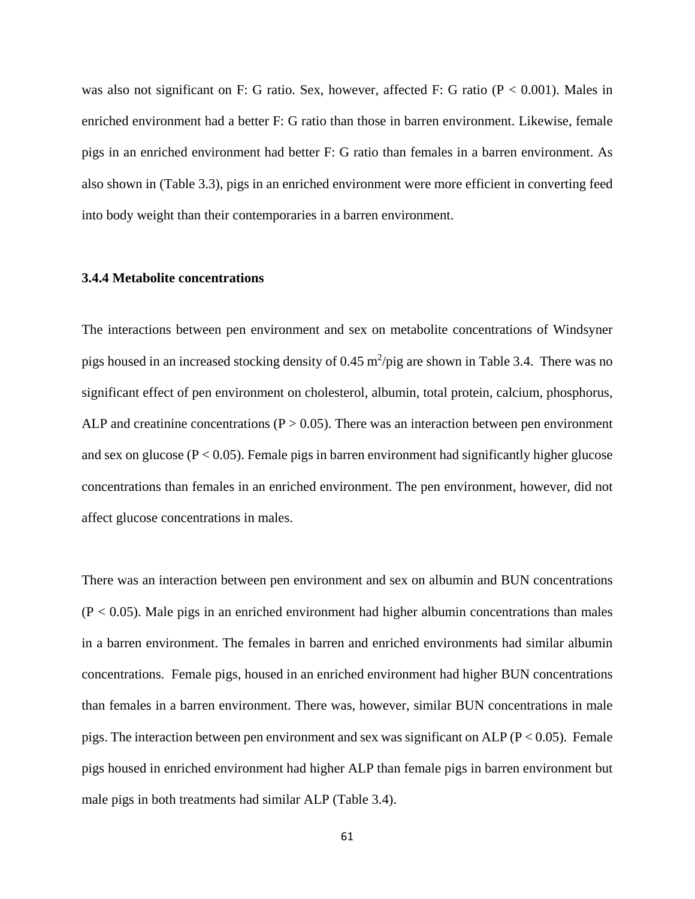was also not significant on F: G ratio. Sex, however, affected F: G ratio  $(P < 0.001)$ . Males in enriched environment had a better F: G ratio than those in barren environment. Likewise, female pigs in an enriched environment had better F: G ratio than females in a barren environment. As also shown in (Table 3.3), pigs in an enriched environment were more efficient in converting feed into body weight than their contemporaries in a barren environment.

#### **3.4.4 Metabolite concentrations**

The interactions between pen environment and sex on metabolite concentrations of Windsyner pigs housed in an increased stocking density of  $0.45 \frac{\text{m}^2}{\text{pi}}$  are shown in Table 3.4. There was no significant effect of pen environment on cholesterol, albumin, total protein, calcium, phosphorus, ALP and creatinine concentrations ( $P > 0.05$ ). There was an interaction between pen environment and sex on glucose ( $P < 0.05$ ). Female pigs in barren environment had significantly higher glucose concentrations than females in an enriched environment. The pen environment, however, did not affect glucose concentrations in males.

There was an interaction between pen environment and sex on albumin and BUN concentrations  $(P < 0.05)$ . Male pigs in an enriched environment had higher albumin concentrations than males in a barren environment. The females in barren and enriched environments had similar albumin concentrations. Female pigs, housed in an enriched environment had higher BUN concentrations than females in a barren environment. There was, however, similar BUN concentrations in male pigs. The interaction between pen environment and sex was significant on ALP ( $P < 0.05$ ). Female pigs housed in enriched environment had higher ALP than female pigs in barren environment but male pigs in both treatments had similar ALP (Table 3.4).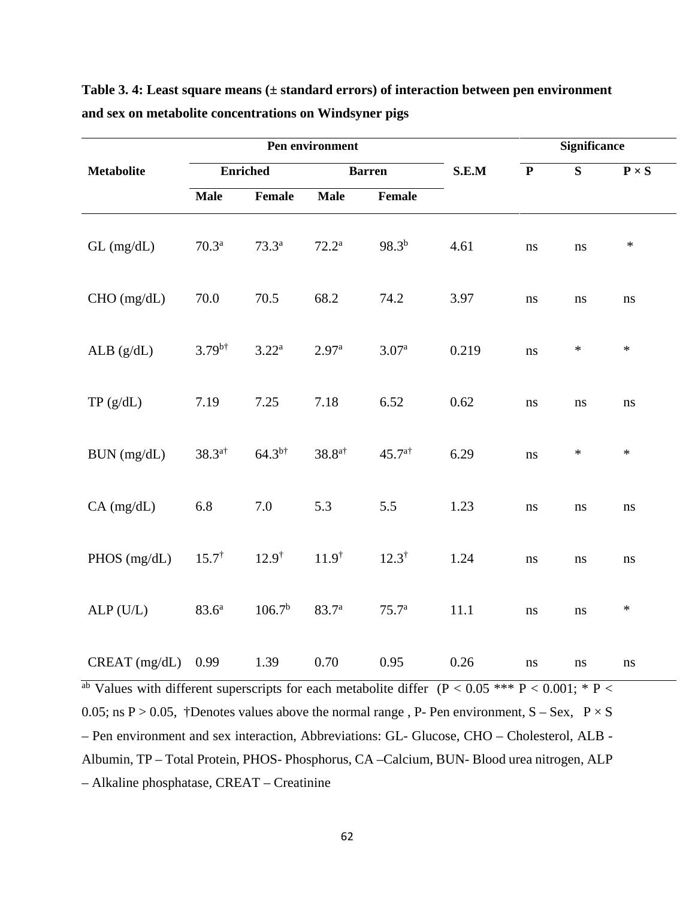|                   |                      |                    | Pen environment   |                   |       | <b>Significance</b> |        |                        |
|-------------------|----------------------|--------------------|-------------------|-------------------|-------|---------------------|--------|------------------------|
| <b>Metabolite</b> | <b>Enriched</b>      |                    | <b>Barren</b>     |                   | S.E.M | $\mathbf{P}$        | S      | $P \times S$           |
|                   | <b>Male</b>          | Female             | <b>Male</b>       | Female            |       |                     |        |                        |
| $GL$ (mg/dL)      | $70.3^{\rm a}$       | $73.3^{\rm a}$     | $72.2^{\rm a}$    | $98.3^{b}$        | 4.61  | ns                  | ns     | $\ast$                 |
| $CHO$ (mg/dL)     | 70.0                 | 70.5               | 68.2              | 74.2              | 3.97  | $\rm ns$            | ns     | $\rm ns$               |
| ALB(g/dL)         | $3.79^{b\dagger}$    | $3.22^{\rm a}$     | 2.97 <sup>a</sup> | 3.07 <sup>a</sup> | 0.219 | $\rm ns$            | $\ast$ | $\ast$                 |
| TP(g/dL)          | 7.19                 | 7.25               | 7.18              | 6.52              | 0.62  | $\rm ns$            | ns     | $\bf ns$               |
| BUN (mg/dL)       | $38.3$ <sup>a†</sup> | $64.3^{b\dagger}$  | $38.8^{a\dagger}$ | $45.7^{a\dagger}$ | 6.29  | $\rm ns$            | $\ast$ | $\ast$                 |
| $CA$ (mg/dL)      | 6.8                  | 7.0                | 5.3               | 5.5               | 1.23  | ns                  | ns     | $\mathbf{n}\mathbf{s}$ |
| PHOS (mg/dL)      | $15.7^{\dagger}$     | $12.9^{\dagger}$   | $11.9^{\dagger}$  | $12.3^{\dagger}$  | 1.24  | ns                  | ns     | ns                     |
| $ALP$ (U/L)       | $83.6^{\rm a}$       | 106.7 <sup>b</sup> | 83.7 <sup>a</sup> | 75.7 <sup>a</sup> | 11.1  | ns                  | ns     | $\ast$                 |
| CREAT (mg/dL)     | 0.99                 | 1.39               | 0.70              | 0.95              | 0.26  | $\rm ns$            | ns     | $\rm ns$               |

**Table 3. 4: Least square means (± standard errors) of interaction between pen environment and sex on metabolite concentrations on Windsyner pigs**

<sup>ab</sup> Values with different superscripts for each metabolite differ (P < 0.05 \*\*\* P < 0.001; \* P < 0.05; ns  $P > 0.05$ , †Denotes values above the normal range, P- Pen environment, S – Sex,  $P \times S$ – Pen environment and sex interaction, Abbreviations: GL- Glucose, CHO – Cholesterol, ALB - Albumin, TP – Total Protein, PHOS- Phosphorus, CA –Calcium, BUN- Blood urea nitrogen, ALP – Alkaline phosphatase, CREAT – Creatinine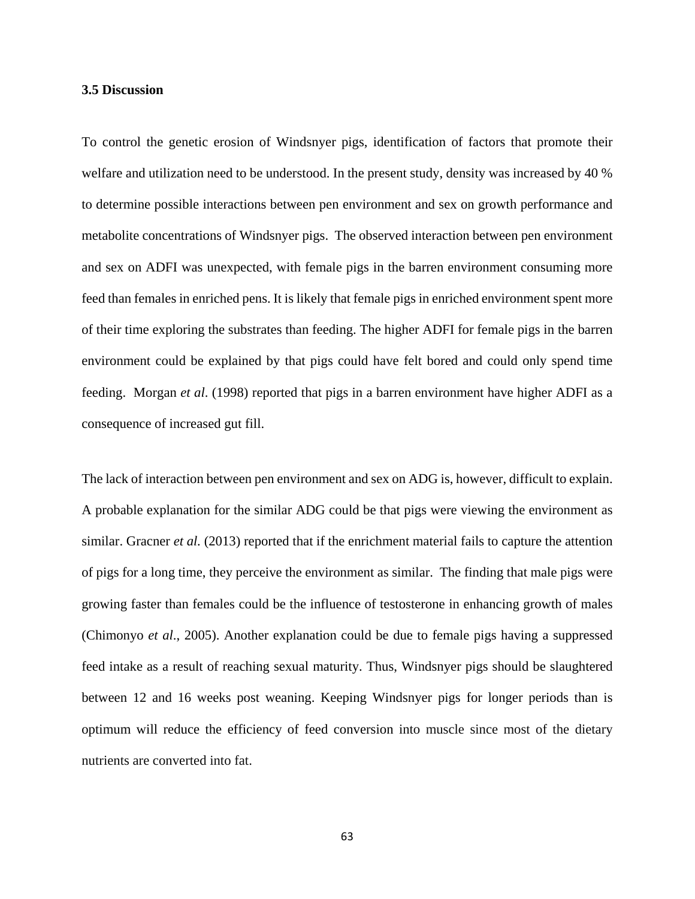## **3.5 Discussion**

To control the genetic erosion of Windsnyer pigs, identification of factors that promote their welfare and utilization need to be understood. In the present study, density was increased by 40 % to determine possible interactions between pen environment and sex on growth performance and metabolite concentrations of Windsnyer pigs. The observed interaction between pen environment and sex on ADFI was unexpected, with female pigs in the barren environment consuming more feed than females in enriched pens. It is likely that female pigs in enriched environment spent more of their time exploring the substrates than feeding. The higher ADFI for female pigs in the barren environment could be explained by that pigs could have felt bored and could only spend time feeding. Morgan *et al*. (1998) reported that pigs in a barren environment have higher ADFI as a consequence of increased gut fill.

The lack of interaction between pen environment and sex on ADG is, however, difficult to explain. A probable explanation for the similar ADG could be that pigs were viewing the environment as similar. Gracner *et al.* (2013) reported that if the enrichment material fails to capture the attention of pigs for a long time, they perceive the environment as similar. The finding that male pigs were growing faster than females could be the influence of testosterone in enhancing growth of males (Chimonyo *et al*., 2005). Another explanation could be due to female pigs having a suppressed feed intake as a result of reaching sexual maturity. Thus, Windsnyer pigs should be slaughtered between 12 and 16 weeks post weaning. Keeping Windsnyer pigs for longer periods than is optimum will reduce the efficiency of feed conversion into muscle since most of the dietary nutrients are converted into fat.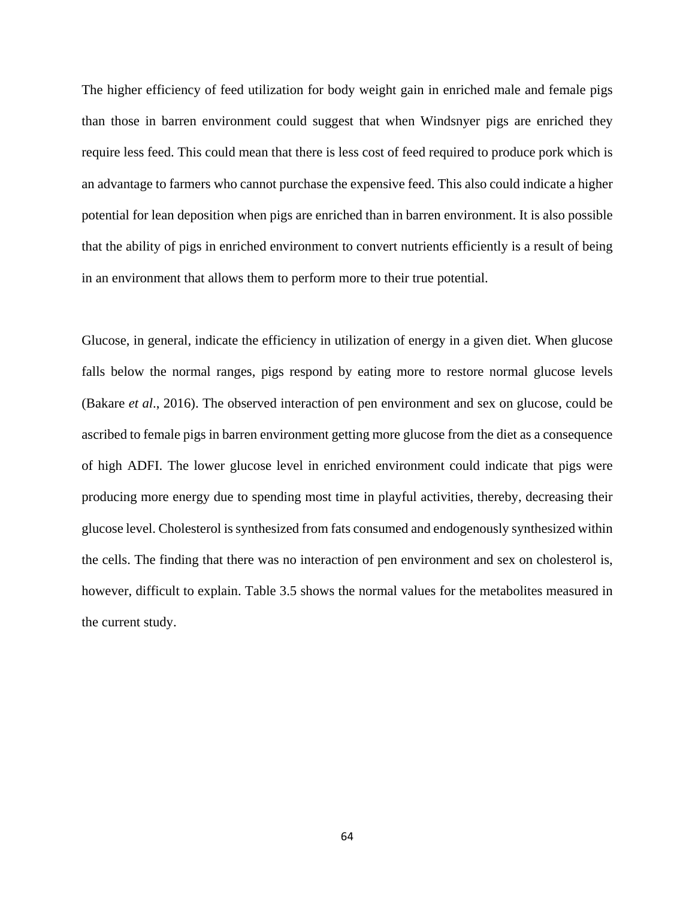The higher efficiency of feed utilization for body weight gain in enriched male and female pigs than those in barren environment could suggest that when Windsnyer pigs are enriched they require less feed. This could mean that there is less cost of feed required to produce pork which is an advantage to farmers who cannot purchase the expensive feed. This also could indicate a higher potential for lean deposition when pigs are enriched than in barren environment. It is also possible that the ability of pigs in enriched environment to convert nutrients efficiently is a result of being in an environment that allows them to perform more to their true potential.

Glucose, in general, indicate the efficiency in utilization of energy in a given diet. When glucose falls below the normal ranges, pigs respond by eating more to restore normal glucose levels (Bakare *et al*., 2016). The observed interaction of pen environment and sex on glucose, could be ascribed to female pigs in barren environment getting more glucose from the diet as a consequence of high ADFI. The lower glucose level in enriched environment could indicate that pigs were producing more energy due to spending most time in playful activities, thereby, decreasing their glucose level. Cholesterol is synthesized from fats consumed and endogenously synthesized within the cells. The finding that there was no interaction of pen environment and sex on cholesterol is, however, difficult to explain. Table 3.5 shows the normal values for the metabolites measured in the current study.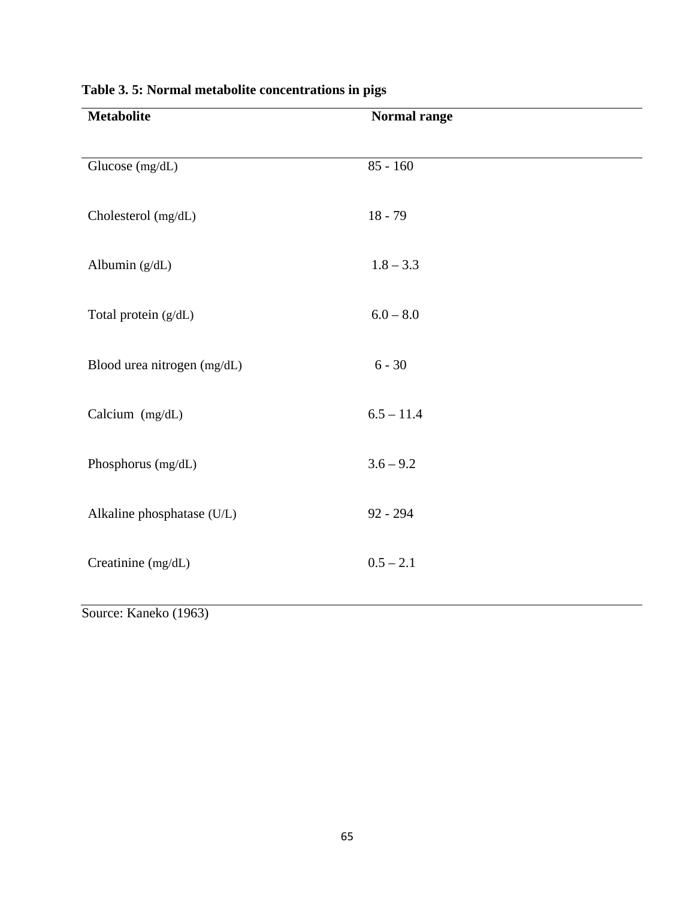| <b>Metabolite</b>                                   | Normal range |
|-----------------------------------------------------|--------------|
|                                                     |              |
| Glucose (mg/dL)                                     | $85 - 160$   |
|                                                     |              |
| Cholesterol (mg/dL)                                 | $18 - 79$    |
|                                                     |              |
| Albumin (g/dL)                                      | $1.8 - 3.3$  |
|                                                     |              |
| Total protein (g/dL)                                | $6.0 - 8.0$  |
|                                                     |              |
| Blood urea nitrogen (mg/dL)                         | $6 - 30$     |
|                                                     |              |
| Calcium (mg/dL)                                     | $6.5 - 11.4$ |
|                                                     |              |
| Phosphorus (mg/dL)                                  | $3.6 - 9.2$  |
|                                                     |              |
| Alkaline phosphatase (U/L)                          | $92 - 294$   |
|                                                     |              |
| Creatinine (mg/dL)                                  | $0.5 - 2.1$  |
|                                                     |              |
| $\gamma_{\text{ouroov}}$ $V_{\text{onolzo}}$ (1062) |              |

## **Table 3. 5: Normal metabolite concentrations in pigs**

Source: Kaneko (1963)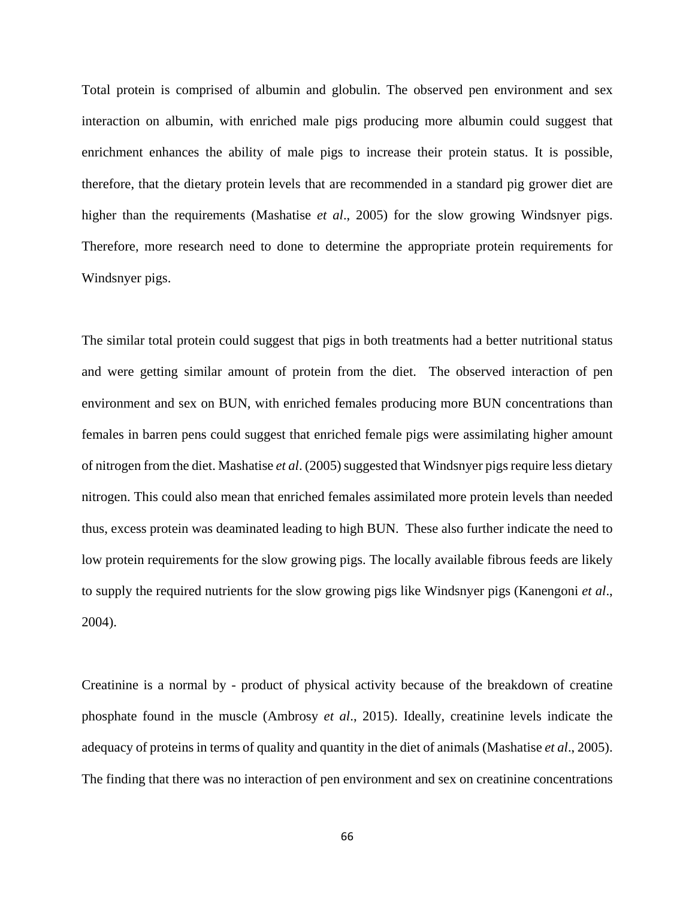Total protein is comprised of albumin and globulin. The observed pen environment and sex interaction on albumin, with enriched male pigs producing more albumin could suggest that enrichment enhances the ability of male pigs to increase their protein status. It is possible, therefore, that the dietary protein levels that are recommended in a standard pig grower diet are higher than the requirements (Mashatise *et al*., 2005) for the slow growing Windsnyer pigs. Therefore, more research need to done to determine the appropriate protein requirements for Windsnyer pigs.

The similar total protein could suggest that pigs in both treatments had a better nutritional status and were getting similar amount of protein from the diet. The observed interaction of pen environment and sex on BUN, with enriched females producing more BUN concentrations than females in barren pens could suggest that enriched female pigs were assimilating higher amount of nitrogen from the diet. Mashatise *et al*. (2005) suggested that Windsnyer pigs require less dietary nitrogen. This could also mean that enriched females assimilated more protein levels than needed thus, excess protein was deaminated leading to high BUN. These also further indicate the need to low protein requirements for the slow growing pigs. The locally available fibrous feeds are likely to supply the required nutrients for the slow growing pigs like Windsnyer pigs (Kanengoni *et al*., 2004).

Creatinine is a normal by - product of physical activity because of the breakdown of creatine phosphate found in the muscle (Ambrosy *et al*., 2015). Ideally, creatinine levels indicate the adequacy of proteins in terms of quality and quantity in the diet of animals (Mashatise *et al*., 2005). The finding that there was no interaction of pen environment and sex on creatinine concentrations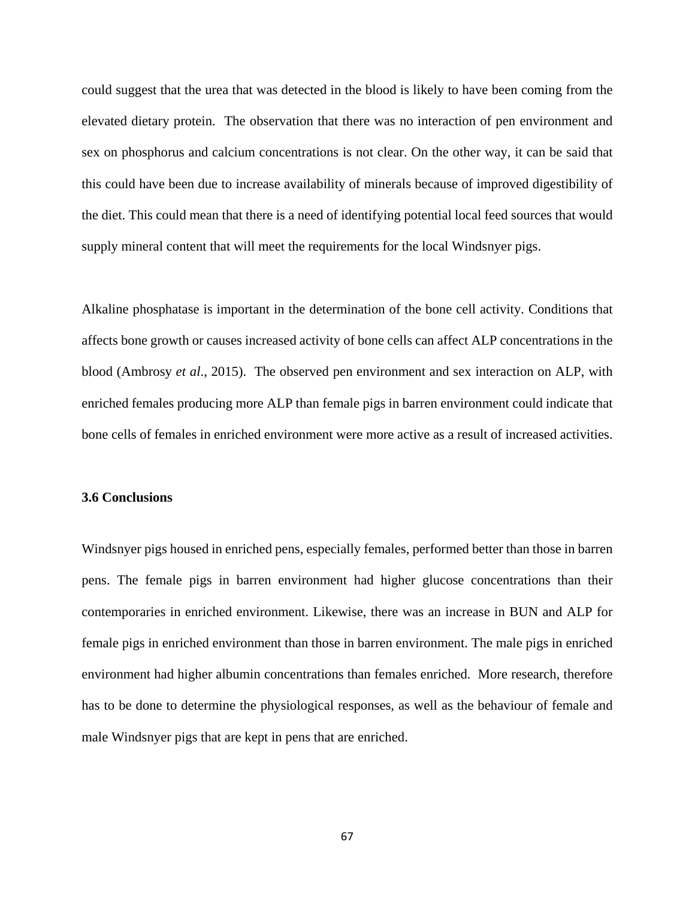could suggest that the urea that was detected in the blood is likely to have been coming from the elevated dietary protein. The observation that there was no interaction of pen environment and sex on phosphorus and calcium concentrations is not clear. On the other way, it can be said that this could have been due to increase availability of minerals because of improved digestibility of the diet. This could mean that there is a need of identifying potential local feed sources that would supply mineral content that will meet the requirements for the local Windsnyer pigs.

Alkaline phosphatase is important in the determination of the bone cell activity. Conditions that affects bone growth or causes increased activity of bone cells can affect ALP concentrations in the blood (Ambrosy *et al*., 2015). The observed pen environment and sex interaction on ALP, with enriched females producing more ALP than female pigs in barren environment could indicate that bone cells of females in enriched environment were more active as a result of increased activities.

#### **3.6 Conclusions**

Windsnyer pigs housed in enriched pens, especially females, performed better than those in barren pens. The female pigs in barren environment had higher glucose concentrations than their contemporaries in enriched environment. Likewise, there was an increase in BUN and ALP for female pigs in enriched environment than those in barren environment. The male pigs in enriched environment had higher albumin concentrations than females enriched. More research, therefore has to be done to determine the physiological responses, as well as the behaviour of female and male Windsnyer pigs that are kept in pens that are enriched.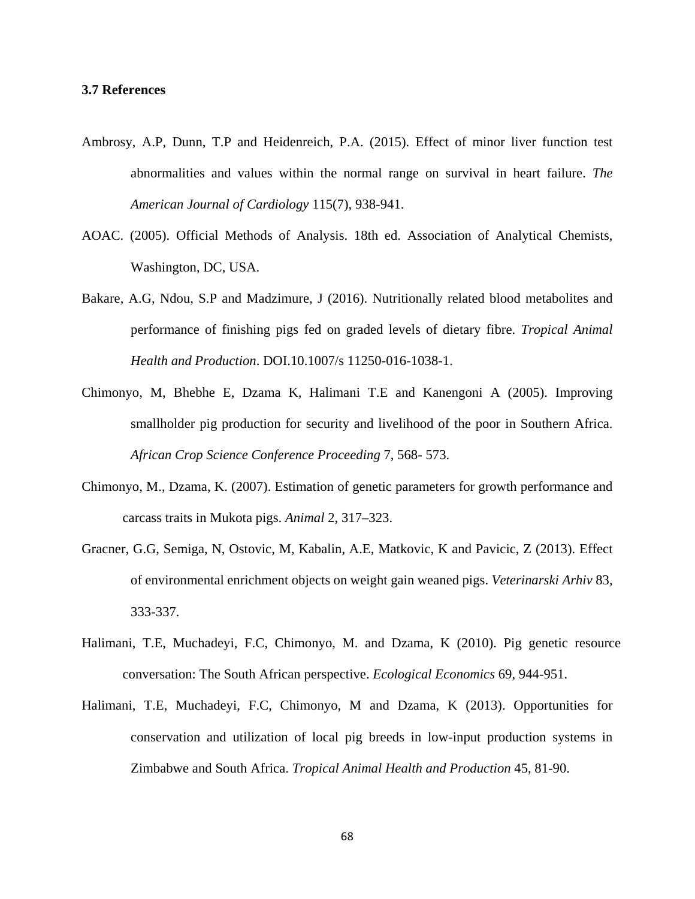### **3.7 References**

- Ambrosy, A.P, Dunn, T.P and Heidenreich, P.A. (2015). Effect of minor liver function test abnormalities and values within the normal range on survival in heart failure. *The American Journal of Cardiology* 115(7), 938-941.
- AOAC. (2005). Official Methods of Analysis. 18th ed. Association of Analytical Chemists, Washington, DC, USA.
- Bakare, A.G, Ndou, S.P and Madzimure, J (2016). Nutritionally related blood metabolites and performance of finishing pigs fed on graded levels of dietary fibre. *Tropical Animal Health and Production*. DOI.10.1007/s 11250-016-1038-1.
- Chimonyo, M, Bhebhe E, Dzama K, Halimani T.E and Kanengoni A (2005). Improving smallholder pig production for security and livelihood of the poor in Southern Africa. *African Crop Science Conference Proceeding* 7, 568- 573.
- Chimonyo, M., Dzama, K. (2007). Estimation of genetic parameters for growth performance and carcass traits in Mukota pigs. *Animal* 2, 317–323.
- Gracner, G.G, Semiga, N, Ostovic, M, Kabalin, A.E, Matkovic, K and Pavicic, Z (2013). Effect of environmental enrichment objects on weight gain weaned pigs. *Veterinarski Arhiv* 83, 333-337.
- Halimani, T.E, Muchadeyi, F.C, Chimonyo, M. and Dzama, K (2010). Pig genetic resource conversation: The South African perspective. *Ecological Economics* 69, 944-951.
- Halimani, T.E, Muchadeyi, F.C, Chimonyo, M and Dzama, K (2013). Opportunities for conservation and utilization of local pig breeds in low-input production systems in Zimbabwe and South Africa. *Tropical Animal Health and Production* 45, 81-90.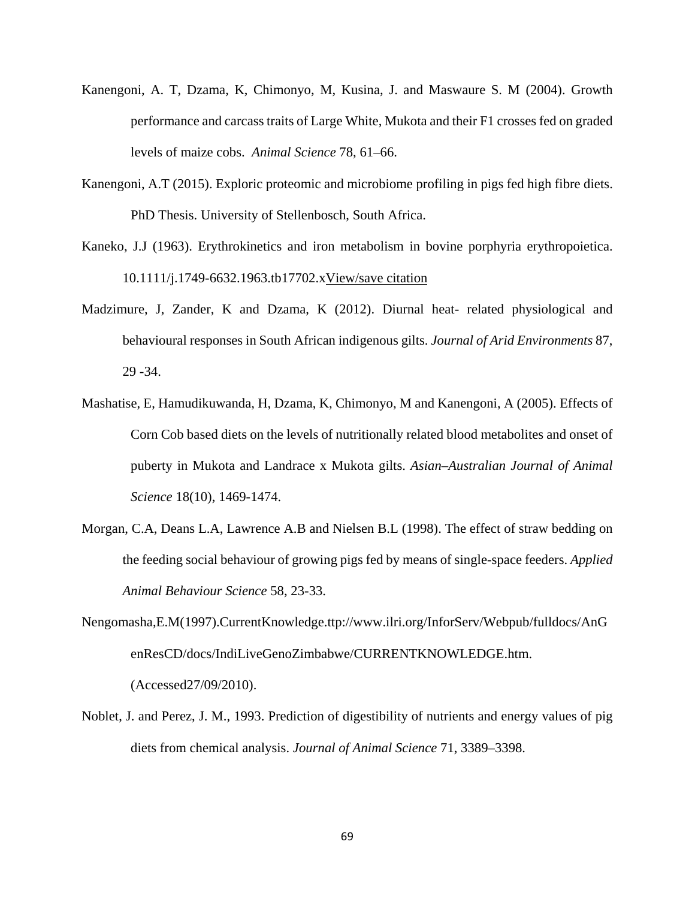- Kanengoni, A. T, Dzama, K, Chimonyo, M, Kusina, J. and Maswaure S. M (2004). Growth performance and carcass traits of Large White, Mukota and their F1 crosses fed on graded levels of maize cobs. *Animal Science* 78, 61–66.
- Kanengoni, A.T (2015). Exploric proteomic and microbiome profiling in pigs fed high fibre diets. PhD Thesis. University of Stellenbosch, South Africa.
- Kaneko, J.J (1963). Erythrokinetics and iron metabolism in bovine porphyria erythropoietica. 10.1111/j.1749-6632.1963.tb17702.[xView/save citation](http://onlinelibrary.wiley.com/enhanced/exportCitation/doi/10.1111/j.1749-6632.1963.tb17702.x)
- Madzimure, J, Zander, K and Dzama, K (2012). Diurnal heat- related physiological and behavioural responses in South African indigenous gilts. *Journal of Arid Environments* 87, 29 -34.
- Mashatise, E, Hamudikuwanda, H, Dzama, K, Chimonyo, M and Kanengoni, A (2005). Effects of Corn Cob based diets on the levels of nutritionally related blood metabolites and onset of puberty in Mukota and Landrace x Mukota gilts. *Asian–Australian Journal of Animal Science* 18(10), 1469-1474.
- Morgan, C.A, Deans L.A, Lawrence A.B and Nielsen B.L (1998). The effect of straw bedding on the feeding social behaviour of growing pigs fed by means of single-space feeders. *Applied Animal Behaviour Science* 58, 23-33.
- Nengomasha,E.M(1997).CurrentKnowledge.ttp://www.ilri.org/InforServ/Webpub/fulldocs/AnG enResCD/docs/IndiLiveGenoZimbabwe/CURRENTKNOWLEDGE.htm. (Accessed27/09/2010).
- Noblet, J. and Perez, J. M., 1993. Prediction of digestibility of nutrients and energy values of pig diets from chemical analysis. *Journal of Animal Science* 71, 3389–3398.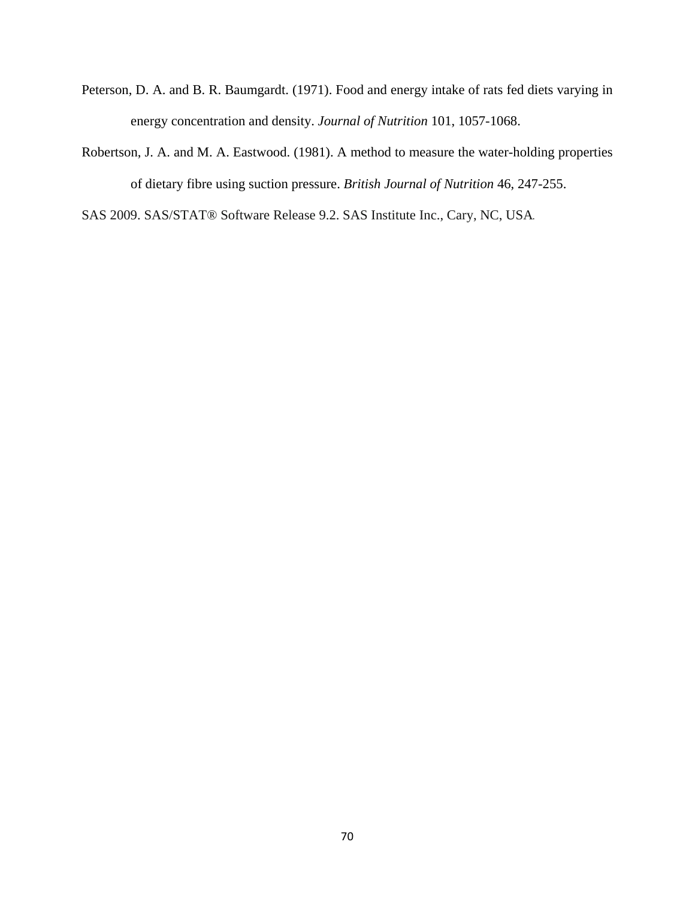- Peterson, D. A. and B. R. Baumgardt. (1971). Food and energy intake of rats fed diets varying in energy concentration and density. *Journal of Nutrition* 101, 1057-1068.
- Robertson, J. A. and M. A. Eastwood. (1981). A method to measure the water-holding properties of dietary fibre using suction pressure. *British Journal of Nutrition* 46, 247-255.

SAS 2009. SAS/STAT® Software Release 9.2. SAS Institute Inc., Cary, NC, USA.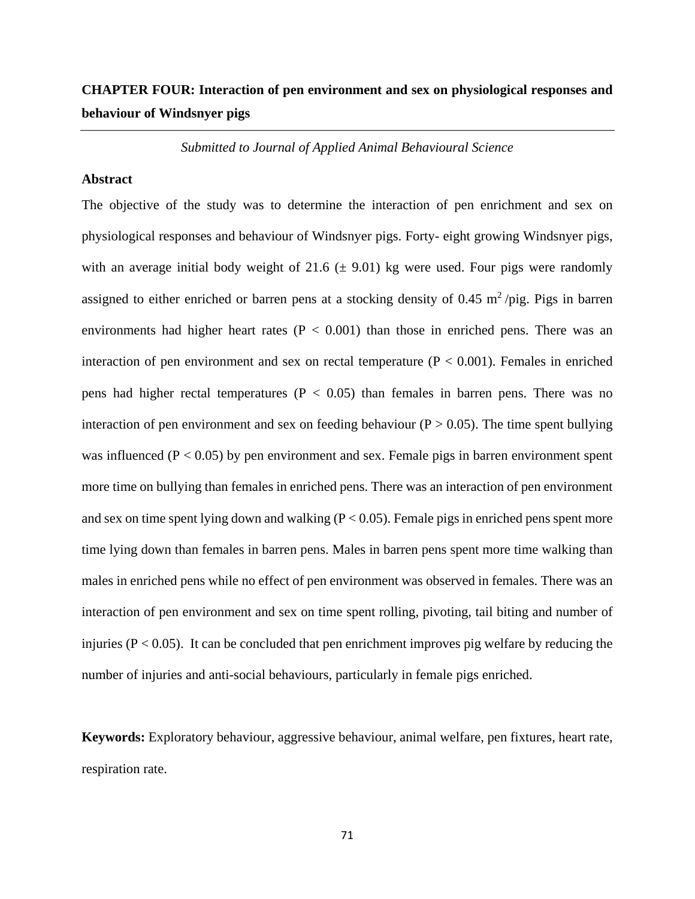## **CHAPTER FOUR: Interaction of pen environment and sex on physiological responses and behaviour of Windsnyer pigs**

*Submitted to Journal of Applied Animal Behavioural Science*

## **Abstract**

The objective of the study was to determine the interaction of pen enrichment and sex on physiological responses and behaviour of Windsnyer pigs. Forty- eight growing Windsnyer pigs, with an average initial body weight of 21.6  $(\pm 9.01)$  kg were used. Four pigs were randomly assigned to either enriched or barren pens at a stocking density of 0.45  $\text{m}^2$ /pig. Pigs in barren environments had higher heart rates ( $P < 0.001$ ) than those in enriched pens. There was an interaction of pen environment and sex on rectal temperature ( $P < 0.001$ ). Females in enriched pens had higher rectal temperatures ( $P < 0.05$ ) than females in barren pens. There was no interaction of pen environment and sex on feeding behaviour ( $P > 0.05$ ). The time spent bullying was influenced  $(P < 0.05)$  by pen environment and sex. Female pigs in barren environment spent more time on bullying than females in enriched pens. There was an interaction of pen environment and sex on time spent lying down and walking  $(P < 0.05)$ . Female pigs in enriched pens spent more time lying down than females in barren pens. Males in barren pens spent more time walking than males in enriched pens while no effect of pen environment was observed in females. There was an interaction of pen environment and sex on time spent rolling, pivoting, tail biting and number of injuries ( $P < 0.05$ ). It can be concluded that pen enrichment improves pig welfare by reducing the number of injuries and anti-social behaviours, particularly in female pigs enriched.

**Keywords:** Exploratory behaviour, aggressive behaviour, animal welfare, pen fixtures, heart rate, respiration rate.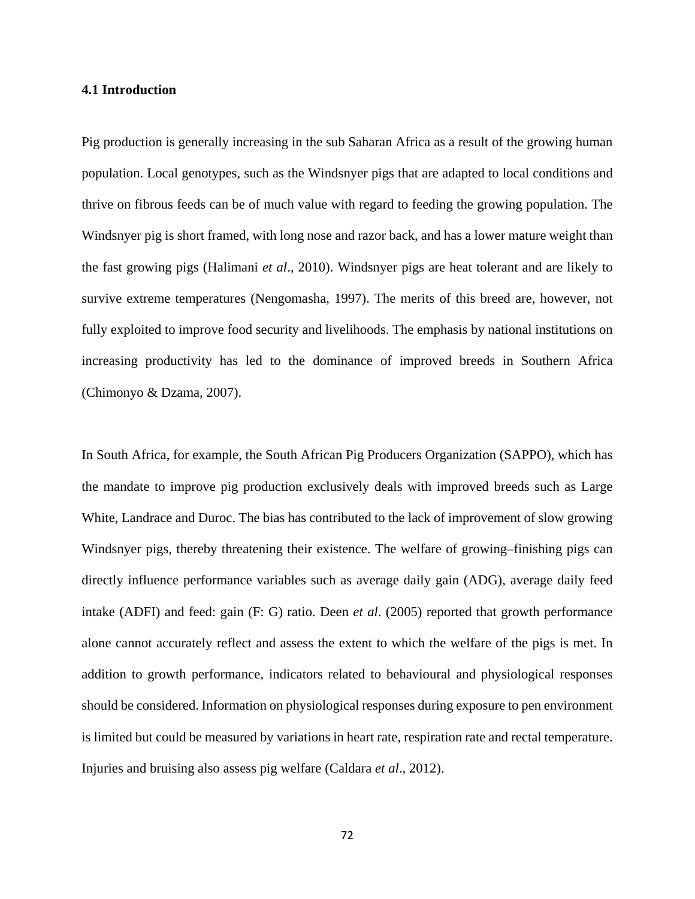### **4.1 Introduction**

Pig production is generally increasing in the sub Saharan Africa as a result of the growing human population. Local genotypes, such as the Windsnyer pigs that are adapted to local conditions and thrive on fibrous feeds can be of much value with regard to feeding the growing population. The Windsnyer pig is short framed, with long nose and razor back, and has a lower mature weight than the fast growing pigs (Halimani *et al*., 2010). Windsnyer pigs are heat tolerant and are likely to survive extreme temperatures (Nengomasha, 1997). The merits of this breed are, however, not fully exploited to improve food security and livelihoods. The emphasis by national institutions on increasing productivity has led to the dominance of improved breeds in Southern Africa (Chimonyo & Dzama, 2007).

In South Africa, for example, the South African Pig Producers Organization (SAPPO), which has the mandate to improve pig production exclusively deals with improved breeds such as Large White, Landrace and Duroc. The bias has contributed to the lack of improvement of slow growing Windsnyer pigs, thereby threatening their existence. The welfare of growing–finishing pigs can directly influence performance variables such as average daily gain (ADG), average daily feed intake (ADFI) and feed: gain (F: G) ratio. Deen *et al*. (2005) reported that growth performance alone cannot accurately reflect and assess the extent to which the welfare of the pigs is met. In addition to growth performance, indicators related to behavioural and physiological responses should be considered. Information on physiological responses during exposure to pen environment is limited but could be measured by variations in heart rate, respiration rate and rectal temperature. Injuries and bruising also assess pig welfare (Caldara *et al*., 2012).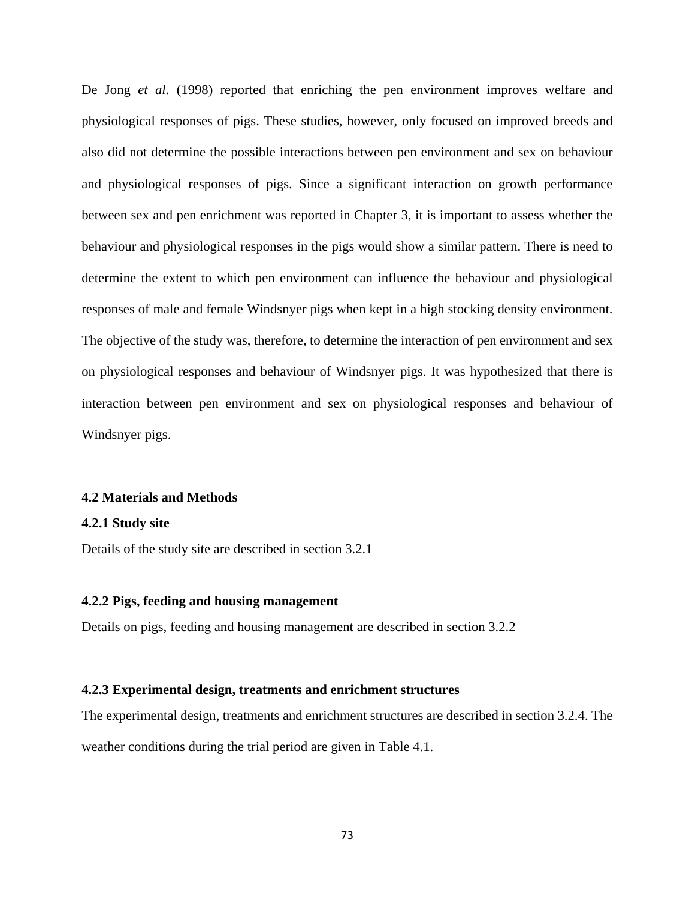De Jong *et al*. (1998) reported that enriching the pen environment improves welfare and physiological responses of pigs. These studies, however, only focused on improved breeds and also did not determine the possible interactions between pen environment and sex on behaviour and physiological responses of pigs. Since a significant interaction on growth performance between sex and pen enrichment was reported in Chapter 3, it is important to assess whether the behaviour and physiological responses in the pigs would show a similar pattern. There is need to determine the extent to which pen environment can influence the behaviour and physiological responses of male and female Windsnyer pigs when kept in a high stocking density environment. The objective of the study was, therefore, to determine the interaction of pen environment and sex on physiological responses and behaviour of Windsnyer pigs. It was hypothesized that there is interaction between pen environment and sex on physiological responses and behaviour of Windsnyer pigs.

#### **4.2 Materials and Methods**

#### **4.2.1 Study site**

Details of the study site are described in section 3.2.1

## **4.2.2 Pigs, feeding and housing management**

Details on pigs, feeding and housing management are described in section 3.2.2

## **4.2.3 Experimental design, treatments and enrichment structures**

The experimental design, treatments and enrichment structures are described in section 3.2.4. The weather conditions during the trial period are given in Table 4.1.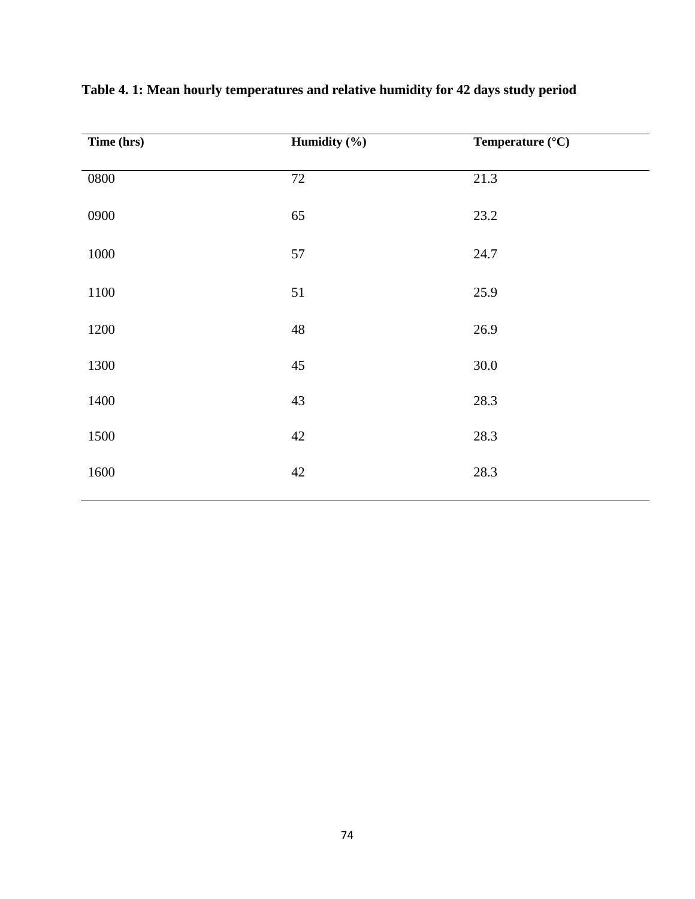| Time (hrs) | Humidity $(\frac{6}{6})$ | Temperature (°C) |
|------------|--------------------------|------------------|
| 0800       | 72                       | 21.3             |
| 0900       | 65                       | 23.2             |
| 1000       | 57                       | 24.7             |
| 1100       | 51                       | 25.9             |
| 1200       | 48                       | 26.9             |
| 1300       | 45                       | 30.0             |
| 1400       | 43                       | 28.3             |
| 1500       | 42                       | 28.3             |
| 1600       | 42                       | 28.3             |

**Table 4. 1: Mean hourly temperatures and relative humidity for 42 days study period**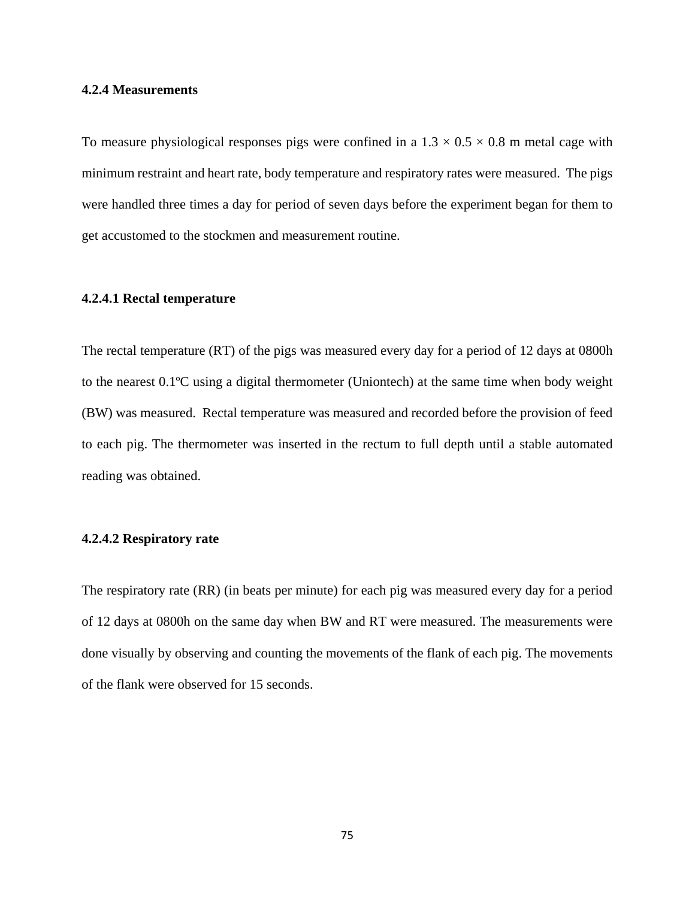## **4.2.4 Measurements**

To measure physiological responses pigs were confined in a  $1.3 \times 0.5 \times 0.8$  m metal cage with minimum restraint and heart rate, body temperature and respiratory rates were measured. The pigs were handled three times a day for period of seven days before the experiment began for them to get accustomed to the stockmen and measurement routine.

#### **4.2.4.1 Rectal temperature**

The rectal temperature (RT) of the pigs was measured every day for a period of 12 days at 0800h to the nearest 0.1ºC using a digital thermometer (Uniontech) at the same time when body weight (BW) was measured. Rectal temperature was measured and recorded before the provision of feed to each pig. The thermometer was inserted in the rectum to full depth until a stable automated reading was obtained.

#### **4.2.4.2 Respiratory rate**

The respiratory rate (RR) (in beats per minute) for each pig was measured every day for a period of 12 days at 0800h on the same day when BW and RT were measured. The measurements were done visually by observing and counting the movements of the flank of each pig. The movements of the flank were observed for 15 seconds.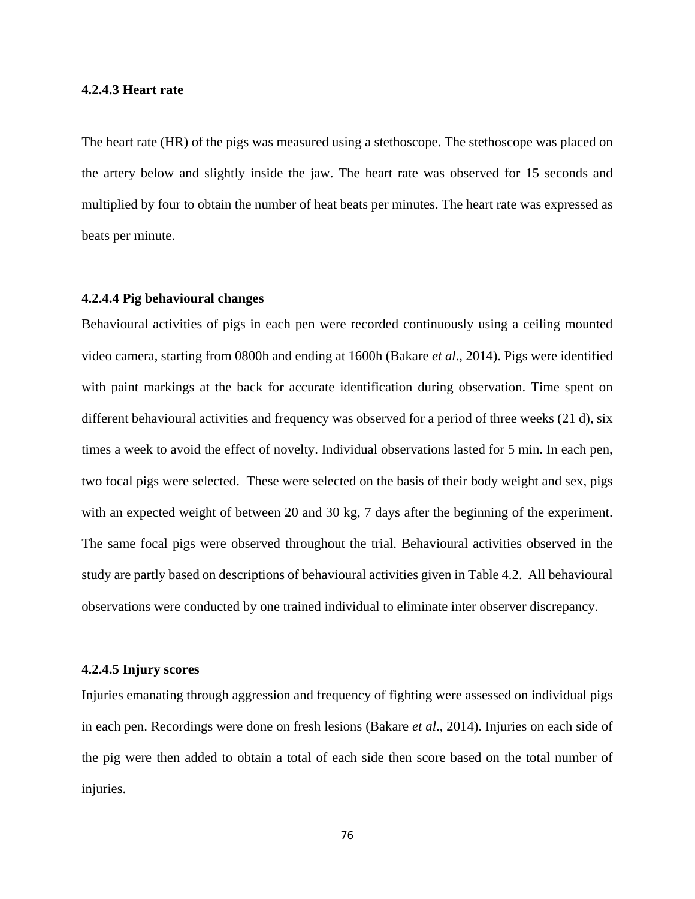#### **4.2.4.3 Heart rate**

The heart rate (HR) of the pigs was measured using a stethoscope. The stethoscope was placed on the artery below and slightly inside the jaw. The heart rate was observed for 15 seconds and multiplied by four to obtain the number of heat beats per minutes. The heart rate was expressed as beats per minute.

## **4.2.4.4 Pig behavioural changes**

Behavioural activities of pigs in each pen were recorded continuously using a ceiling mounted video camera, starting from 0800h and ending at 1600h (Bakare *et al*., 2014). Pigs were identified with paint markings at the back for accurate identification during observation. Time spent on different behavioural activities and frequency was observed for a period of three weeks (21 d), six times a week to avoid the effect of novelty. Individual observations lasted for 5 min. In each pen, two focal pigs were selected. These were selected on the basis of their body weight and sex, pigs with an expected weight of between 20 and 30 kg, 7 days after the beginning of the experiment. The same focal pigs were observed throughout the trial. Behavioural activities observed in the study are partly based on descriptions of behavioural activities given in Table 4.2. All behavioural observations were conducted by one trained individual to eliminate inter observer discrepancy.

#### **4.2.4.5 Injury scores**

Injuries emanating through aggression and frequency of fighting were assessed on individual pigs in each pen. Recordings were done on fresh lesions (Bakare *et al*., 2014). Injuries on each side of the pig were then added to obtain a total of each side then score based on the total number of injuries.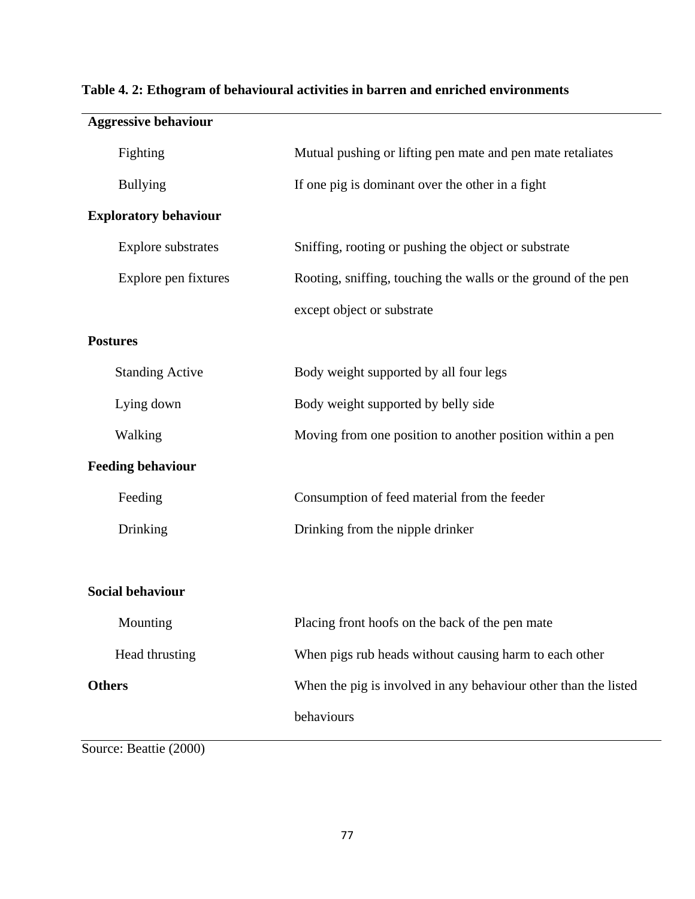|                 | <b>Aggressive behaviour</b>  |                                                                 |
|-----------------|------------------------------|-----------------------------------------------------------------|
|                 | Fighting                     | Mutual pushing or lifting pen mate and pen mate retaliates      |
|                 | <b>Bullying</b>              | If one pig is dominant over the other in a fight                |
|                 | <b>Exploratory behaviour</b> |                                                                 |
|                 | <b>Explore</b> substrates    | Sniffing, rooting or pushing the object or substrate            |
|                 | Explore pen fixtures         | Rooting, sniffing, touching the walls or the ground of the pen  |
|                 |                              | except object or substrate                                      |
| <b>Postures</b> |                              |                                                                 |
|                 | <b>Standing Active</b>       | Body weight supported by all four legs                          |
|                 | Lying down                   | Body weight supported by belly side                             |
|                 | Walking                      | Moving from one position to another position within a pen       |
|                 | <b>Feeding behaviour</b>     |                                                                 |
|                 | Feeding                      | Consumption of feed material from the feeder                    |
|                 | Drinking                     | Drinking from the nipple drinker                                |
|                 |                              |                                                                 |
|                 | <b>Social behaviour</b>      |                                                                 |
|                 | Mounting                     | Placing front hoofs on the back of the pen mate                 |
|                 | Head thrusting               | When pigs rub heads without causing harm to each other          |
| <b>Others</b>   |                              | When the pig is involved in any behaviour other than the listed |
|                 |                              | behaviours                                                      |
|                 |                              |                                                                 |

# **Table 4. 2: Ethogram of behavioural activities in barren and enriched environments**

Source: Beattie (2000)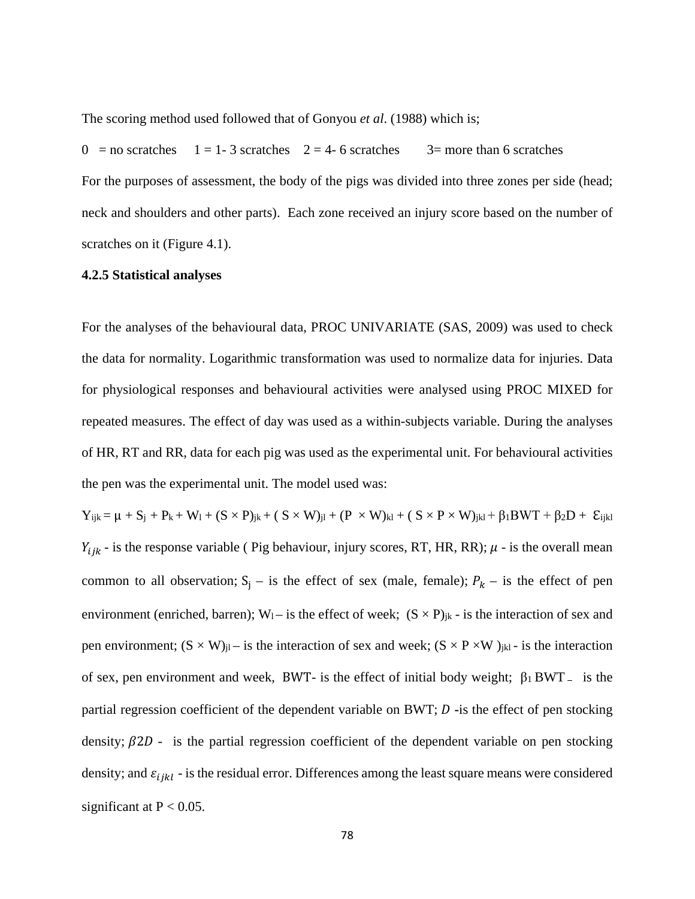The scoring method used followed that of Gonyou *et al*. (1988) which is;

 $0 =$  no scratches  $1 = 1-3$  scratches  $2 = 4-6$  scratches  $3=$  more than 6 scratches For the purposes of assessment, the body of the pigs was divided into three zones per side (head; neck and shoulders and other parts). Each zone received an injury score based on the number of scratches on it (Figure 4.1).

#### **4.2.5 Statistical analyses**

For the analyses of the behavioural data, PROC UNIVARIATE (SAS, 2009) was used to check the data for normality. Logarithmic transformation was used to normalize data for injuries. Data for physiological responses and behavioural activities were analysed using PROC MIXED for repeated measures. The effect of day was used as a within-subjects variable. During the analyses of HR, RT and RR, data for each pig was used as the experimental unit. For behavioural activities the pen was the experimental unit. The model used was:

 $Y_{ijk} = \mu + S_j + P_k + W_l + (S \times P)_{jk} + (S \times W)_{jl} + (P \times W)_{kl} + (S \times P \times W)_{jkl} + \beta_1 BWT + \beta_2 D + \varepsilon_{ijkl}$  $Y_{ijk}$  - is the response variable ( Pig behaviour, injury scores, RT, HR, RR);  $\mu$  - is the overall mean common to all observation;  $S_i$  – is the effect of sex (male, female);  $P_k$  – is the effect of pen environment (enriched, barren);  $W_1$  – is the effect of week;  $(S \times P)_{jk}$  - is the interaction of sex and pen environment;  $(S \times W)_{jl}$  – is the interaction of sex and week;  $(S \times P \times W)_{jkl}$  - is the interaction of sex, pen environment and week, BWT- is the effect of initial body weight; β1 BWT **–** is the partial regression coefficient of the dependent variable on BWT;  $D$  -is the effect of pen stocking density;  $\beta 2D$  - is the partial regression coefficient of the dependent variable on pen stocking density; and  $\varepsilon_{ijkl}$  - is the residual error. Differences among the least square means were considered significant at  $P < 0.05$ .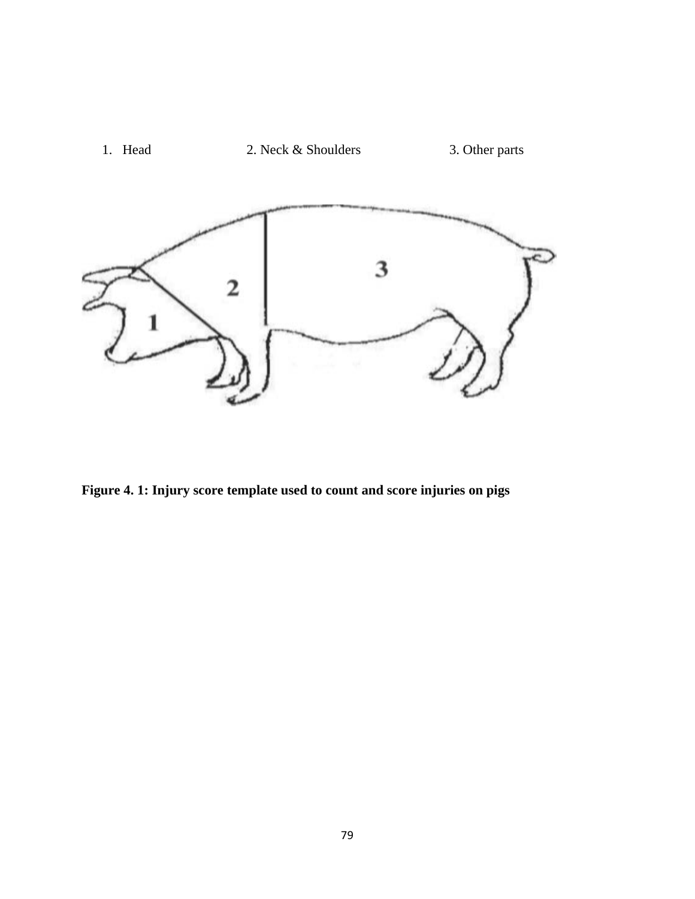

**Figure 4. 1: Injury score template used to count and score injuries on pigs**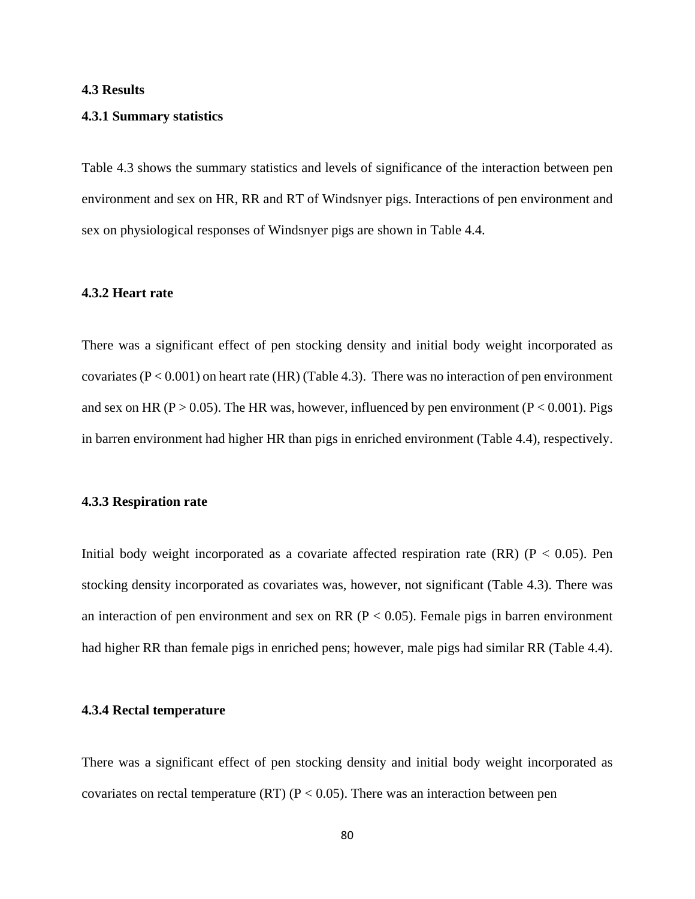## **4.3 Results**

#### **4.3.1 Summary statistics**

Table 4.3 shows the summary statistics and levels of significance of the interaction between pen environment and sex on HR, RR and RT of Windsnyer pigs. Interactions of pen environment and sex on physiological responses of Windsnyer pigs are shown in Table 4.4.

## **4.3.2 Heart rate**

There was a significant effect of pen stocking density and initial body weight incorporated as covariates ( $P < 0.001$ ) on heart rate (HR) (Table 4.3). There was no interaction of pen environment and sex on HR ( $P > 0.05$ ). The HR was, however, influenced by pen environment ( $P < 0.001$ ). Pigs in barren environment had higher HR than pigs in enriched environment (Table 4.4), respectively.

#### **4.3.3 Respiration rate**

Initial body weight incorporated as a covariate affected respiration rate  $(RR)$  ( $P < 0.05$ ). Pen stocking density incorporated as covariates was, however, not significant (Table 4.3). There was an interaction of pen environment and sex on RR ( $P < 0.05$ ). Female pigs in barren environment had higher RR than female pigs in enriched pens; however, male pigs had similar RR (Table 4.4).

### **4.3.4 Rectal temperature**

There was a significant effect of pen stocking density and initial body weight incorporated as covariates on rectal temperature (RT) ( $P < 0.05$ ). There was an interaction between pen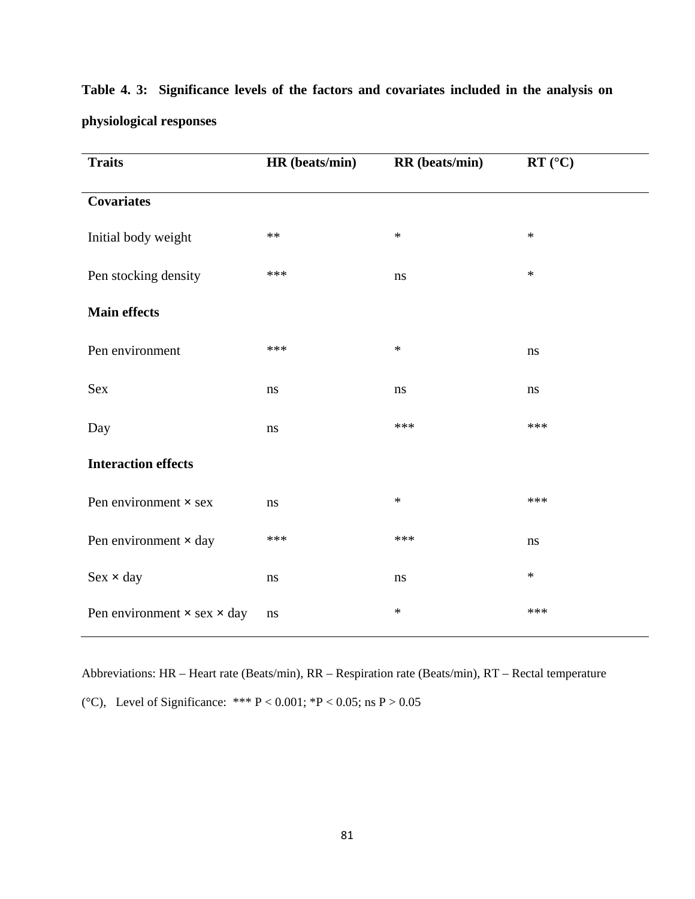| <b>Traits</b>                             | HR (beats/min) | RR (beats/min) | $RT$ (°C) |
|-------------------------------------------|----------------|----------------|-----------|
| <b>Covariates</b>                         |                |                |           |
| Initial body weight                       | $**$           | $\ast$         | $\ast$    |
| Pen stocking density                      | ***            | $\bf ns$       | $\ast$    |
| <b>Main effects</b>                       |                |                |           |
| Pen environment                           | ***            | $\ast$         | ns        |
| Sex                                       | $\rm ns$       | ns             | ns        |
| Day                                       | $\rm ns$       | ***            | ***       |
| <b>Interaction effects</b>                |                |                |           |
| Pen environment $\times$ sex              | $\rm ns$       | $\ast$         | ***       |
| Pen environment × day                     | ***            | ***            | $\bf ns$  |
| $Sex \times day$                          | ns             | $\bf ns$       | $\ast$    |
| Pen environment $\times$ sex $\times$ day | ns             | $\ast$         | ***       |

**Table 4. 3: Significance levels of the factors and covariates included in the analysis on physiological responses**

Abbreviations: HR – Heart rate (Beats/min), RR – Respiration rate (Beats/min), RT – Rectal temperature (°C), Level of Significance: \*\*\*  $P < 0.001$ ; \* $P < 0.05$ ; ns  $P > 0.05$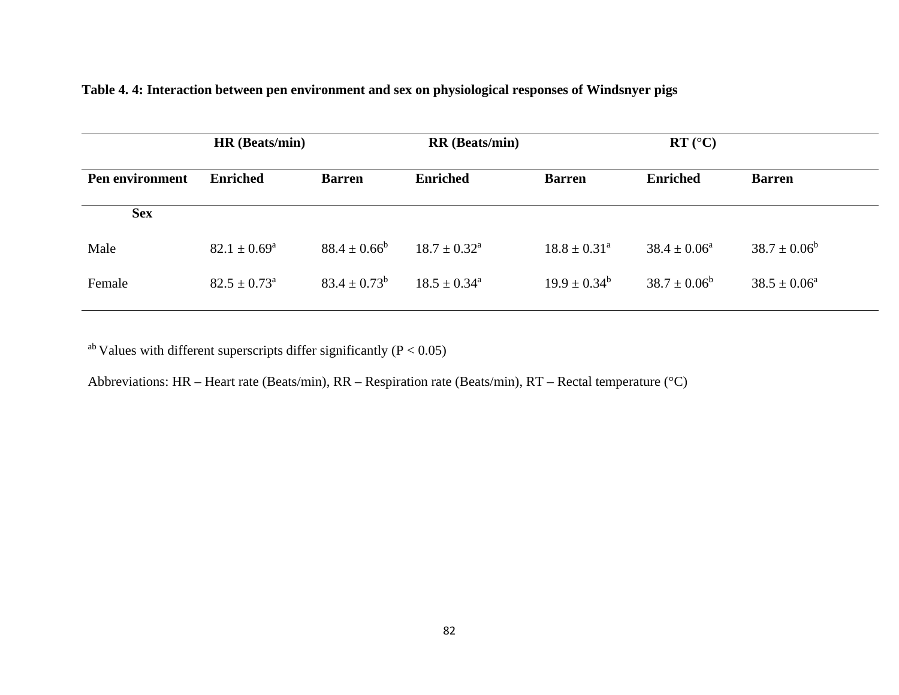|                 | HR (Beats/min)          |                   | <b>RR</b> (Beats/min)      |                            | $\mathbf{RT}$ (°C)      |                         |
|-----------------|-------------------------|-------------------|----------------------------|----------------------------|-------------------------|-------------------------|
| Pen environment | <b>Enriched</b>         | <b>Barren</b>     | <b>Enriched</b>            | <b>Barren</b>              | <b>Enriched</b>         | <b>Barren</b>           |
| <b>Sex</b>      |                         |                   |                            |                            |                         |                         |
| Male            | $82.1 \pm 0.69^{\rm a}$ | $88.4 \pm 0.66^b$ | $18.7 \pm 0.32^{\text{a}}$ | $18.8 \pm 0.31^{\text{a}}$ | $38.4 \pm 0.06^{\circ}$ | $38.7 \pm 0.06^b$       |
| Female          | $82.5 \pm 0.73^{\circ}$ | $83.4 \pm 0.73^b$ | $18.5 \pm 0.34^{\text{a}}$ | $19.9 \pm 0.34^b$          | $38.7 \pm 0.06^b$       | $38.5 \pm 0.06^{\circ}$ |

| Table 4.4: Interaction between pen environment and sex on physiological responses of Windsnyer pigs |  |  |  |
|-----------------------------------------------------------------------------------------------------|--|--|--|
|                                                                                                     |  |  |  |
|                                                                                                     |  |  |  |

<sup>ab</sup> Values with different superscripts differ significantly ( $P < 0.05$ )

Abbreviations: HR – Heart rate (Beats/min), RR – Respiration rate (Beats/min), RT – Rectal temperature (°C)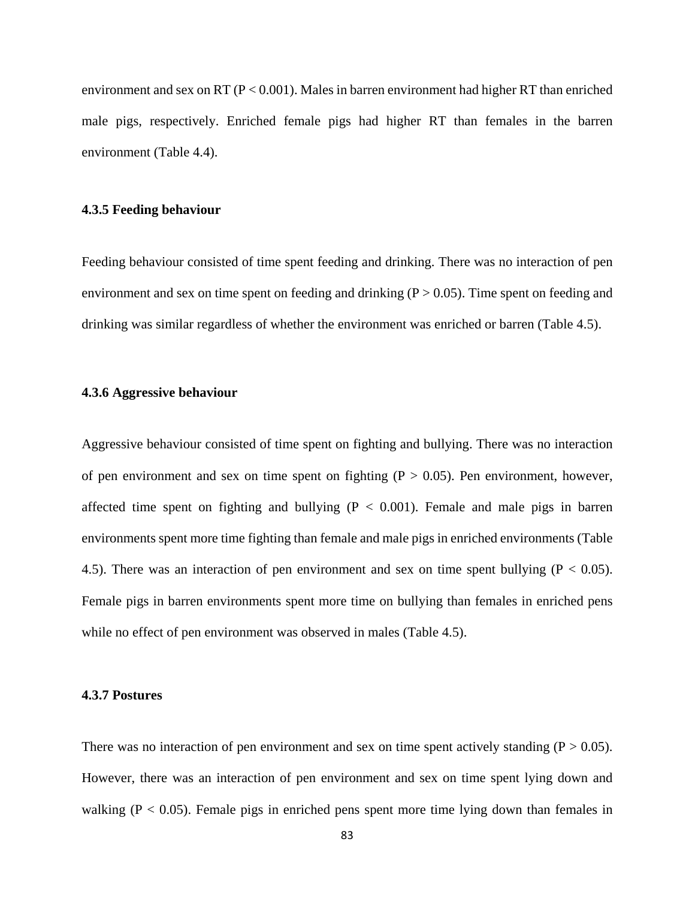environment and sex on RT ( $P < 0.001$ ). Males in barren environment had higher RT than enriched male pigs, respectively. Enriched female pigs had higher RT than females in the barren environment (Table 4.4).

#### **4.3.5 Feeding behaviour**

Feeding behaviour consisted of time spent feeding and drinking. There was no interaction of pen environment and sex on time spent on feeding and drinking  $(P > 0.05)$ . Time spent on feeding and drinking was similar regardless of whether the environment was enriched or barren (Table 4.5).

### **4.3.6 Aggressive behaviour**

Aggressive behaviour consisted of time spent on fighting and bullying. There was no interaction of pen environment and sex on time spent on fighting  $(P > 0.05)$ . Pen environment, however, affected time spent on fighting and bullying  $(P < 0.001)$ . Female and male pigs in barren environments spent more time fighting than female and male pigs in enriched environments (Table 4.5). There was an interaction of pen environment and sex on time spent bullying ( $P < 0.05$ ). Female pigs in barren environments spent more time on bullying than females in enriched pens while no effect of pen environment was observed in males (Table 4.5).

## **4.3.7 Postures**

There was no interaction of pen environment and sex on time spent actively standing ( $P > 0.05$ ). However, there was an interaction of pen environment and sex on time spent lying down and walking  $(P < 0.05)$ . Female pigs in enriched pens spent more time lying down than females in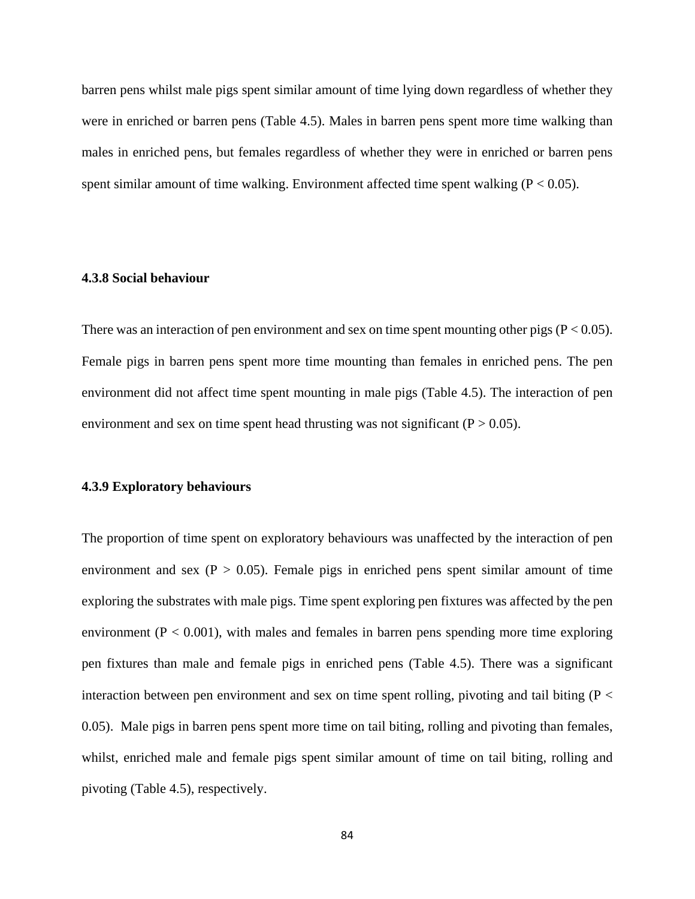barren pens whilst male pigs spent similar amount of time lying down regardless of whether they were in enriched or barren pens (Table 4.5). Males in barren pens spent more time walking than males in enriched pens, but females regardless of whether they were in enriched or barren pens spent similar amount of time walking. Environment affected time spent walking  $(P < 0.05)$ .

## **4.3.8 Social behaviour**

There was an interaction of pen environment and sex on time spent mounting other pigs ( $P < 0.05$ ). Female pigs in barren pens spent more time mounting than females in enriched pens. The pen environment did not affect time spent mounting in male pigs (Table 4.5). The interaction of pen environment and sex on time spent head thrusting was not significant ( $P > 0.05$ ).

## **4.3.9 Exploratory behaviours**

The proportion of time spent on exploratory behaviours was unaffected by the interaction of pen environment and sex ( $P > 0.05$ ). Female pigs in enriched pens spent similar amount of time exploring the substrates with male pigs. Time spent exploring pen fixtures was affected by the pen environment ( $P < 0.001$ ), with males and females in barren pens spending more time exploring pen fixtures than male and female pigs in enriched pens (Table 4.5). There was a significant interaction between pen environment and sex on time spent rolling, pivoting and tail biting ( $P \lt$ 0.05). Male pigs in barren pens spent more time on tail biting, rolling and pivoting than females, whilst, enriched male and female pigs spent similar amount of time on tail biting, rolling and pivoting (Table 4.5), respectively.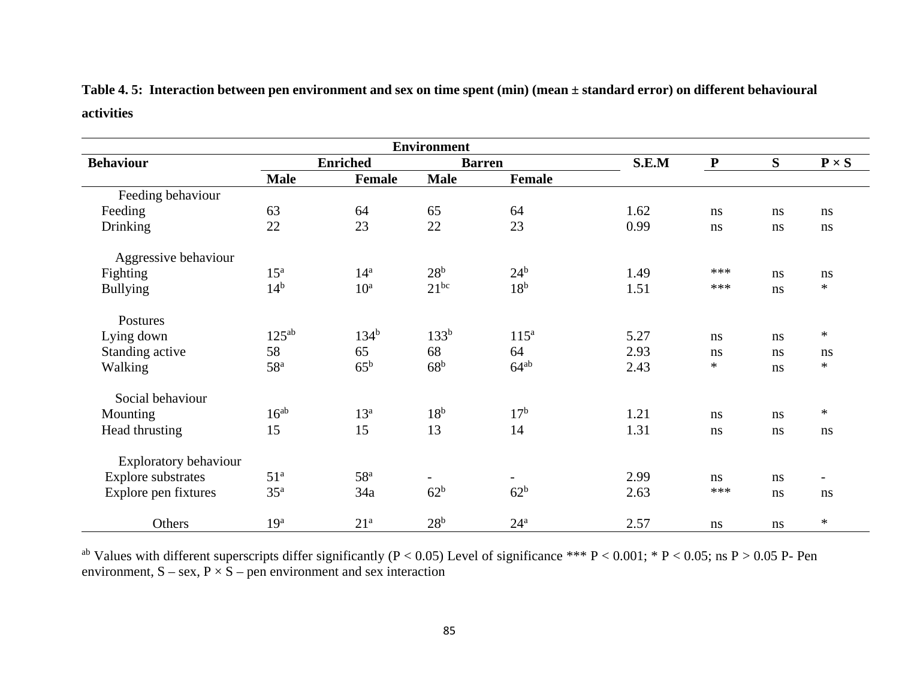|            | Table 4.5: Interaction between pen environment and sex on time spent (min) (mean ± standard error) on different behavioural |
|------------|-----------------------------------------------------------------------------------------------------------------------------|
| activities |                                                                                                                             |

| <b>Environment</b>        |                   |                 |                          |                  |       |              |    |                          |
|---------------------------|-------------------|-----------------|--------------------------|------------------|-------|--------------|----|--------------------------|
| <b>Behaviour</b>          |                   | <b>Enriched</b> |                          | <b>Barren</b>    | S.E.M | $\mathbf{P}$ | S  | $P \times S$             |
|                           | <b>Male</b>       | Female          | <b>Male</b>              | <b>Female</b>    |       |              |    |                          |
| Feeding behaviour         |                   |                 |                          |                  |       |              |    |                          |
| Feeding                   | 63                | 64              | 65                       | 64               | 1.62  | $\rm ns$     | ns | $\rm ns$                 |
| <b>Drinking</b>           | 22                | 23              | 22                       | 23               | 0.99  | ns           | ns | ns                       |
| Aggressive behaviour      |                   |                 |                          |                  |       |              |    |                          |
| Fighting                  | $15^{\mathrm{a}}$ | 14 <sup>a</sup> | 28 <sup>b</sup>          | $24^{\rm b}$     | 1.49  | ***          | ns | ns                       |
| <b>Bullying</b>           | 14 <sup>b</sup>   | 10 <sup>a</sup> | $21^{bc}$                | 18 <sup>b</sup>  | 1.51  | ***          | ns | $\ast$                   |
| Postures                  |                   |                 |                          |                  |       |              |    |                          |
| Lying down                | $125^{ab}$        | $134^{b}$       | 133 <sup>b</sup>         | 115 <sup>a</sup> | 5.27  | ns           | ns | $\ast$                   |
| Standing active           | 58                | 65              | 68                       | 64               | 2.93  | ns           | ns | ns                       |
| Walking                   | 58 <sup>a</sup>   | $65^{\rm b}$    | 68 <sup>b</sup>          | $64^{ab}$        | 2.43  | $\ast$       | ns | $\ast$                   |
| Social behaviour          |                   |                 |                          |                  |       |              |    |                          |
| Mounting                  | $16^{ab}$         | $13^a$          | 18 <sup>b</sup>          | 17 <sup>b</sup>  | 1.21  | ns           | ns | $\ast$                   |
| Head thrusting            | 15                | 15              | 13                       | 14               | 1.31  | ns           | ns | ns                       |
| Exploratory behaviour     |                   |                 |                          |                  |       |              |    |                          |
| <b>Explore</b> substrates | 51 <sup>a</sup>   | 58 <sup>a</sup> | $\overline{\phantom{a}}$ | $ \,$            | 2.99  | ns           | ns | $\overline{\phantom{a}}$ |
| Explore pen fixtures      | 35 <sup>a</sup>   | 34a             | 62 <sup>b</sup>          | 62 <sup>b</sup>  | 2.63  | ***          | ns | ns                       |
| Others                    | 19 <sup>a</sup>   | 21 <sup>a</sup> | 28 <sup>b</sup>          | $24^a$           | 2.57  | ns           | ns | $\ast$                   |

<sup>ab</sup> Values with different superscripts differ significantly (P < 0.05) Level of significance \*\*\* P < 0.001; \* P < 0.05; ns P > 0.05 P- Pen environment,  $S - sex$ ,  $P \times S - pen$  environment and sex interaction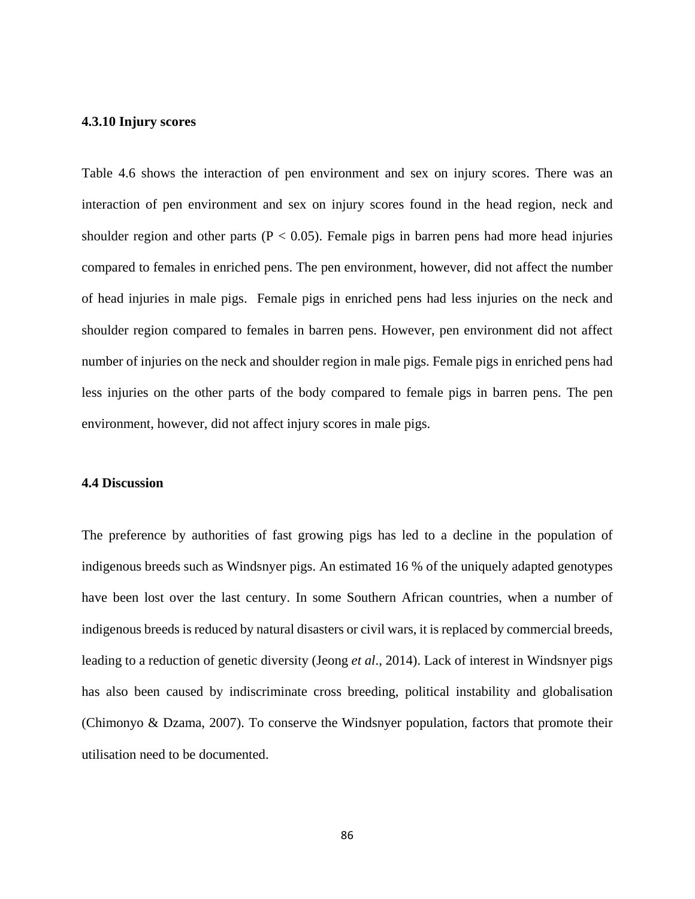## **4.3.10 Injury scores**

Table 4.6 shows the interaction of pen environment and sex on injury scores. There was an interaction of pen environment and sex on injury scores found in the head region, neck and shoulder region and other parts ( $P < 0.05$ ). Female pigs in barren pens had more head injuries compared to females in enriched pens. The pen environment, however, did not affect the number of head injuries in male pigs. Female pigs in enriched pens had less injuries on the neck and shoulder region compared to females in barren pens. However, pen environment did not affect number of injuries on the neck and shoulder region in male pigs. Female pigs in enriched pens had less injuries on the other parts of the body compared to female pigs in barren pens. The pen environment, however, did not affect injury scores in male pigs.

## **4.4 Discussion**

The preference by authorities of fast growing pigs has led to a decline in the population of indigenous breeds such as Windsnyer pigs. An estimated 16 % of the uniquely adapted genotypes have been lost over the last century. In some Southern African countries, when a number of indigenous breeds is reduced by natural disasters or civil wars, it is replaced by commercial breeds, leading to a reduction of genetic diversity (Jeong *et al*., 2014). Lack of interest in Windsnyer pigs has also been caused by indiscriminate cross breeding, political instability and globalisation (Chimonyo & Dzama, 2007). To conserve the Windsnyer population, factors that promote their utilisation need to be documented.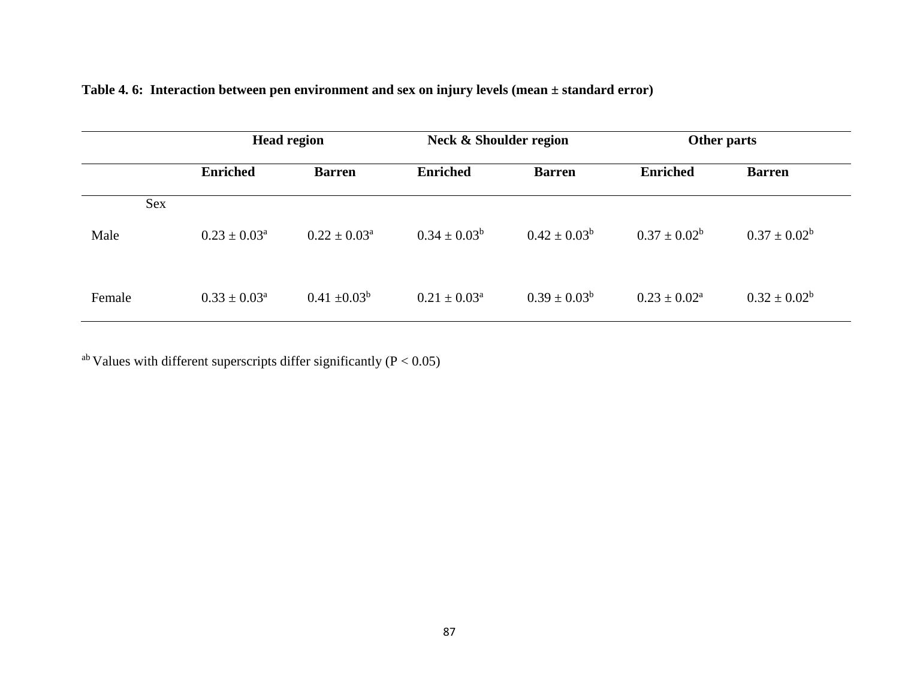|        | <b>Head region</b>         |                            | Neck & Shoulder region     |                   | Other parts                |                   |
|--------|----------------------------|----------------------------|----------------------------|-------------------|----------------------------|-------------------|
|        | <b>Enriched</b>            | <b>Barren</b>              | <b>Enriched</b>            | <b>Barren</b>     | <b>Enriched</b>            | <b>Barren</b>     |
| Sex    |                            |                            |                            |                   |                            |                   |
| Male   | $0.23 \pm 0.03^{\text{a}}$ | $0.22 \pm 0.03^{\text{a}}$ | $0.34 \pm 0.03^b$          | $0.42 \pm 0.03^b$ | $0.37 \pm 0.02^b$          | $0.37 \pm 0.02^b$ |
| Female | $0.33 \pm 0.03^a$          | $0.41 \pm 0.03^b$          | $0.21 \pm 0.03^{\text{a}}$ | $0.39 \pm 0.03^b$ | $0.23 \pm 0.02^{\text{a}}$ | $0.32 \pm 0.02^b$ |

## **Table 4. 6: Interaction between pen environment and sex on injury levels (mean ± standard error)**

<sup>ab</sup> Values with different superscripts differ significantly ( $P < 0.05$ )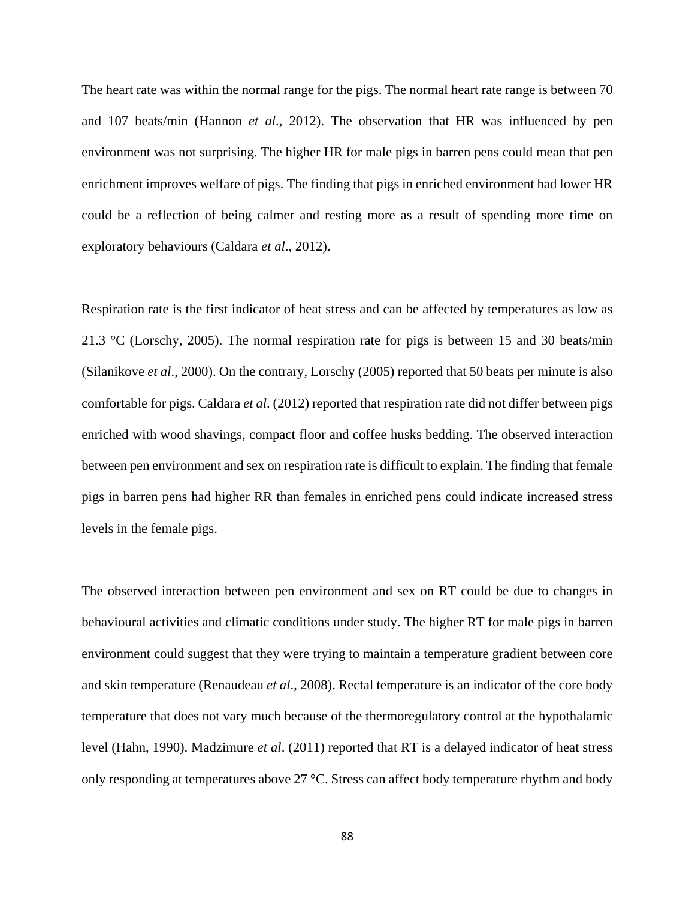The heart rate was within the normal range for the pigs. The normal heart rate range is between 70 and 107 beats/min (Hannon *et al*., 2012). The observation that HR was influenced by pen environment was not surprising. The higher HR for male pigs in barren pens could mean that pen enrichment improves welfare of pigs. The finding that pigs in enriched environment had lower HR could be a reflection of being calmer and resting more as a result of spending more time on exploratory behaviours (Caldara *et al*., 2012).

Respiration rate is the first indicator of heat stress and can be affected by temperatures as low as 21.3 °C (Lorschy, 2005). The normal respiration rate for pigs is between 15 and 30 beats/min (Silanikove *et al*., 2000). On the contrary, Lorschy (2005) reported that 50 beats per minute is also comfortable for pigs. Caldara *et al*. (2012) reported that respiration rate did not differ between pigs enriched with wood shavings, compact floor and coffee husks bedding. The observed interaction between pen environment and sex on respiration rate is difficult to explain. The finding that female pigs in barren pens had higher RR than females in enriched pens could indicate increased stress levels in the female pigs.

The observed interaction between pen environment and sex on RT could be due to changes in behavioural activities and climatic conditions under study. The higher RT for male pigs in barren environment could suggest that they were trying to maintain a temperature gradient between core and skin temperature (Renaudeau *et al*., 2008). Rectal temperature is an indicator of the core body temperature that does not vary much because of the thermoregulatory control at the hypothalamic level (Hahn, 1990). Madzimure *et al*. (2011) reported that RT is a delayed indicator of heat stress only responding at temperatures above 27 °C. Stress can affect body temperature rhythm and body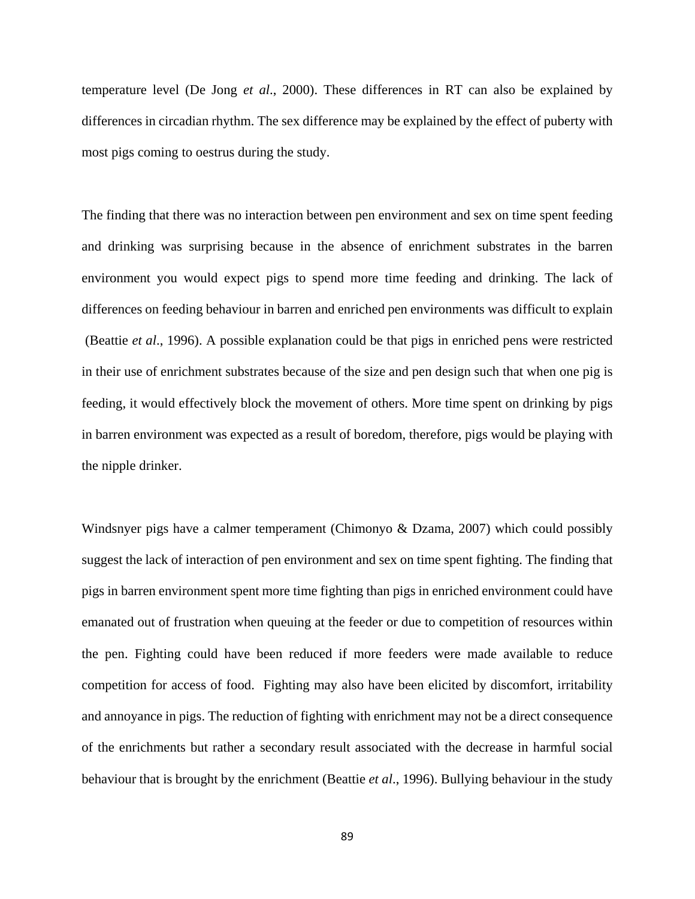temperature level (De Jong *et al*., 2000). These differences in RT can also be explained by differences in circadian rhythm. The sex difference may be explained by the effect of puberty with most pigs coming to oestrus during the study.

The finding that there was no interaction between pen environment and sex on time spent feeding and drinking was surprising because in the absence of enrichment substrates in the barren environment you would expect pigs to spend more time feeding and drinking. The lack of differences on feeding behaviour in barren and enriched pen environments was difficult to explain (Beattie *et al*., 1996). A possible explanation could be that pigs in enriched pens were restricted in their use of enrichment substrates because of the size and pen design such that when one pig is feeding, it would effectively block the movement of others. More time spent on drinking by pigs in barren environment was expected as a result of boredom, therefore, pigs would be playing with the nipple drinker.

Windsnyer pigs have a calmer temperament (Chimonyo & Dzama, 2007) which could possibly suggest the lack of interaction of pen environment and sex on time spent fighting. The finding that pigs in barren environment spent more time fighting than pigs in enriched environment could have emanated out of frustration when queuing at the feeder or due to competition of resources within the pen. Fighting could have been reduced if more feeders were made available to reduce competition for access of food. Fighting may also have been elicited by discomfort, irritability and annoyance in pigs. The reduction of fighting with enrichment may not be a direct consequence of the enrichments but rather a secondary result associated with the decrease in harmful social behaviour that is brought by the enrichment (Beattie *et al*., 1996). Bullying behaviour in the study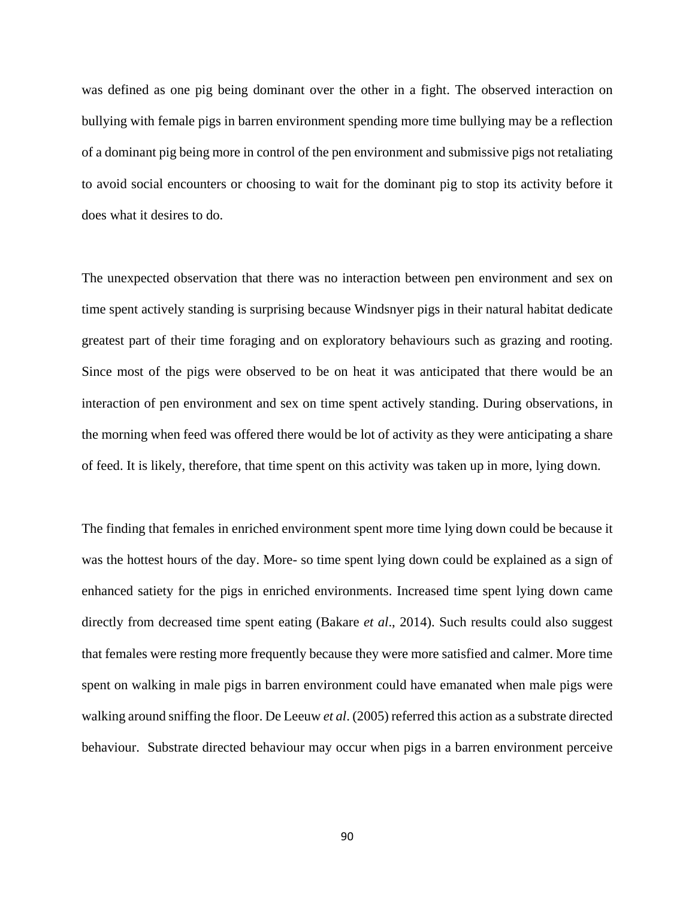was defined as one pig being dominant over the other in a fight. The observed interaction on bullying with female pigs in barren environment spending more time bullying may be a reflection of a dominant pig being more in control of the pen environment and submissive pigs not retaliating to avoid social encounters or choosing to wait for the dominant pig to stop its activity before it does what it desires to do.

The unexpected observation that there was no interaction between pen environment and sex on time spent actively standing is surprising because Windsnyer pigs in their natural habitat dedicate greatest part of their time foraging and on exploratory behaviours such as grazing and rooting. Since most of the pigs were observed to be on heat it was anticipated that there would be an interaction of pen environment and sex on time spent actively standing. During observations, in the morning when feed was offered there would be lot of activity as they were anticipating a share of feed. It is likely, therefore, that time spent on this activity was taken up in more, lying down.

The finding that females in enriched environment spent more time lying down could be because it was the hottest hours of the day. More- so time spent lying down could be explained as a sign of enhanced satiety for the pigs in enriched environments. Increased time spent lying down came directly from decreased time spent eating (Bakare *et al*., 2014). Such results could also suggest that females were resting more frequently because they were more satisfied and calmer. More time spent on walking in male pigs in barren environment could have emanated when male pigs were walking around sniffing the floor. De Leeuw *et al*. (2005) referred this action as a substrate directed behaviour. Substrate directed behaviour may occur when pigs in a barren environment perceive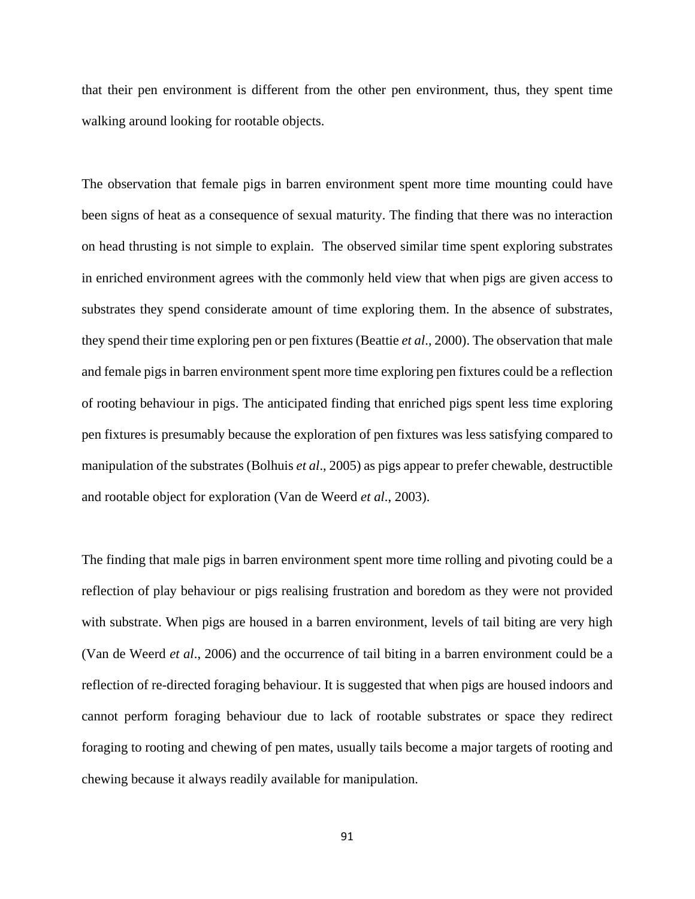that their pen environment is different from the other pen environment, thus, they spent time walking around looking for rootable objects.

The observation that female pigs in barren environment spent more time mounting could have been signs of heat as a consequence of sexual maturity. The finding that there was no interaction on head thrusting is not simple to explain. The observed similar time spent exploring substrates in enriched environment agrees with the commonly held view that when pigs are given access to substrates they spend considerate amount of time exploring them. In the absence of substrates, they spend their time exploring pen or pen fixtures (Beattie *et al*., 2000). The observation that male and female pigs in barren environment spent more time exploring pen fixtures could be a reflection of rooting behaviour in pigs. The anticipated finding that enriched pigs spent less time exploring pen fixtures is presumably because the exploration of pen fixtures was less satisfying compared to manipulation of the substrates (Bolhuis *et al*., 2005) as pigs appear to prefer chewable, destructible and rootable object for exploration (Van de Weerd *et al*., 2003).

The finding that male pigs in barren environment spent more time rolling and pivoting could be a reflection of play behaviour or pigs realising frustration and boredom as they were not provided with substrate. When pigs are housed in a barren environment, levels of tail biting are very high (Van de Weerd *et al*., 2006) and the occurrence of tail biting in a barren environment could be a reflection of re-directed foraging behaviour. It is suggested that when pigs are housed indoors and cannot perform foraging behaviour due to lack of rootable substrates or space they redirect foraging to rooting and chewing of pen mates, usually tails become a major targets of rooting and chewing because it always readily available for manipulation.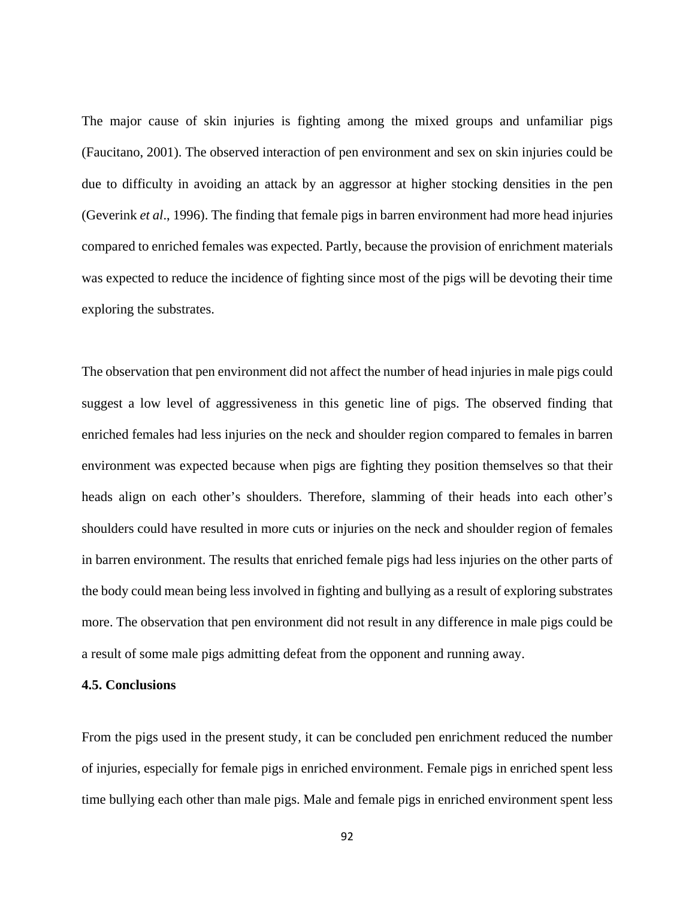The major cause of skin injuries is fighting among the mixed groups and unfamiliar pigs (Faucitano, 2001). The observed interaction of pen environment and sex on skin injuries could be due to difficulty in avoiding an attack by an aggressor at higher stocking densities in the pen (Geverink *et al*., 1996). The finding that female pigs in barren environment had more head injuries compared to enriched females was expected. Partly, because the provision of enrichment materials was expected to reduce the incidence of fighting since most of the pigs will be devoting their time exploring the substrates.

The observation that pen environment did not affect the number of head injuries in male pigs could suggest a low level of aggressiveness in this genetic line of pigs. The observed finding that enriched females had less injuries on the neck and shoulder region compared to females in barren environment was expected because when pigs are fighting they position themselves so that their heads align on each other's shoulders. Therefore, slamming of their heads into each other's shoulders could have resulted in more cuts or injuries on the neck and shoulder region of females in barren environment. The results that enriched female pigs had less injuries on the other parts of the body could mean being less involved in fighting and bullying as a result of exploring substrates more. The observation that pen environment did not result in any difference in male pigs could be a result of some male pigs admitting defeat from the opponent and running away.

#### **4.5. Conclusions**

From the pigs used in the present study, it can be concluded pen enrichment reduced the number of injuries, especially for female pigs in enriched environment. Female pigs in enriched spent less time bullying each other than male pigs. Male and female pigs in enriched environment spent less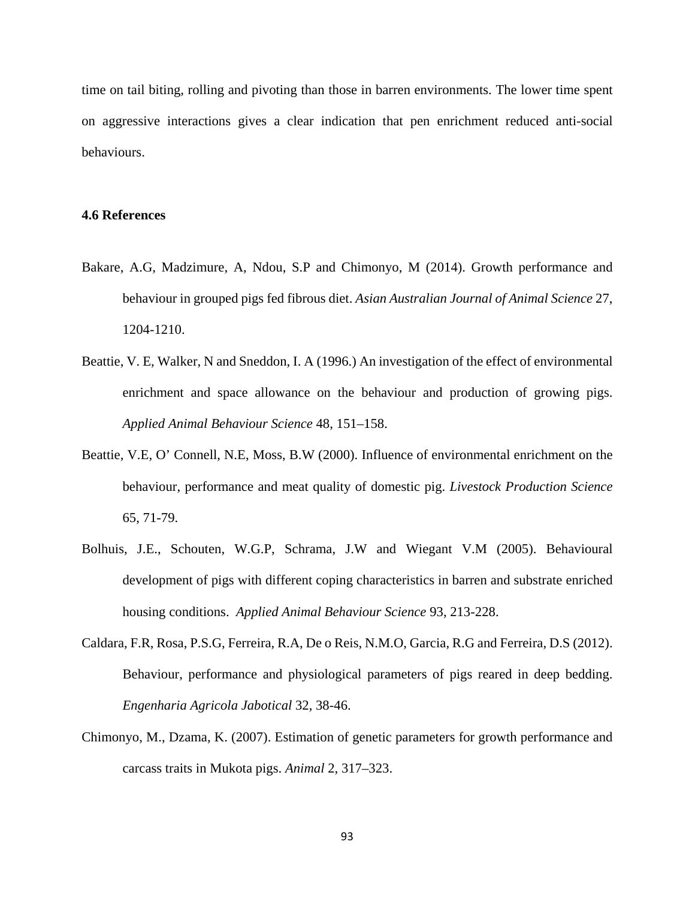time on tail biting, rolling and pivoting than those in barren environments. The lower time spent on aggressive interactions gives a clear indication that pen enrichment reduced anti-social behaviours.

## **4.6 References**

- Bakare, A.G, Madzimure, A, Ndou, S.P and Chimonyo, M (2014). Growth performance and behaviour in grouped pigs fed fibrous diet. *Asian Australian Journal of Animal Science* 27, 1204-1210.
- Beattie, V. E, Walker, N and Sneddon, I. A (1996.) An investigation of the effect of environmental enrichment and space allowance on the behaviour and production of growing pigs. *Applied Animal Behaviour Science* 48, 151–158.
- Beattie, V.E, O' Connell, N.E, Moss, B.W (2000). Influence of environmental enrichment on the behaviour, performance and meat quality of domestic pig. *Livestock Production Science* 65, 71-79.
- Bolhuis, J.E., Schouten, W.G.P, Schrama, J.W and Wiegant V.M (2005). Behavioural development of pigs with different coping characteristics in barren and substrate enriched housing conditions. *Applied Animal Behaviour Science* 93, 213-228.
- Caldara, F.R, Rosa, P.S.G, Ferreira, R.A, De o Reis, N.M.O, Garcia, R.G and Ferreira, D.S (2012). Behaviour, performance and physiological parameters of pigs reared in deep bedding. *Engenharia Agricola Jabotical* 32, 38-46.
- Chimonyo, M., Dzama, K. (2007). Estimation of genetic parameters for growth performance and carcass traits in Mukota pigs. *Animal* 2, 317–323.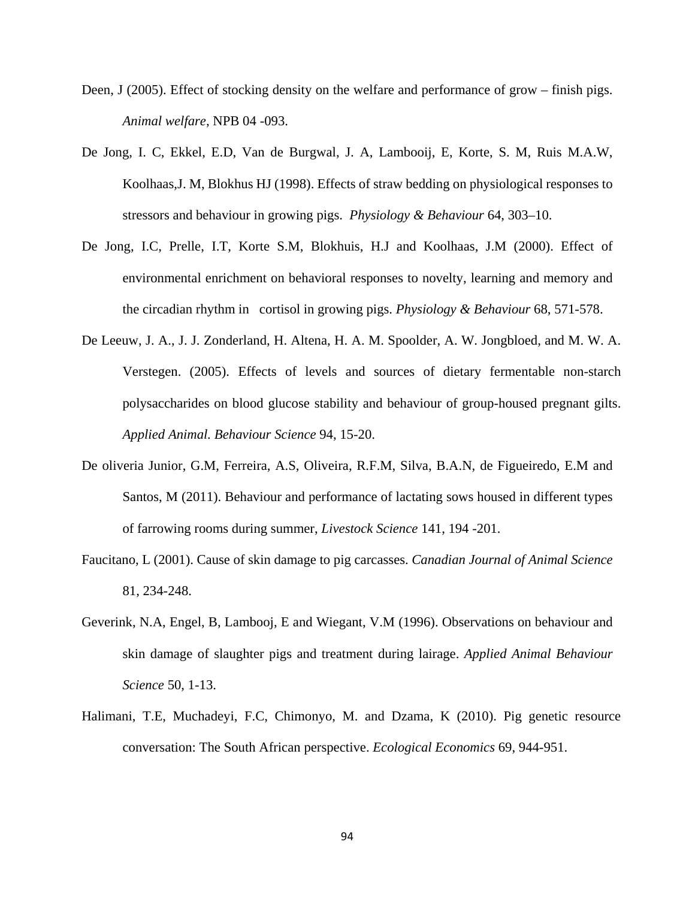- Deen, J (2005). Effect of stocking density on the welfare and performance of grow finish pigs. *Animal welfare*, NPB 04 -093.
- De Jong, I. C, Ekkel, E.D, Van de Burgwal, J. A, Lambooij, E, Korte, S. M, Ruis M.A.W, Koolhaas,J. M, Blokhus HJ (1998). Effects of straw bedding on physiological responses to stressors and behaviour in growing pigs. *Physiology & Behaviour* 64, 303–10.
- De Jong, I.C, Prelle, I.T, Korte S.M, Blokhuis, H.J and Koolhaas, J.M (2000). Effect of environmental enrichment on behavioral responses to novelty, learning and memory and the circadian rhythm in cortisol in growing pigs. *Physiology & Behaviour* 68, 571-578.
- De Leeuw, J. A., J. J. Zonderland, H. Altena, H. A. M. Spoolder, A. W. Jongbloed, and M. W. A. Verstegen. (2005). Effects of levels and sources of dietary fermentable non-starch polysaccharides on blood glucose stability and behaviour of group-housed pregnant gilts. *Applied Animal. Behaviour Science* 94, 15-20.
- De oliveria Junior, G.M, Ferreira, A.S, Oliveira, R.F.M, Silva, B.A.N, de Figueiredo, E.M and Santos, M (2011). Behaviour and performance of lactating sows housed in different types of farrowing rooms during summer, *Livestock Science* 141, 194 -201.
- Faucitano, L (2001). Cause of skin damage to pig carcasses. *Canadian Journal of Animal Science* 81, 234-248.
- Geverink, N.A, Engel, B, Lambooj, E and Wiegant, V.M (1996). Observations on behaviour and skin damage of slaughter pigs and treatment during lairage. *Applied Animal Behaviour Science* 50, 1-13.
- Halimani, T.E, Muchadeyi, F.C, Chimonyo, M. and Dzama, K (2010). Pig genetic resource conversation: The South African perspective. *Ecological Economics* 69, 944-951.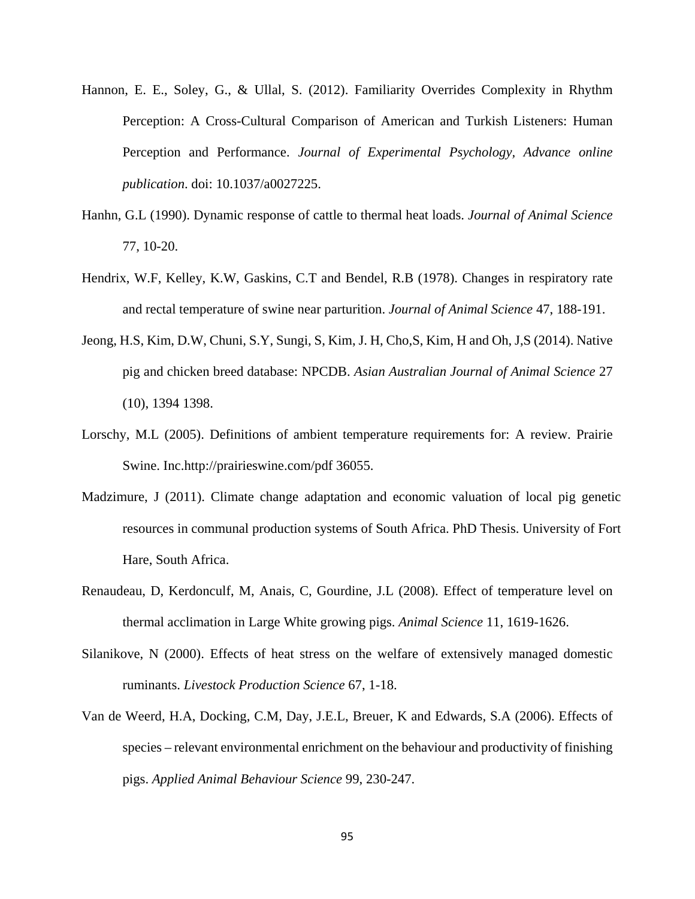- Hannon, E. E., Soley, G., & Ullal, S. (2012). Familiarity Overrides Complexity in Rhythm Perception: A Cross-Cultural Comparison of American and Turkish Listeners: Human Perception and Performance. *Journal of Experimental Psychology, Advance online publication*. doi: 10.1037/a0027225.
- Hanhn, G.L (1990). Dynamic response of cattle to thermal heat loads. *Journal of Animal Science* 77, 10-20.
- Hendrix, W.F, Kelley, K.W, Gaskins, C.T and Bendel, R.B (1978). Changes in respiratory rate and rectal temperature of swine near parturition. *Journal of Animal Science* 47, 188-191.
- Jeong, H.S, Kim, D.W, Chuni, S.Y, Sungi, S, Kim, J. H, Cho,S, Kim, H and Oh, J,S (2014). Native pig and chicken breed database: NPCDB. *Asian Australian Journal of Animal Science* 27 (10), 1394 1398.
- Lorschy, M.L (2005). Definitions of ambient temperature requirements for: A review. Prairie Swine. Inc.http://prairieswine.com/pdf 36055.
- Madzimure, J (2011). Climate change adaptation and economic valuation of local pig genetic resources in communal production systems of South Africa. PhD Thesis. University of Fort Hare, South Africa.
- Renaudeau, D, Kerdonculf, M, Anais, C, Gourdine, J.L (2008). Effect of temperature level on thermal acclimation in Large White growing pigs. *Animal Science* 11, 1619-1626.
- Silanikove, N (2000). Effects of heat stress on the welfare of extensively managed domestic ruminants. *Livestock Production Science* 67, 1-18.
- Van de Weerd, H.A, Docking, C.M, Day, J.E.L, Breuer, K and Edwards, S.A (2006). Effects of species – relevant environmental enrichment on the behaviour and productivity of finishing pigs. *Applied Animal Behaviour Science* 99, 230-247.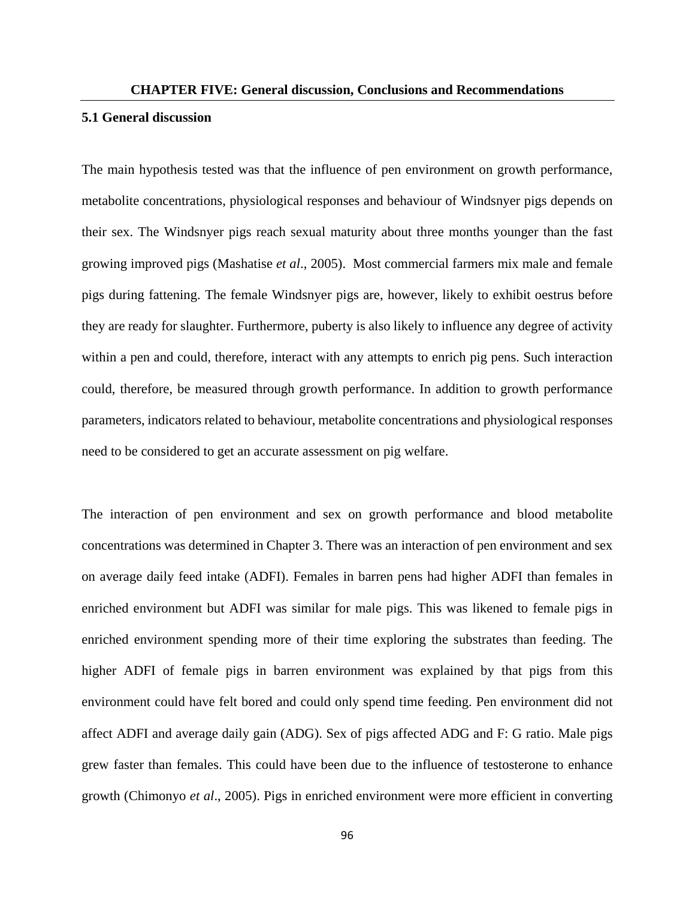## **5.1 General discussion**

The main hypothesis tested was that the influence of pen environment on growth performance, metabolite concentrations, physiological responses and behaviour of Windsnyer pigs depends on their sex. The Windsnyer pigs reach sexual maturity about three months younger than the fast growing improved pigs (Mashatise *et al*., 2005). Most commercial farmers mix male and female pigs during fattening. The female Windsnyer pigs are, however, likely to exhibit oestrus before they are ready for slaughter. Furthermore, puberty is also likely to influence any degree of activity within a pen and could, therefore, interact with any attempts to enrich pig pens. Such interaction could, therefore, be measured through growth performance. In addition to growth performance parameters, indicators related to behaviour, metabolite concentrations and physiological responses need to be considered to get an accurate assessment on pig welfare.

The interaction of pen environment and sex on growth performance and blood metabolite concentrations was determined in Chapter 3. There was an interaction of pen environment and sex on average daily feed intake (ADFI). Females in barren pens had higher ADFI than females in enriched environment but ADFI was similar for male pigs. This was likened to female pigs in enriched environment spending more of their time exploring the substrates than feeding. The higher ADFI of female pigs in barren environment was explained by that pigs from this environment could have felt bored and could only spend time feeding. Pen environment did not affect ADFI and average daily gain (ADG). Sex of pigs affected ADG and F: G ratio. Male pigs grew faster than females. This could have been due to the influence of testosterone to enhance growth (Chimonyo *et al*., 2005). Pigs in enriched environment were more efficient in converting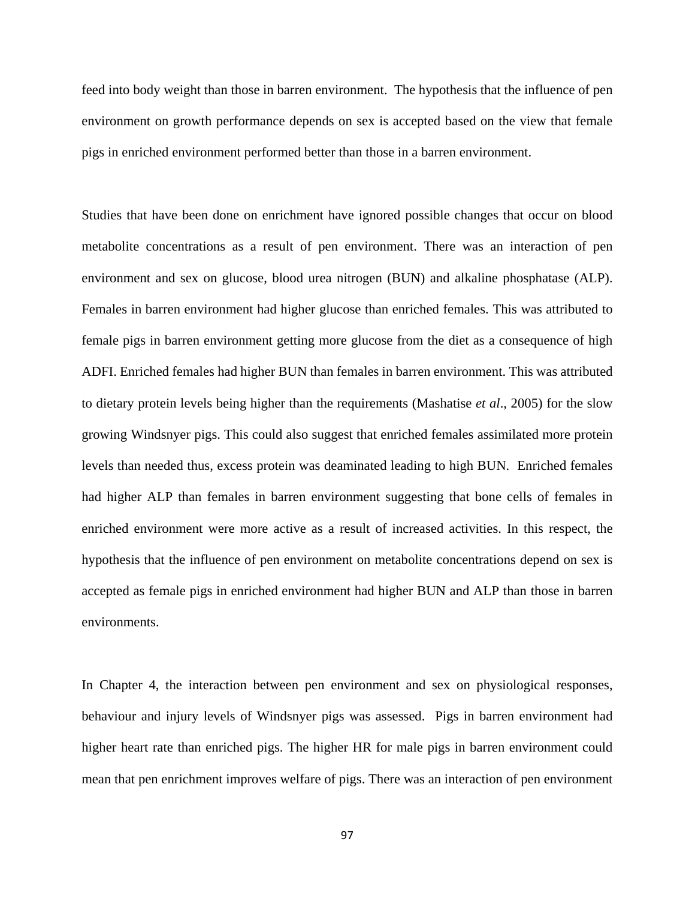feed into body weight than those in barren environment. The hypothesis that the influence of pen environment on growth performance depends on sex is accepted based on the view that female pigs in enriched environment performed better than those in a barren environment.

Studies that have been done on enrichment have ignored possible changes that occur on blood metabolite concentrations as a result of pen environment. There was an interaction of pen environment and sex on glucose, blood urea nitrogen (BUN) and alkaline phosphatase (ALP). Females in barren environment had higher glucose than enriched females. This was attributed to female pigs in barren environment getting more glucose from the diet as a consequence of high ADFI. Enriched females had higher BUN than females in barren environment. This was attributed to dietary protein levels being higher than the requirements (Mashatise *et al*., 2005) for the slow growing Windsnyer pigs. This could also suggest that enriched females assimilated more protein levels than needed thus, excess protein was deaminated leading to high BUN. Enriched females had higher ALP than females in barren environment suggesting that bone cells of females in enriched environment were more active as a result of increased activities. In this respect, the hypothesis that the influence of pen environment on metabolite concentrations depend on sex is accepted as female pigs in enriched environment had higher BUN and ALP than those in barren environments.

In Chapter 4, the interaction between pen environment and sex on physiological responses, behaviour and injury levels of Windsnyer pigs was assessed. Pigs in barren environment had higher heart rate than enriched pigs. The higher HR for male pigs in barren environment could mean that pen enrichment improves welfare of pigs. There was an interaction of pen environment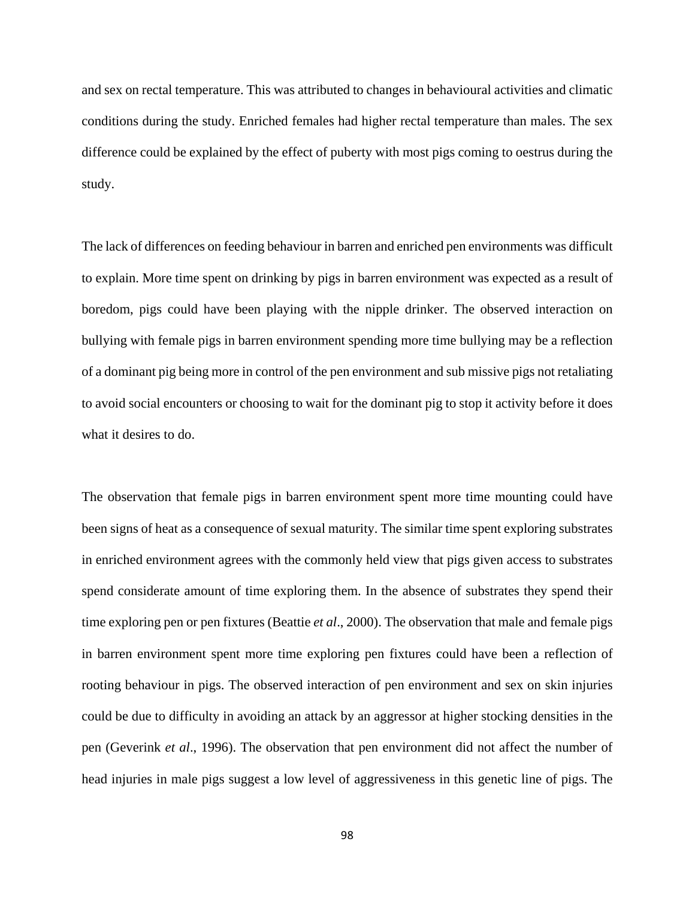and sex on rectal temperature. This was attributed to changes in behavioural activities and climatic conditions during the study. Enriched females had higher rectal temperature than males. The sex difference could be explained by the effect of puberty with most pigs coming to oestrus during the study.

The lack of differences on feeding behaviour in barren and enriched pen environments was difficult to explain. More time spent on drinking by pigs in barren environment was expected as a result of boredom, pigs could have been playing with the nipple drinker. The observed interaction on bullying with female pigs in barren environment spending more time bullying may be a reflection of a dominant pig being more in control of the pen environment and sub missive pigs not retaliating to avoid social encounters or choosing to wait for the dominant pig to stop it activity before it does what it desires to do.

The observation that female pigs in barren environment spent more time mounting could have been signs of heat as a consequence of sexual maturity. The similar time spent exploring substrates in enriched environment agrees with the commonly held view that pigs given access to substrates spend considerate amount of time exploring them. In the absence of substrates they spend their time exploring pen or pen fixtures (Beattie *et al*., 2000). The observation that male and female pigs in barren environment spent more time exploring pen fixtures could have been a reflection of rooting behaviour in pigs. The observed interaction of pen environment and sex on skin injuries could be due to difficulty in avoiding an attack by an aggressor at higher stocking densities in the pen (Geverink *et al*., 1996). The observation that pen environment did not affect the number of head injuries in male pigs suggest a low level of aggressiveness in this genetic line of pigs. The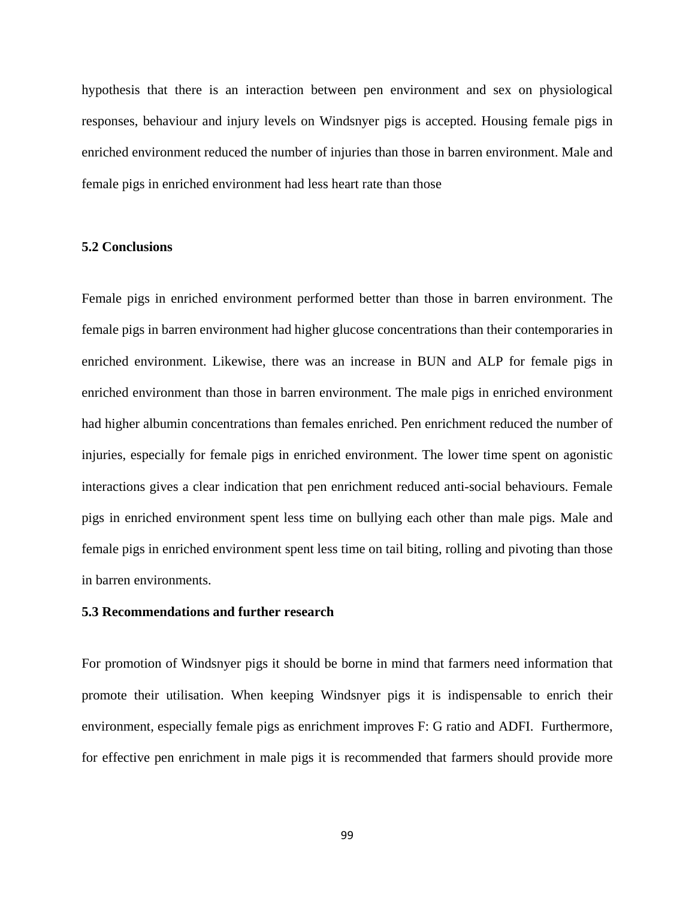hypothesis that there is an interaction between pen environment and sex on physiological responses, behaviour and injury levels on Windsnyer pigs is accepted. Housing female pigs in enriched environment reduced the number of injuries than those in barren environment. Male and female pigs in enriched environment had less heart rate than those

# **5.2 Conclusions**

Female pigs in enriched environment performed better than those in barren environment. The female pigs in barren environment had higher glucose concentrations than their contemporaries in enriched environment. Likewise, there was an increase in BUN and ALP for female pigs in enriched environment than those in barren environment. The male pigs in enriched environment had higher albumin concentrations than females enriched. Pen enrichment reduced the number of injuries, especially for female pigs in enriched environment. The lower time spent on agonistic interactions gives a clear indication that pen enrichment reduced anti-social behaviours. Female pigs in enriched environment spent less time on bullying each other than male pigs. Male and female pigs in enriched environment spent less time on tail biting, rolling and pivoting than those in barren environments.

# **5.3 Recommendations and further research**

For promotion of Windsnyer pigs it should be borne in mind that farmers need information that promote their utilisation. When keeping Windsnyer pigs it is indispensable to enrich their environment, especially female pigs as enrichment improves F: G ratio and ADFI. Furthermore, for effective pen enrichment in male pigs it is recommended that farmers should provide more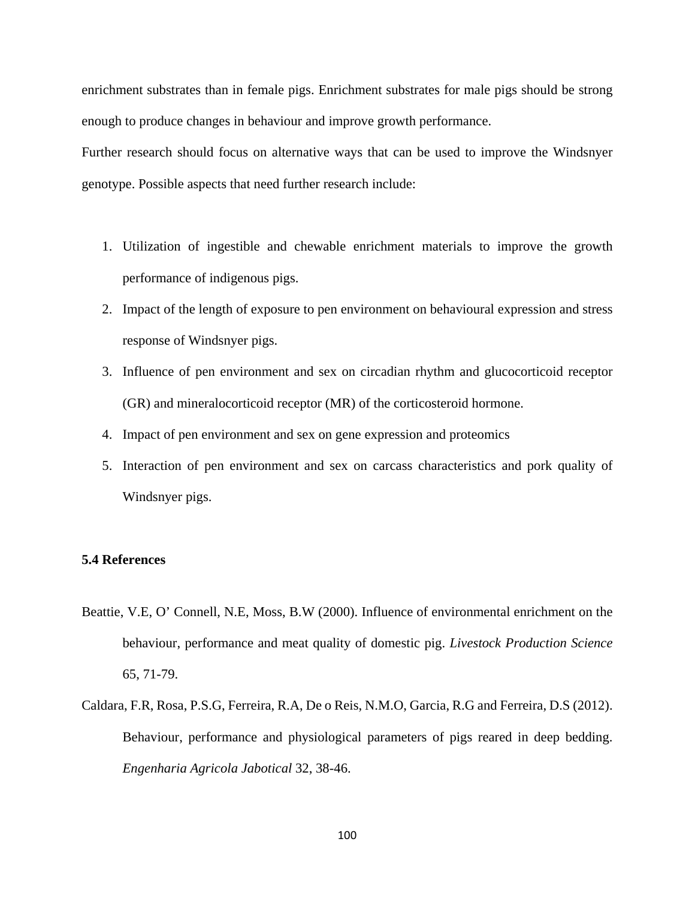enrichment substrates than in female pigs. Enrichment substrates for male pigs should be strong enough to produce changes in behaviour and improve growth performance.

Further research should focus on alternative ways that can be used to improve the Windsnyer genotype. Possible aspects that need further research include:

- 1. Utilization of ingestible and chewable enrichment materials to improve the growth performance of indigenous pigs.
- 2. Impact of the length of exposure to pen environment on behavioural expression and stress response of Windsnyer pigs.
- 3. Influence of pen environment and sex on circadian rhythm and glucocorticoid receptor (GR) and mineralocorticoid receptor (MR) of the corticosteroid hormone.
- 4. Impact of pen environment and sex on gene expression and proteomics
- 5. Interaction of pen environment and sex on carcass characteristics and pork quality of Windsnyer pigs.

# **5.4 References**

- Beattie, V.E, O' Connell, N.E, Moss, B.W (2000). Influence of environmental enrichment on the behaviour, performance and meat quality of domestic pig. *Livestock Production Science* 65, 71-79.
- Caldara, F.R, Rosa, P.S.G, Ferreira, R.A, De o Reis, N.M.O, Garcia, R.G and Ferreira, D.S (2012). Behaviour, performance and physiological parameters of pigs reared in deep bedding. *Engenharia Agricola Jabotical* 32, 38-46.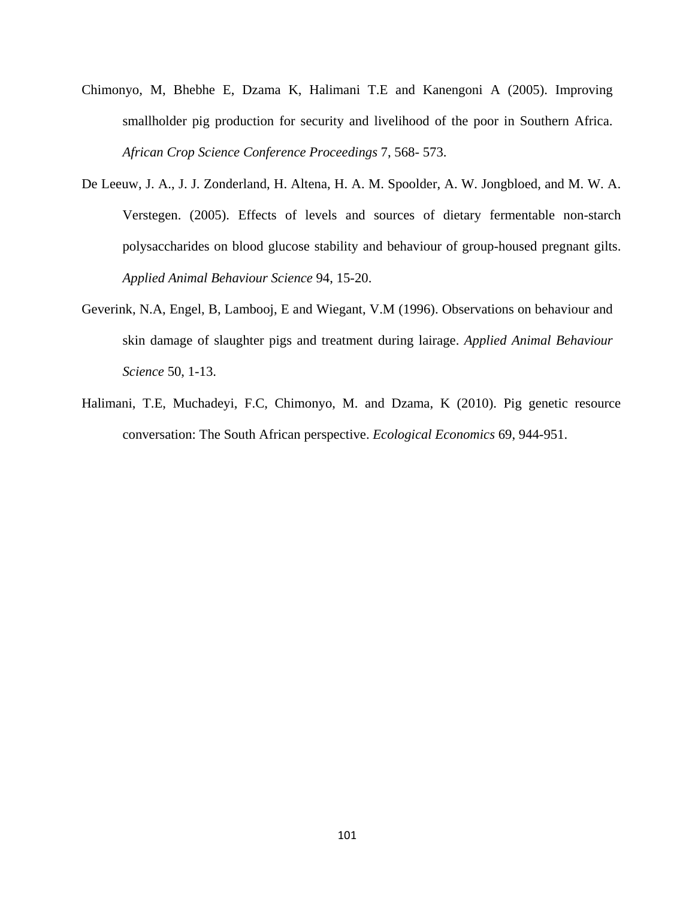- Chimonyo, M, Bhebhe E, Dzama K, Halimani T.E and Kanengoni A (2005). Improving smallholder pig production for security and livelihood of the poor in Southern Africa. *African Crop Science Conference Proceedings* 7, 568- 573.
- De Leeuw, J. A., J. J. Zonderland, H. Altena, H. A. M. Spoolder, A. W. Jongbloed, and M. W. A. Verstegen. (2005). Effects of levels and sources of dietary fermentable non-starch polysaccharides on blood glucose stability and behaviour of group-housed pregnant gilts. *Applied Animal Behaviour Science* 94, 15-20.
- Geverink, N.A, Engel, B, Lambooj, E and Wiegant, V.M (1996). Observations on behaviour and skin damage of slaughter pigs and treatment during lairage. *Applied Animal Behaviour Science* 50, 1-13.
- Halimani, T.E, Muchadeyi, F.C, Chimonyo, M. and Dzama, K (2010). Pig genetic resource conversation: The South African perspective. *Ecological Economics* 69, 944-951.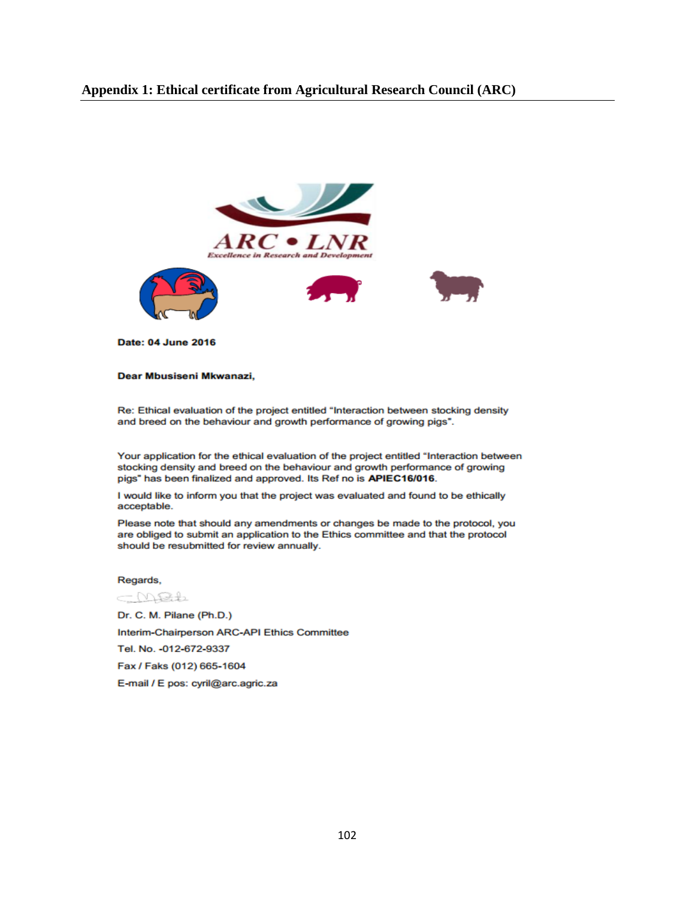# **Appendix 1: Ethical certificate from Agricultural Research Council (ARC)**



**Date: 04 June 2016** 

#### Dear Mbusiseni Mkwanazi,

Re: Ethical evaluation of the project entitled "Interaction between stocking density and breed on the behaviour and growth performance of growing pigs".

Your application for the ethical evaluation of the project entitled "Interaction between stocking density and breed on the behaviour and growth performance of growing pigs" has been finalized and approved. Its Ref no is APIEC16/016.

I would like to inform you that the project was evaluated and found to be ethically acceptable.

Please note that should any amendments or changes be made to the protocol, you are obliged to submit an application to the Ethics committee and that the protocol should be resubmitted for review annually.

#### Regards,

CMBL Dr. C. M. Pilane (Ph.D.) Interim-Chairperson ARC-API Ethics Committee Tel. No. - 012-672-9337 Fax / Faks (012) 665-1604 E-mail / E pos: cyril@arc.agric.za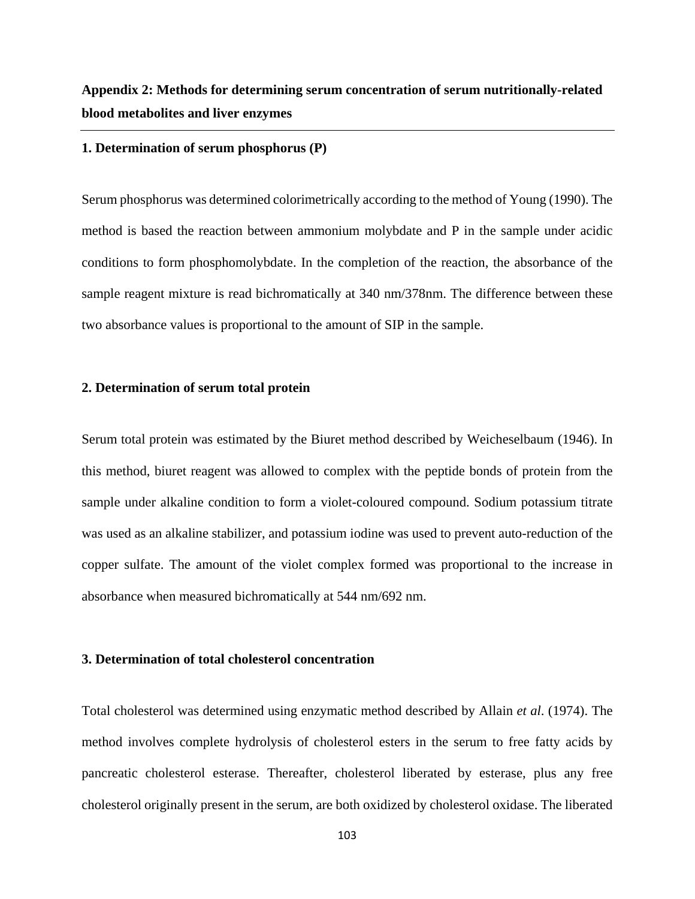# **Appendix 2: Methods for determining serum concentration of serum nutritionally-related blood metabolites and liver enzymes**

### **1. Determination of serum phosphorus (P)**

Serum phosphorus was determined colorimetrically according to the method of Young (1990). The method is based the reaction between ammonium molybdate and P in the sample under acidic conditions to form phosphomolybdate. In the completion of the reaction, the absorbance of the sample reagent mixture is read bichromatically at 340 nm/378nm. The difference between these two absorbance values is proportional to the amount of SIP in the sample.

## **2. Determination of serum total protein**

Serum total protein was estimated by the Biuret method described by Weicheselbaum (1946). In this method, biuret reagent was allowed to complex with the peptide bonds of protein from the sample under alkaline condition to form a violet-coloured compound. Sodium potassium titrate was used as an alkaline stabilizer, and potassium iodine was used to prevent auto-reduction of the copper sulfate. The amount of the violet complex formed was proportional to the increase in absorbance when measured bichromatically at 544 nm/692 nm.

## **3. Determination of total cholesterol concentration**

Total cholesterol was determined using enzymatic method described by Allain *et al*. (1974). The method involves complete hydrolysis of cholesterol esters in the serum to free fatty acids by pancreatic cholesterol esterase. Thereafter, cholesterol liberated by esterase, plus any free cholesterol originally present in the serum, are both oxidized by cholesterol oxidase. The liberated